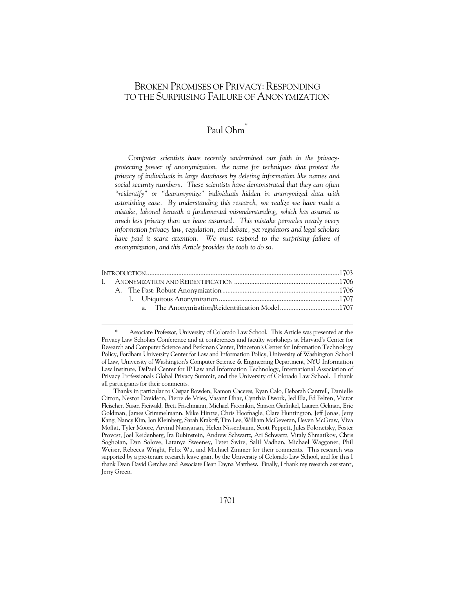# BROKEN PROMISES OF PRIVACY: RESPONDING TO THE SURPRISING FAILURE OF ANONYMIZATION

# Paul Ohm\*

*Computer scientists have recently undermined our faith in the privacyprotecting power of anonymization, the name for techniques that protect the privacy of individuals in large databases by deleting information like names and social security numbers. These scientists have demonstrated that they can often "reidentify" or "deanonymize" individuals hidden in anonymized data with astonishing ease. By understanding this research, we realize we have made a mistake, labored beneath a fundamental misunderstanding, which has assured us much less privacy than we have assumed. This mistake pervades nearly every information privacy law, regulation, and debate, yet regulators and legal scholars*  have paid it scant attention. We must respond to the surprising failure of *anonymization, and this Article provides the tools to do so.* 

|  | a. The Anonymization/Reidentification Model1707 |  |
|--|-------------------------------------------------|--|
|  |                                                 |  |

Associate Professor, University of Colorado Law School. This Article was presented at the Privacy Law Scholars Conference and at conferences and faculty workshops at Harvard's Center for Research and Computer Science and Berkman Center, Princeton's Center for Information Technology Policy, Fordham University Center for Law and Information Policy, University of Washington School of Law, University of Washington's Computer Science & Engineering Department, NYU Information Law Institute, DePaul Center for IP Law and Information Technology, International Association of Privacy Professionals Global Privacy Summit, and the University of Colorado Law School. I thank all participants for their comments.

Thanks in particular to Caspar Bowden, Ramon Caceres, Ryan Calo, Deborah Cantrell, Danielle Citron, Nestor Davidson, Pierre de Vries, Vasant Dhar, Cynthia Dwork, Jed Ela, Ed Felten, Victor Fleischer, Susan Freiwald, Brett Frischmann, Michael Froomkin, Simson Garfinkel, Lauren Gelman, Eric Goldman, James Grimmelmann, Mike Hintze, Chris Hoofnagle, Clare Huntington, Jeff Jonas, Jerry Kang, Nancy Kim, Jon Kleinberg, Sarah Krakoff, Tim Lee, William McGeveran, Deven McGraw, Viva Moffat, Tyler Moore, Arvind Narayanan, Helen Nissenbaum, Scott Peppett, Jules Polonetsky, Foster Provost, Joel Reidenberg, Ira Rubinstein, Andrew Schwartz, Ari Schwartz, Vitaly Shmatikov, Chris Soghoian, Dan Solove, Latanya Sweeney, Peter Swire, Salil Vadhan, Michael Waggoner, Phil Weiser, Rebecca Wright, Felix Wu, and Michael Zimmer for their comments. This research was supported by a pre-tenure research leave grant by the University of Colorado Law School, and for this I thank Dean David Getches and Associate Dean Dayna Matthew. Finally, I thank my research assistant, Jerry Green.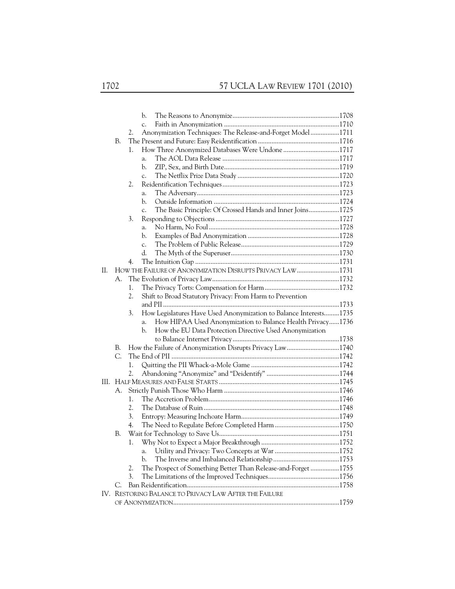|    |    |                                                                  | b.          |                                                                   |  |
|----|----|------------------------------------------------------------------|-------------|-------------------------------------------------------------------|--|
|    |    |                                                                  | $C_{\star}$ |                                                                   |  |
|    |    | Anonymization Techniques: The Release-and-Forget Model1711<br>2. |             |                                                                   |  |
|    | В. |                                                                  |             |                                                                   |  |
|    |    | 1.                                                               |             | How Three Anonymized Databases Were Undone 1717                   |  |
|    |    |                                                                  | a.          |                                                                   |  |
|    |    |                                                                  | b.          |                                                                   |  |
|    |    |                                                                  | $C_{\star}$ |                                                                   |  |
|    |    | 2.                                                               |             |                                                                   |  |
|    |    |                                                                  | a.          |                                                                   |  |
|    |    |                                                                  | b.          |                                                                   |  |
|    |    |                                                                  | $C_{\star}$ | The Basic Principle: Of Crossed Hands and Inner Joins1725         |  |
|    |    | 3.                                                               |             |                                                                   |  |
|    |    |                                                                  | a.          |                                                                   |  |
|    |    |                                                                  | b.          |                                                                   |  |
|    |    |                                                                  | $C_{\star}$ |                                                                   |  |
|    |    |                                                                  | d.          |                                                                   |  |
|    |    | 4.                                                               |             |                                                                   |  |
| Н. |    |                                                                  |             | HOW THE FAILURE OF ANONYMIZATION DISRUPTS PRIVACY LAW1731         |  |
|    | А. |                                                                  |             |                                                                   |  |
|    |    | 1.                                                               |             |                                                                   |  |
|    |    | 2.                                                               |             | Shift to Broad Statutory Privacy: From Harm to Prevention         |  |
|    |    |                                                                  |             |                                                                   |  |
|    |    | 3.                                                               |             | How Legislatures Have Used Anonymization to Balance Interests1735 |  |
|    |    |                                                                  | a.          | How HIPAA Used Anonymization to Balance Health Privacy1736        |  |
|    |    |                                                                  | b.          | How the EU Data Protection Directive Used Anonymization           |  |
|    |    |                                                                  |             |                                                                   |  |
|    | В. |                                                                  |             | How the Failure of Anonymization Disrupts Privacy Law1740         |  |
|    | C. |                                                                  |             |                                                                   |  |
|    |    | 1.                                                               |             |                                                                   |  |
|    |    | 2.                                                               |             |                                                                   |  |
|    |    |                                                                  |             |                                                                   |  |
|    | A. |                                                                  |             |                                                                   |  |
|    |    | 1.                                                               |             |                                                                   |  |
|    |    | 2.                                                               |             |                                                                   |  |
|    |    | 3.                                                               |             |                                                                   |  |
|    |    | 4.                                                               |             |                                                                   |  |
|    | В. |                                                                  |             |                                                                   |  |
|    |    | 1.                                                               |             |                                                                   |  |
|    |    |                                                                  | a.          |                                                                   |  |
|    |    |                                                                  | b.          |                                                                   |  |
|    |    | 2.                                                               |             | The Prospect of Something Better Than Release-and-Forget 1755     |  |
|    |    | 3.                                                               |             |                                                                   |  |
|    | C. |                                                                  |             |                                                                   |  |
|    |    |                                                                  |             | IV. RESTORING BALANCE TO PRIVACY LAW AFTER THE FAILURE            |  |
|    |    |                                                                  |             |                                                                   |  |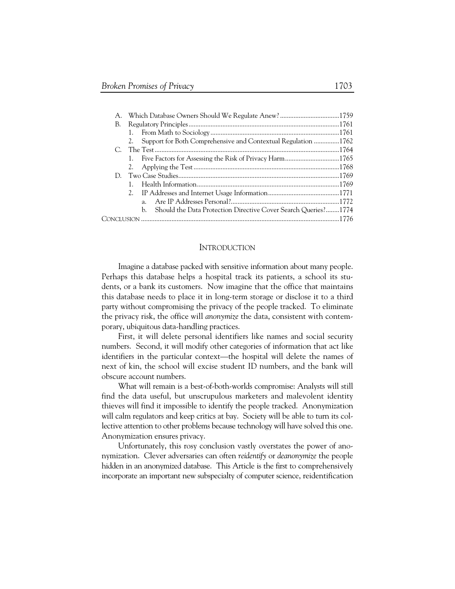| А. |  |    |                                                                  |  |  |  |
|----|--|----|------------------------------------------------------------------|--|--|--|
| В. |  |    |                                                                  |  |  |  |
|    |  |    |                                                                  |  |  |  |
|    |  |    | 2. Support for Both Comprehensive and Contextual Regulation 1762 |  |  |  |
|    |  |    |                                                                  |  |  |  |
|    |  |    |                                                                  |  |  |  |
|    |  |    |                                                                  |  |  |  |
|    |  |    |                                                                  |  |  |  |
|    |  |    |                                                                  |  |  |  |
|    |  |    |                                                                  |  |  |  |
|    |  | a. |                                                                  |  |  |  |
|    |  | h. | Should the Data Protection Directive Cover Search Queries?1774   |  |  |  |
|    |  |    |                                                                  |  |  |  |

### INTRODUCTION

Imagine a database packed with sensitive information about many people. Perhaps this database helps a hospital track its patients, a school its students, or a bank its customers. Now imagine that the office that maintains this database needs to place it in long-term storage or disclose it to a third party without compromising the privacy of the people tracked. To eliminate the privacy risk, the office will *anonymize* the data, consistent with contemporary, ubiquitous data-handling practices.

First, it will delete personal identifiers like names and social security numbers. Second, it will modify other categories of information that act like identifiers in the particular context—the hospital will delete the names of next of kin, the school will excise student ID numbers, and the bank will obscure account numbers.

What will remain is a best-of-both-worlds compromise: Analysts will still find the data useful, but unscrupulous marketers and malevolent identity thieves will find it impossible to identify the people tracked. Anonymization will calm regulators and keep critics at bay. Society will be able to turn its collective attention to other problems because technology will have solved this one. Anonymization ensures privacy.

Unfortunately, this rosy conclusion vastly overstates the power of anonymization. Clever adversaries can often *reidentify* or *deanonymize* the people hidden in an anonymized database. This Article is the first to comprehensively incorporate an important new subspecialty of computer science, reidentification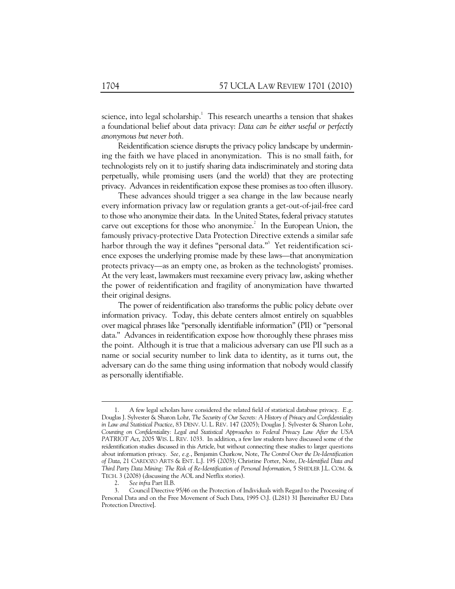science, into legal scholarship. $1$  This research unearths a tension that shakes a foundational belief about data privacy: *Data can be either useful or perfectly anonymous but never both.*

Reidentification science disrupts the privacy policy landscape by undermining the faith we have placed in anonymization. This is no small faith, for technologists rely on it to justify sharing data indiscriminately and storing data perpetually, while promising users (and the world) that they are protecting privacy. Advances in reidentification expose these promises as too often illusory.

These advances should trigger a sea change in the law because nearly every information privacy law or regulation grants a get-out-of-jail-free card to those who anonymize their data. In the United States, federal privacy statutes carve out exceptions for those who anonymize.<sup>2</sup> In the European Union, the famously privacy-protective Data Protection Directive extends a similar safe harbor through the way it defines "personal data."<sup>3</sup> Yet reidentification science exposes the underlying promise made by these laws—that anonymization protects privacy—as an empty one, as broken as the technologists' promises. At the very least, lawmakers must reexamine every privacy law, asking whether the power of reidentification and fragility of anonymization have thwarted their original designs.

The power of reidentification also transforms the public policy debate over information privacy. Today, this debate centers almost entirely on squabbles over magical phrases like "personally identifiable information" (PII) or "personal data." Advances in reidentification expose how thoroughly these phrases miss the point. Although it is true that a malicious adversary can use PII such as a name or social security number to link data to identity, as it turns out, the adversary can do the same thing using information that nobody would classify as personally identifiable.

 <sup>1.</sup> A few legal scholars have considered the related field of statistical database privacy. *E.g.* Douglas J. Sylvester & Sharon Lohr, *The Security of Our Secrets: A History of Privacy and Confidentiality in Law and Statistical Practice*, 83 DENV. U. L. REV. 147 (2005); Douglas J. Sylvester & Sharon Lohr, *Counting on Confidentiality: Legal and Statistical Approaches to Federal Privacy Law After the USA PATRIOT Act*, 2005 WIS. L. REV. 1033. In addition, a few law students have discussed some of the reidentification studies discussed in this Article, but without connecting these studies to larger questions about information privacy. *See, e.g.*, Benjamin Charkow, Note, *The Control Over the De-Identification of Data*, 21 CARDOZO ARTS & ENT. L.J. 195 (2003); Christine Porter, Note, *De-Identified Data and Third Party Data Mining: The Risk of Re-Identification of Personal Information*, 5 SHIDLER J.L. COM. & TECH. 3 (2008) (discussing the AOL and Netflix stories).

 <sup>2.</sup> *See infra* Part II.B.

 <sup>3.</sup> Council Directive 95/46 on the Protection of Individuals with Regard to the Processing of Personal Data and on the Free Movement of Such Data, 1995 O.J. (L281) 31 [hereinafter EU Data Protection Directive].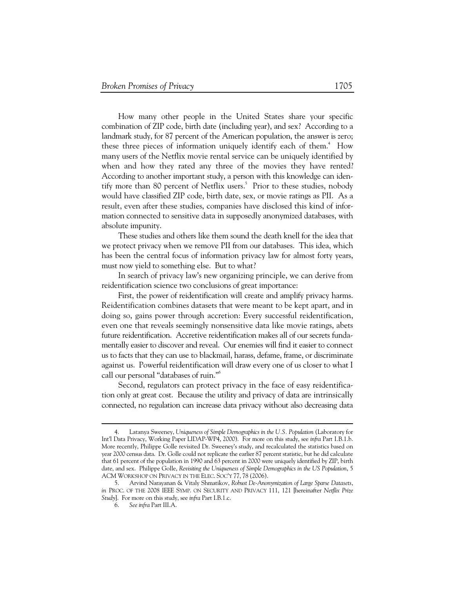How many other people in the United States share your specific combination of ZIP code, birth date (including year), and sex? According to a landmark study, for 87 percent of the American population, the answer is zero; these three pieces of information uniquely identify each of them.<sup>4</sup> How many users of the Netflix movie rental service can be uniquely identified by when and how they rated any three of the movies they have rented? According to another important study, a person with this knowledge can identify more than 80 percent of Netflix users.<sup>5</sup> Prior to these studies, nobody would have classified ZIP code, birth date, sex, or movie ratings as PII. As a result, even after these studies, companies have disclosed this kind of information connected to sensitive data in supposedly anonymized databases, with absolute impunity.

These studies and others like them sound the death knell for the idea that we protect privacy when we remove PII from our databases. This idea, which has been the central focus of information privacy law for almost forty years, must now yield to something else. But to what?

In search of privacy law's new organizing principle, we can derive from reidentification science two conclusions of great importance:

First, the power of reidentification will create and amplify privacy harms. Reidentification combines datasets that were meant to be kept apart, and in doing so, gains power through accretion: Every successful reidentification, even one that reveals seemingly nonsensitive data like movie ratings, abets future reidentification. Accretive reidentification makes all of our secrets fundamentally easier to discover and reveal. Our enemies will find it easier to connect us to facts that they can use to blackmail, harass, defame, frame, or discriminate against us. Powerful reidentification will draw every one of us closer to what I call our personal "databases of ruin."6

Second, regulators can protect privacy in the face of easy reidentification only at great cost. Because the utility and privacy of data are intrinsically connected, no regulation can increase data privacy without also decreasing data

 <sup>4.</sup> Latanya Sweeney, *Uniqueness of Simple Demographics in the U.S. Population* (Laboratory for Int'l Data Privacy, Working Paper LIDAP-WP4, 2000). For more on this study, see *infra* Part I.B.1.b. More recently, Philippe Golle revisited Dr. Sweeney's study, and recalculated the statistics based on year 2000 census data. Dr. Golle could not replicate the earlier 87 percent statistic, but he did calculate that 61 percent of the population in 1990 and 63 percent in 2000 were uniquely identified by ZIP, birth date, and sex. Philippe Golle, *Revisiting the Uniqueness of Simple Demographics in the US Population*, 5 ACM WORKSHOP ON PRIVACY IN THE ELEC. SOC'Y 77, 78 (2006).

 <sup>5.</sup> Arvind Narayanan & Vitaly Shmatikov, *Robust De-Anonymization of Large Sparse Datasets*, *in* PROC. OF THE 2008 IEEE SYMP. ON SECURITY AND PRIVACY 111, 121 [hereinafter *Netflix Prize Study*]. For more on this study, see *infra* Part I.B.1.c.

 <sup>6.</sup> *See infra* Part III.A.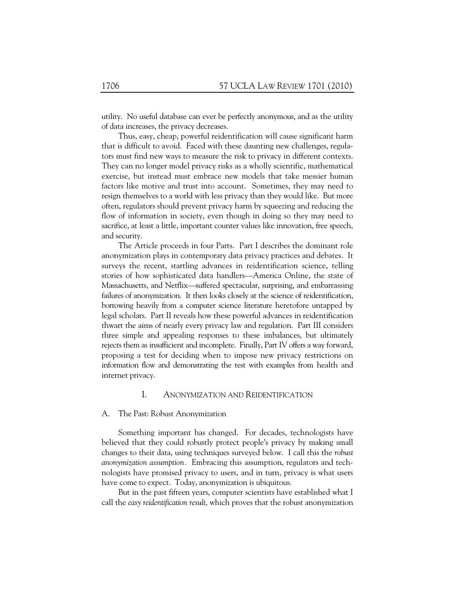utility. No useful database can ever be perfectly anonymous, and as the utility of data increases, the privacy decreases.

Thus, easy, cheap, powerful reidentification will cause significant harm that is difficult to avoid. Faced with these daunting new challenges, regulators must find new ways to measure the risk to privacy in different contexts. They can no longer model privacy risks as a wholly scientific, mathematical exercise, but instead must embrace new models that take messier human factors like motive and trust into account. Sometimes, they may need to resign themselves to a world with less privacy than they would like. But more often, regulators should prevent privacy harm by squeezing and reducing the flow of information in society, even though in doing so they may need to sacrifice, at least a little, important counter values like innovation, free speech, and security.

The Article proceeds in four Parts. Part I describes the dominant role anonymization plays in contemporary data privacy practices and debates. It surveys the recent, startling advances in reidentification science, telling stories of how sophisticated data handlers—America Online, the state of Massachusetts, and Netflix—suffered spectacular, surprising, and embarrassing failures of anonymization. It then looks closely at the science of reidentification, borrowing heavily from a computer science literature heretofore untapped by legal scholars. Part II reveals how these powerful advances in reidentification thwart the aims of nearly every privacy law and regulation. Part III considers three simple and appealing responses to these imbalances, but ultimately rejects them as insufficient and incomplete. Finally, Part IV offers a way forward, proposing a test for deciding when to impose new privacy restrictions on information flow and demonstrating the test with examples from health and internet privacy.

# I. ANONYMIZATION AND REIDENTIFICATION

#### A. The Past: Robust Anonymization

Something important has changed. For decades, technologists have believed that they could robustly protect people's privacy by making small changes to their data, using techniques surveyed below. I call this the *robust anonymization assumption.* Embracing this assumption, regulators and technologists have promised privacy to users, and in turn, privacy is what users have come to expect. Today, anonymization is ubiquitous.

But in the past fifteen years, computer scientists have established what I call the *easy reidentification result*, which proves that the robust anonymization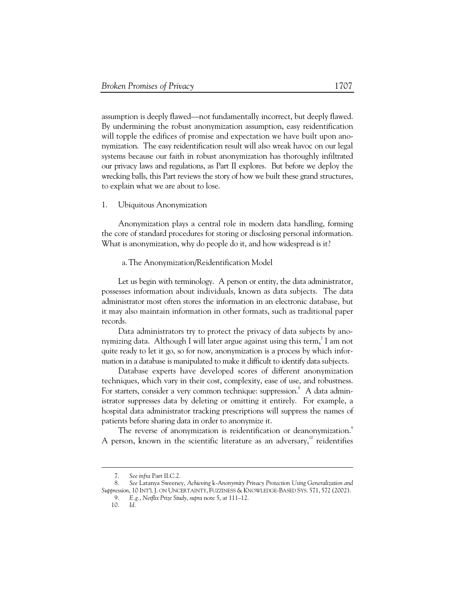assumption is deeply flawed—not fundamentally incorrect, but deeply flawed. By undermining the robust anonymization assumption, easy reidentification will topple the edifices of promise and expectation we have built upon anonymization. The easy reidentification result will also wreak havoc on our legal systems because our faith in robust anonymization has thoroughly infiltrated our privacy laws and regulations, as Part II explores. But before we deploy the wrecking balls, this Part reviews the story of how we built these grand structures, to explain what we are about to lose.

## 1. Ubiquitous Anonymization

Anonymization plays a central role in modern data handling, forming the core of standard procedures for storing or disclosing personal information. What is anonymization, why do people do it, and how widespread is it?

### a.The Anonymization/Reidentification Model

Let us begin with terminology. A person or entity, the data administrator, possesses information about individuals, known as data subjects. The data administrator most often stores the information in an electronic database, but it may also maintain information in other formats, such as traditional paper records.

Data administrators try to protect the privacy of data subjects by anonymizing data. Although I will later argue against using this term, $^7$  I am not quite ready to let it go, so for now, anonymization is a process by which information in a database is manipulated to make it difficult to identify data subjects.

Database experts have developed scores of different anonymization techniques, which vary in their cost, complexity, ease of use, and robustness. For starters, consider a very common technique: suppression.<sup>8</sup> A data administrator suppresses data by deleting or omitting it entirely. For example, a hospital data administrator tracking prescriptions will suppress the names of patients before sharing data in order to anonymize it.

The reverse of anonymization is reidentification or deanonymization.<sup>9</sup> A person, known in the scientific literature as an adversary, $\frac{10}{10}$  reidentifies

 <sup>7.</sup> *See infra* Part II.C.2.

 <sup>8.</sup> *See* Latanya Sweeney, *Achieving* k*-Anonymity Privacy Protection Using Generalization and Suppression*, 10 INT'L J. ON UNCERTAINTY, FUZZINESS & KNOWLEDGE-BASED SYS. 571, 572 (2002). 9. *E.g.*, *Netflix Prize Study*, *supra* note 5, at 111–12.

 <sup>10.</sup> *Id.*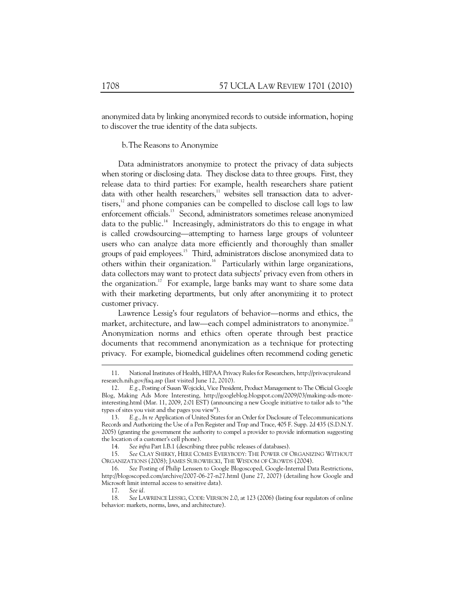anonymized data by linking anonymized records to outside information, hoping to discover the true identity of the data subjects.

b.The Reasons to Anonymize

Data administrators anonymize to protect the privacy of data subjects when storing or disclosing data. They disclose data to three groups. First, they release data to third parties: For example, health researchers share patient data with other health researchers, $11$  websites sell transaction data to advertisers, $^{12}$  and phone companies can be compelled to disclose call logs to law enforcement officials.<sup>13</sup> Second, administrators sometimes release anonymized data to the public.<sup>14</sup> Increasingly, administrators do this to engage in what is called crowdsourcing—attempting to harness large groups of volunteer users who can analyze data more efficiently and thoroughly than smaller groups of paid employees.<sup>15</sup> Third, administrators disclose anonymized data to others within their organization.<sup>16</sup> Particularly within large organizations, data collectors may want to protect data subjects' privacy even from others in the organization.<sup>17</sup> For example, large banks may want to share some data with their marketing departments, but only after anonymizing it to protect customer privacy.

Lawrence Lessig's four regulators of behavior—norms and ethics, the market, architecture, and law—each compel administrators to anonymize.<sup>18</sup> Anonymization norms and ethics often operate through best practice documents that recommend anonymization as a technique for protecting privacy. For example, biomedical guidelines often recommend coding genetic

 <sup>11.</sup> National Institutes of Health, HIPAA Privacy Rules for Researchers, http://privacyruleand research.nih.gov/faq.asp (last visited June 12, 2010).

 <sup>12.</sup> *E.g.*, Posting of Susan Wojcicki, Vice President, Product Management to The Official Google Blog, Making Ads More Interesting, http://googleblog.blogspot.com/2009/03/making-ads-moreinteresting.html (Mar. 11, 2009, 2:01 EST) (announcing a new Google initiative to tailor ads to "the types of sites you visit and the pages you view").

 <sup>13.</sup> *E.g.*, *In re* Application of United States for an Order for Disclosure of Telecommunications Records and Authorizing the Use of a Pen Register and Trap and Trace, 405 F. Supp. 2d 435 (S.D.N.Y. 2005) (granting the government the authority to compel a provider to provide information suggesting the location of a customer's cell phone).

 <sup>14.</sup> *See infra* Part I.B.1 (describing three public releases of databases).

 <sup>15.</sup> *See* CLAY SHIRKY, HERE COMES EVERYBODY: THE POWER OF ORGANIZING WITHOUT ORGANIZATIONS (2008); JAMES SUROWIECKI, THE WISDOM OF CROWDS (2004).

 <sup>16.</sup> *See* Posting of Philip Lenssen to Google Blogoscoped, Google-Internal Data Restrictions, http://blogoscoped.com/archive/2007-06-27-n27.html (June 27, 2007) (detailing how Google and Microsoft limit internal access to sensitive data).

 <sup>17.</sup> *See id.* 

 <sup>18.</sup> *See* LAWRENCE LESSIG, CODE: VERSION 2.0, at 123 (2006) (listing four regulators of online behavior: markets, norms, laws, and architecture).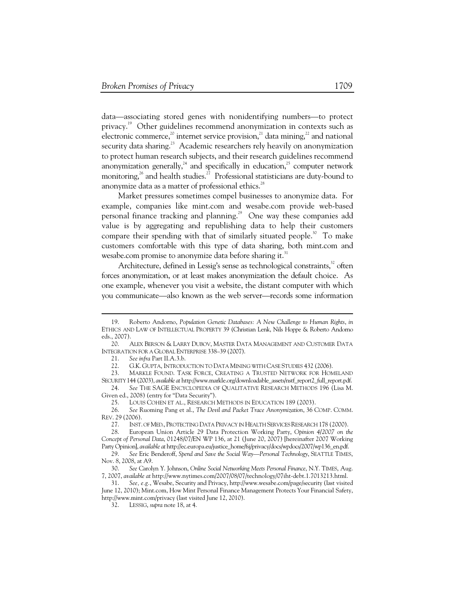data—associating stored genes with nonidentifying numbers—to protect privacy.19 Other guidelines recommend anonymization in contexts such as electronic commerce,<sup>20</sup> internet service provision,<sup>21</sup> data mining,<sup>22</sup> and national security data sharing.<sup>23</sup> Academic researchers rely heavily on anonymization to protect human research subjects, and their research guidelines recommend anonymization generally,<sup>24</sup> and specifically in education,<sup>25</sup> computer network monitoring, $^{26}$  and health studies.<sup>27</sup> Professional statisticians are duty-bound to anonymize data as a matter of professional ethics.<sup>28</sup>

Market pressures sometimes compel businesses to anonymize data. For example, companies like mint.com and wesabe.com provide web-based personal finance tracking and planning.<sup>29</sup> One way these companies add value is by aggregating and republishing data to help their customers compare their spending with that of similarly situated people.<sup>30</sup> To make customers comfortable with this type of data sharing, both mint.com and wesabe.com promise to anonymize data before sharing it.<sup>31</sup>

Architecture, defined in Lessig's sense as technological constraints, $32$  often forces anonymization, or at least makes anonymization the default choice. As one example, whenever you visit a website, the distant computer with which you communicate—also known as the web server—records some information

 <sup>19.</sup> Roberto Andorno, *Population Genetic Databases: A New Challenge to Human Rights*, *in* ETHICS AND LAW OF INTELLECTUAL PROPERTY 39 (Christian Lenk, Nils Hoppe & Roberto Andorno eds., 2007).

 <sup>20.</sup> ALEX BERSON & LARRY DUBOV, MASTER DATA MANAGEMENT AND CUSTOMER DATA INTEGRATION FOR A GLOBAL ENTERPRISE 338–39 (2007).

 <sup>21.</sup> *See infra* Part II.A.3.b.

 <sup>22.</sup> G.K. GUPTA, INTRODUCTION TO DATA MINING WITH CASE STUDIES 432 (2006).

 <sup>23.</sup> MARKLE FOUND. TASK FORCE, CREATING A TRUSTED NETWORK FOR HOMELAND SECURITY 144 (2003), *available at* http://www.markle.org/downloadable\_assets/nstf\_report2\_full\_report.pdf.

 <sup>24.</sup> *See* THE SAGE ENCYCLOPEDIA OF QUALITATIVE RESEARCH METHODS 196 (Lisa M. Given ed., 2008) (entry for "Data Security").

 <sup>25.</sup> LOUIS COHEN ET AL., RESEARCH METHODS IN EDUCATION 189 (2003).

 <sup>26.</sup> *See* Ruoming Pang et al., *The Devil and Packet Trace Anonymization*, 36 COMP. COMM. REV. 29 (2006).

 <sup>27.</sup> INST. OF MED., PROTECTING DATA PRIVACY IN HEALTH SERVICES RESEARCH 178 (2000).

 <sup>28.</sup> European Union Article 29 Data Protection Working Party, *Opinion 4/2007 on the Concept of Personal Data*, 01248/07/EN WP 136, at 21 (June 20, 2007) [hereinafter 2007 Working Party Opinion], *available at* http://ec.europa.eu/justice\_home/fsj/privacy/docs/wpdocs/2007/wp136\_en.pdf.

 <sup>29.</sup> *See* Eric Benderoff, *Spend and Save the Social Way—Personal Technology*, SEATTLE TIMES, Nov. 8, 2008, at A9.

 <sup>30.</sup> *See* Carolyn Y. Johnson, *Online Social Networking Meets Personal Finance*, N.Y. TIMES, Aug. 7, 2007, *available at* http://www.nytimes.com/2007/08/07/technology/07iht-debt.1.7013213.html.

 <sup>31.</sup> *See, e.g.*, Wesabe, Security and Privacy, http://www.wesabe.com/page/security (last visited June 12, 2010); Mint.com, How Mint Personal Finance Management Protects Your Financial Safety, http://www.mint.com/privacy (last visited June 12, 2010).

 <sup>32.</sup> LESSIG, *supra* note 18, at 4.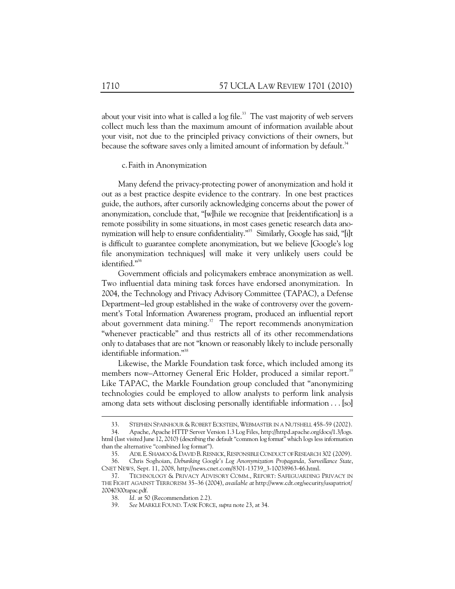about your visit into what is called a log file. $33$  The vast majority of web servers collect much less than the maximum amount of information available about your visit, not due to the principled privacy convictions of their owners, but because the software saves only a limited amount of information by default.<sup>34</sup>

### c.Faith in Anonymization

Many defend the privacy-protecting power of anonymization and hold it out as a best practice despite evidence to the contrary. In one best practices guide, the authors, after cursorily acknowledging concerns about the power of anonymization, conclude that, "[w]hile we recognize that [reidentification] is a remote possibility in some situations, in most cases genetic research data anonymization will help to ensure confidentiality."<sup>35</sup> Similarly, Google has said, "[i]t is difficult to guarantee complete anonymization, but we believe [Google's log file anonymization techniques] will make it very unlikely users could be identified."<sup>36</sup>

Government officials and policymakers embrace anonymization as well. Two influential data mining task forces have endorsed anonymization. In 2004, the Technology and Privacy Advisory Committee (TAPAC), a Defense Department−led group established in the wake of controversy over the government's Total Information Awareness program, produced an influential report about government data mining. $37$  The report recommends anonymization "whenever practicable" and thus restricts all of its other recommendations only to databases that are not "known or reasonably likely to include personally identifiable information."<sup>38</sup>

Likewise, the Markle Foundation task force, which included among its members now–Attorney General Eric Holder, produced a similar report.<sup>39</sup> Like TAPAC, the Markle Foundation group concluded that "anonymizing technologies could be employed to allow analysts to perform link analysis among data sets without disclosing personally identifiable information . . . [so]

 <sup>33.</sup> STEPHEN SPAINHOUR & ROBERT ECKSTEIN,WEBMASTER IN A NUTSHELL 458–59 (2002).

 <sup>34.</sup> Apache, Apache HTTP Server Version 1.3 Log Files, http://httpd.apache.org/docs/1.3/logs. html (last visited June 12, 2010) (describing the default "common log format" which logs less information than the alternative "combined log format").

 <sup>35.</sup> ADIL E. SHAMOO &DAVID B.RESNICK, RESPONSIBLE CONDUCT OF RESEARCH 302 (2009).

 <sup>36.</sup> Chris Soghoian, *Debunking Google's Log Anonymization Propaganda, Surveillance State*, CNET NEWS, Sept. 11, 2008, http://news.cnet.com/8301-13739\_3-10038963-46.html.

 <sup>37.</sup> TECHNOLOGY & PRIVACY ADVISORY COMM., REPORT: SAFEGUARDING PRIVACY IN THE FIGHT AGAINST TERRORISM 35–36 (2004), *available at* http://www.cdt.org/security/usapatriot/ 20040300tapac.pdf.

 <sup>38.</sup> *Id.* at 50 (Recommendation 2.2).

 <sup>39.</sup> *See* MARKLE FOUND. TASK FORCE, *supra* note 23, at 34.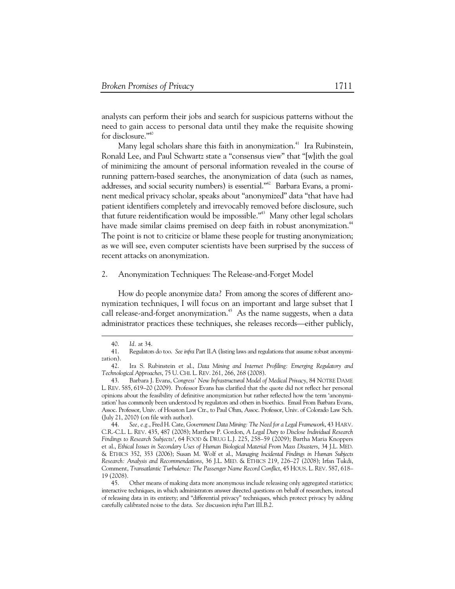analysts can perform their jobs and search for suspicious patterns without the need to gain access to personal data until they make the requisite showing for disclosure."40

Many legal scholars share this faith in anonymization.<sup>41</sup> Ira Rubinstein, Ronald Lee, and Paul Schwartz state a "consensus view" that "[w]ith the goal of minimizing the amount of personal information revealed in the course of running pattern-based searches, the anonymization of data (such as names, addresses, and social security numbers) is essential."<sup>42</sup> Barbara Evans, a prominent medical privacy scholar, speaks about "anonymized" data "that have had patient identifiers completely and irrevocably removed before disclosure, such that future reidentification would be impossible."<sup>43</sup> Many other legal scholars have made similar claims premised on deep faith in robust anonymization.<sup>44</sup> The point is not to criticize or blame these people for trusting anonymization; as we will see, even computer scientists have been surprised by the success of recent attacks on anonymization.

### 2. Anonymization Techniques: The Release-and-Forget Model

How do people anonymize data? From among the scores of different anonymization techniques, I will focus on an important and large subset that I call release-and-forget anonymization.<sup>45</sup> As the name suggests, when a data administrator practices these techniques, she releases records—either publicly,

 <sup>40.</sup> *Id.* at 34.

 <sup>41.</sup> Regulators do too. *See infra* Part II.A (listing laws and regulations that assume robust anonymization).

 <sup>42.</sup> Ira S. Rubinstein et al., *Data Mining and Internet Profiling: Emerging Regulatory and Technological Approaches*, 75 U. CHI. L. REV. 261, 266, 268 (2008).

 <sup>43.</sup> Barbara J. Evans, *Congress' New Infrastructural Model of Medical Privacy*, 84 NOTRE DAME L. REV. 585, 619–20 (2009). Professor Evans has clarified that the quote did not reflect her personal opinions about the feasibility of definitive anonymization but rather reflected how the term 'anonymization' has commonly been understood by regulators and others in bioethics. Email From Barbara Evans, Assoc. Professor, Univ. of Houston Law Ctr., to Paul Ohm, Assoc. Professor, Univ. of Colorado Law Sch. (July 21, 2010) (on file with author).

 <sup>44.</sup> *See, e.g.*, Fred H. Cate, *Government Data Mining: The Need for a Legal Framework*, 43 HARV. C.R.-C.L. L. REV. 435, 487 (2008); Matthew P. Gordon, *A Legal Duty to Disclose Individual Research Findings to Research Subjects?*, 64 FOOD & DRUG L.J. 225, 258–59 (2009); Bartha Maria Knoppers et al., *Ethical Issues in Secondary Uses of Human Biological Material From Mass Disasters*, 34 J.L. MED. & ETHICS 352, 353 (2006); Susan M. Wolf et al., *Managing Incidental Findings in Human Subjects Research: Analysis and Recommendations*, 36 J.L. MED. & ETHICS 219, 226–27 (2008); Irfan Tukdi, Comment, *Transatlantic Turbulence: The Passenger Name Record Conflict*, 45 HOUS. L. REV. 587, 618– 19 (2008).

 <sup>45.</sup> Other means of making data more anonymous include releasing only aggregated statistics; interactive techniques, in which administrators answer directed questions on behalf of researchers, instead of releasing data in its entirety; and "differential privacy" techniques, which protect privacy by adding carefully calibrated noise to the data. *See* discussion *infra* Part III.B.2.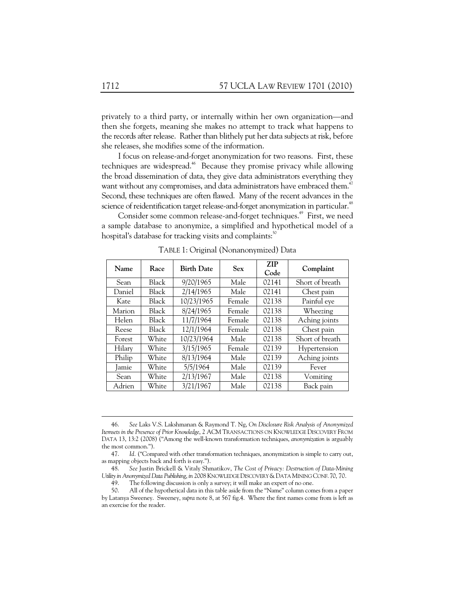privately to a third party, or internally within her own organization—and then she forgets, meaning she makes no attempt to track what happens to the records after release. Rather than blithely put her data subjects at risk, before she releases, she modifies some of the information.

I focus on release-and-forget anonymization for two reasons. First, these techniques are widespread.<sup>46</sup> Because they promise privacy while allowing the broad dissemination of data, they give data administrators everything they want without any compromises, and data administrators have embraced them.<sup>47</sup> Second, these techniques are often flawed. Many of the recent advances in the science of reidentification target release-and-forget anonymization in particular.<sup>48</sup>

Consider some common release-and-forget techniques.<sup>49</sup> First, we need a sample database to anonymize, a simplified and hypothetical model of a hospital's database for tracking visits and complaints:<sup>50</sup>

| Name   | Race         | <b>Birth Date</b> | <b>Sex</b> | <b>ZIP</b><br>Code | Complaint       |
|--------|--------------|-------------------|------------|--------------------|-----------------|
| Sean   | <b>Black</b> | 9/20/1965         | Male       | 02141              | Short of breath |
| Daniel | <b>Black</b> | 2/14/1965         | Male       | 02141              | Chest pain      |
| Kate   | Black        | 10/23/1965        | Female     | 02138              | Painful eye     |
| Marion | <b>Black</b> | 8/24/1965         | Female     | 02138              | Wheezing        |
| Helen  | Black        | 11/7/1964         | Female     | 02138              | Aching joints   |
| Reese  | Black        | 12/1/1964         | Female     | 02138              | Chest pain      |
| Forest | White        | 10/23/1964        | Male       | 02138              | Short of breath |
| Hilary | White        | 3/15/1965         | Female     | 02139              | Hypertension    |
| Philip | White        | 8/13/1964         | Male       | 02139              | Aching joints   |
| Jamie  | White        | 5/5/1964          | Male       | 02139              | Fever           |
| Sean   | White        | 2/13/1967         | Male       | 02138              | Vomiting        |
| Adrien | White        | 3/21/1967         | Male       | 02138              | Back pain       |

TABLE 1: Original (Nonanonymized) Data

 <sup>46.</sup> *See* Laks V.S. Lakshmanan & Raymond T. Ng, *On Disclosure Risk Analysis of Anonymized Itemsets in the Presence of Prior Knowledge*, 2 ACM TRANSACTIONS ON KNOWLEDGE DISCOVERY FROM DATA 13, 13:2 (2008) ("Among the well-known transformation techniques, *anonymization* is arguably the most common.").

 <sup>47.</sup> *Id.* ("Compared with other transformation techniques, anonymization is simple to carry out, as mapping objects back and forth is easy.").

 <sup>48.</sup> *See* Justin Brickell & Vitaly Shmatikov, *The Cost of Privacy: Destruction of Data-Mining Utility in Anonymized Data Publishing*, *in* 2008 KNOWLEDGE DISCOVERY &DATA MINING CONF. 70, 70.

 <sup>49.</sup> The following discussion is only a survey; it will make an expert of no one.

 <sup>50.</sup> All of the hypothetical data in this table aside from the "Name" column comes from a paper by Latanya Sweeney. Sweeney, *supra* note 8, at 567 fig.4. Where the first names come from is left as an exercise for the reader.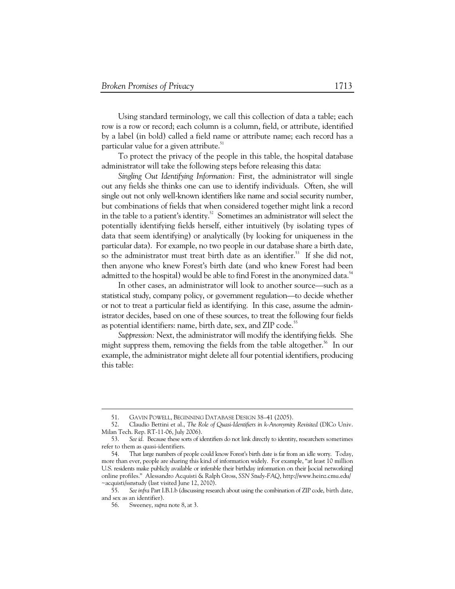Using standard terminology, we call this collection of data a table; each row is a row or record; each column is a column, field, or attribute, identified by a label (in bold) called a field name or attribute name; each record has a particular value for a given attribute. $51$ 

To protect the privacy of the people in this table, the hospital database administrator will take the following steps before releasing this data:

*Singling Out Identifying Information:* First, the administrator will single out any fields she thinks one can use to identify individuals. Often, she will single out not only well-known identifiers like name and social security number, but combinations of fields that when considered together might link a record in the table to a patient's identity.<sup>52</sup> Sometimes an administrator will select the potentially identifying fields herself, either intuitively (by isolating types of data that seem identifying) or analytically (by looking for uniqueness in the particular data). For example, no two people in our database share a birth date, so the administrator must treat birth date as an identifier.<sup>53</sup> If she did not, then anyone who knew Forest's birth date (and who knew Forest had been admitted to the hospital) would be able to find Forest in the anonymized data.<sup>54</sup>

In other cases, an administrator will look to another source—such as a statistical study, company policy, or government regulation—to decide whether or not to treat a particular field as identifying. In this case, assume the administrator decides, based on one of these sources, to treat the following four fields as potential identifiers: name, birth date, sex, and ZIP code.<sup>55</sup>

*Suppression:* Next, the administrator will modify the identifying fields. She might suppress them, removing the fields from the table altogether.<sup>56</sup> In our example, the administrator might delete all four potential identifiers, producing this table:

 <sup>51.</sup> GAVIN POWELL, BEGINNING DATABASE DESIGN 38–41 (2005).

 <sup>52.</sup> Claudio Bettini et al., *The Role of Quasi-Identifiers in k-Anonymity Revisited* (DICo Univ. Milan Tech. Rep. RT-11-06, July 2006).

 <sup>53.</sup> *See id.* Because these sorts of identifiers do not link directly to identity, researchers sometimes refer to them as quasi-identifiers.

 <sup>54.</sup> That large numbers of people could know Forest's birth date is far from an idle worry. Today, more than ever, people are sharing this kind of information widely. For example, "at least 10 million U.S. residents make publicly available or inferable their birthday information on their [social networking] online profiles." Alessandro Acquisti & Ralph Gross, *SSN Study-FAQ*, http://www.heinz.cmu.edu/ ~acquisti/ssnstudy (last visited June 12, 2010).

 <sup>55.</sup> *See infra* Part I.B.1.b (discussing research about using the combination of ZIP code, birth date, and sex as an identifier).

 <sup>56.</sup> Sweeney, *supra* note 8, at 3.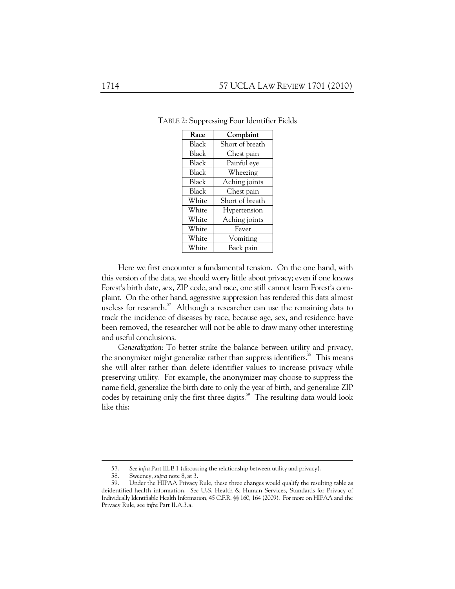| Race         | Complaint       |
|--------------|-----------------|
| Black        | Short of breath |
| <b>Black</b> | Chest pain      |
| <b>Black</b> | Painful eye     |
| <b>Black</b> | Wheezing        |
| Black        | Aching joints   |
| <b>Black</b> | Chest pain      |
| White        | Short of breath |
| White        | Hypertension    |
| White        | Aching joints   |
| White        | Fever           |
| White        | Vomiting        |
| White        | Back pain       |

TABLE 2: Suppressing Four Identifier Fields

Here we first encounter a fundamental tension. On the one hand, with this version of the data, we should worry little about privacy; even if one knows Forest's birth date, sex, ZIP code, and race, one still cannot learn Forest's complaint. On the other hand, aggressive suppression has rendered this data almost useless for research.<sup>57</sup> Although a researcher can use the remaining data to track the incidence of diseases by race, because age, sex, and residence have been removed, the researcher will not be able to draw many other interesting and useful conclusions.

*Generalization*: To better strike the balance between utility and privacy, the anonymizer might generalize rather than suppress identifiers.<sup>58</sup> This means she will alter rather than delete identifier values to increase privacy while preserving utility. For example, the anonymizer may choose to suppress the name field, generalize the birth date to only the year of birth, and generalize ZIP codes by retaining only the first three digits.<sup>59</sup> The resulting data would look like this:

 <sup>57.</sup> *See infra* Part III.B.1 (discussing the relationship between utility and privacy).

 <sup>58.</sup> Sweeney, *supra* note 8, at 3.

 <sup>59.</sup> Under the HIPAA Privacy Rule, these three changes would qualify the resulting table as deidentified health information. *See* U.S. Health & Human Services, Standards for Privacy of Individually Identifiable Health Information, 45 C.F.R. §§ 160, 164 (2009). For more on HIPAA and the Privacy Rule, see *infra* Part II.A.3.a.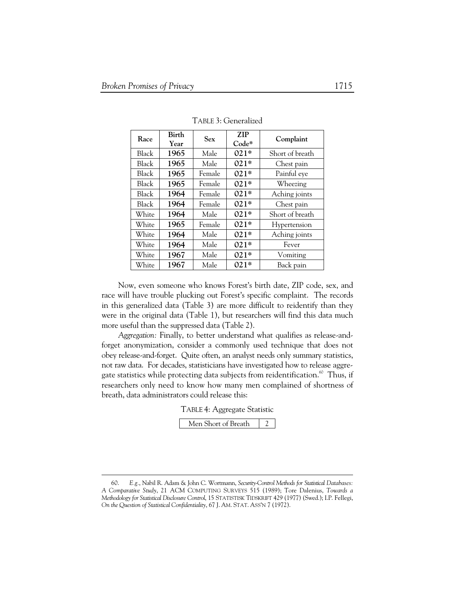-

| Race         | Birth<br>Year | <b>Sex</b> | <b>ZIP</b><br>$Code*$ | Complaint       |
|--------------|---------------|------------|-----------------------|-----------------|
| Black        | 1965          | Male       | $021*$                | Short of breath |
| Black        | 1965          | Male       | $021*$                | Chest pain      |
| Black        | 1965          | Female     | $021*$                | Painful eye     |
| Black        | 1965          | Female     | $021*$                | Wheezing        |
| <b>Black</b> | 1964          | Female     | $021*$                | Aching joints   |
| Black        | 1964          | Female     | $021*$                | Chest pain      |
| White        | 1964          | Male       | $021*$                | Short of breath |
| White        | 1965          | Female     | $021*$                | Hypertension    |
| White        | 1964          | Male       | $021*$                | Aching joints   |
| White        | 1964          | Male       | $021*$                | Fever           |
| White        | 1967          | Male       | $021*$                | Vomiting        |
| White        | 1967          | Male       | $021*$                | Back pain       |

TABLE 3: Generalized

Now, even someone who knows Forest's birth date, ZIP code, sex, and race will have trouble plucking out Forest's specific complaint. The records in this generalized data (Table 3) are more difficult to reidentify than they were in the original data (Table 1), but researchers will find this data much more useful than the suppressed data (Table 2).

*Aggregation:* Finally, to better understand what qualifies as release-andforget anonymization, consider a commonly used technique that does not obey release-and-forget. Quite often, an analyst needs only summary statistics, not raw data. For decades, statisticians have investigated how to release aggregate statistics while protecting data subjects from reidentification.<sup>60</sup> Thus, if researchers only need to know how many men complained of shortness of breath, data administrators could release this:

TABLE 4: Aggregate Statistic

| Men Short of Breath |  |
|---------------------|--|
|                     |  |

 <sup>60.</sup> *E.g.*, Nabil R. Adam & John C. Wortmann, *Security-Control Methods for Statistical Databases: A Comparative Study*, 21 ACM COMPUTING SURVEYS 515 (1989); Tore Dalenius, *Towards a Methodology for Statistical Disclosure Control*, 15 STATISTISK TIDSKRIFT 429 (1977) (Swed.); I.P. Fellegi, *On the Question of Statistical Confidentiality*, 67 J. AM. STAT. ASS'N 7 (1972).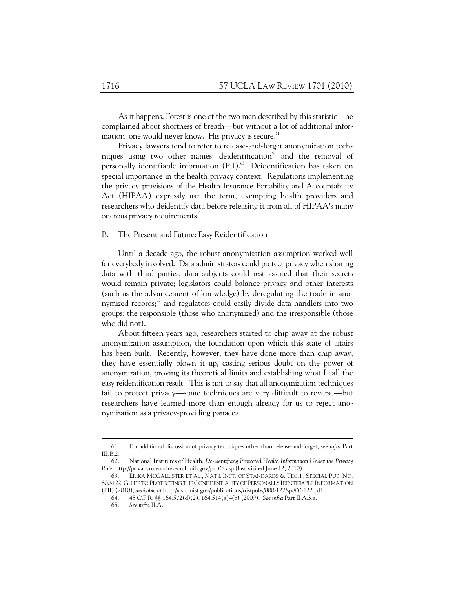As it happens, Forest is one of the two men described by this statistic—he complained about shortness of breath—but without a lot of additional information, one would never know. His privacy is secure. $61$ 

Privacy lawyers tend to refer to release-and-forget anonymization techniques using two other names: deidentification $62$  and the removal of personally identifiable information (PII).<sup>63</sup> Deidentification has taken on special importance in the health privacy context. Regulations implementing the privacy provisions of the Health Insurance Portability and Accountability Act (HIPAA) expressly use the term, exempting health providers and researchers who deidentify data before releasing it from all of HIPAA's many onerous privacy requirements.<sup>64</sup>

#### B. The Present and Future: Easy Reidentification

Until a decade ago, the robust anonymization assumption worked well for everybody involved. Data administrators could protect privacy when sharing data with third parties; data subjects could rest assured that their secrets would remain private; legislators could balance privacy and other interests (such as the advancement of knowledge) by deregulating the trade in anonymized records;<sup>65</sup> and regulators could easily divide data handlers into two groups: the responsible (those who anonymized) and the irresponsible (those who did not).

About fifteen years ago, researchers started to chip away at the robust anonymization assumption, the foundation upon which this state of affairs has been built. Recently, however, they have done more than chip away; they have essentially blown it up, casting serious doubt on the power of anonymization, proving its theoretical limits and establishing what I call the easy reidentification result. This is not to say that all anonymization techniques fail to protect privacy—some techniques are very difficult to reverse—but researchers have learned more than enough already for us to reject anonymization as a privacy-providing panacea.

 <sup>61.</sup> For additional discussion of privacy techniques other than release-and-forget, see *infra* Part III.B.2.

 <sup>62.</sup> National Institutes of Health, *De-identifying Protected Health Information Under the Privacy Rule*, http://privacyruleandresearch.nih.gov/pr\_08.asp (last visited June 12, 2010).

 <sup>63.</sup> ERIKA MCCALLISTER ET AL., NAT'L INST. OF STANDARDS & TECH., SPECIAL PUB. NO. 800-122, GUIDE TO PROTECTING THE CONFIDENTIALITY OF PERSONALLY IDENTIFIABLE INFORMATION (PII) (2010), *available at* http://csrc.nist.gov/publications/nistpubs/800-122/sp800-122.pdf.

 <sup>64. 45</sup> C.F.R. §§ 164.502(d)(2), 164.514(a)–(b) (2009). *See infra* Part II.A.3.a.

 <sup>65.</sup> *See infra* II.A.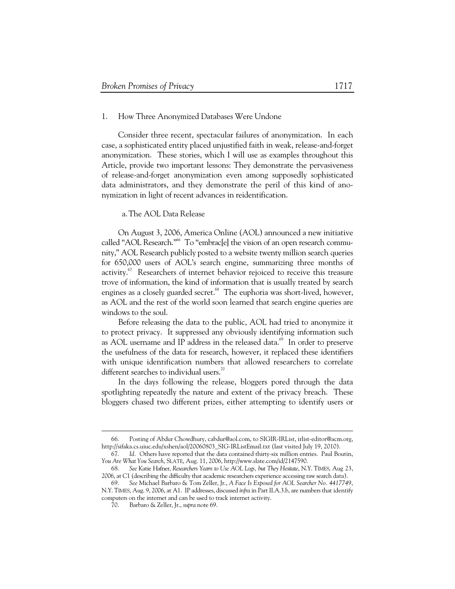### 1. How Three Anonymized Databases Were Undone

Consider three recent, spectacular failures of anonymization. In each case, a sophisticated entity placed unjustified faith in weak, release-and-forget anonymization. These stories, which I will use as examples throughout this Article, provide two important lessons: They demonstrate the pervasiveness of release-and-forget anonymization even among supposedly sophisticated data administrators, and they demonstrate the peril of this kind of anonymization in light of recent advances in reidentification.

## a.The AOL Data Release

On August 3, 2006, America Online (AOL) announced a new initiative called "AOL Research."<sup>66</sup> To "embrac<sup>[e]</sup> the vision of an open research community," AOL Research publicly posted to a website twenty million search queries for 650,000 users of AOL's search engine, summarizing three months of activity.<sup>67</sup> Researchers of internet behavior rejoiced to receive this treasure trove of information, the kind of information that is usually treated by search engines as a closely guarded secret.<sup>68</sup> The euphoria was short-lived, however, as AOL and the rest of the world soon learned that search engine queries are windows to the soul.

Before releasing the data to the public, AOL had tried to anonymize it to protect privacy. It suppressed any obviously identifying information such as AOL username and IP address in the released data.<sup>69</sup> In order to preserve the usefulness of the data for research, however, it replaced these identifiers with unique identification numbers that allowed researchers to correlate different searches to individual users.<sup>70</sup>

In the days following the release, bloggers pored through the data spotlighting repeatedly the nature and extent of the privacy breach. These bloggers chased two different prizes, either attempting to identify users or

 <sup>66.</sup> Posting of Abdur Chowdhury, cabdur@aol.com, to SIGIR-IRList, irlist-editor@acm.org, http://sifaka.cs.uiuc.edu/xshen/aol/20060803\_SIG-IRListEmail.txt (last visited July 19, 2010).

 <sup>67.</sup> *Id.* Others have reported that the data contained thirty-six million entries. Paul Boutin, *You Are What You Search*, SLATE, Aug. 11, 2006, http://www.slate.com/id/2147590.

 <sup>68.</sup> *See* Katie Hafner, *Researchers Yearn to Use AOL Logs, but They Hesitate*, N.Y. TIMES, Aug 23, 2006, at C1 (describing the difficulty that academic researchers experience accessing raw search data).

 <sup>69.</sup> *See* Michael Barbaro & Tom Zeller, Jr., *A Face Is Exposed for AOL Searcher No. 4417749*, N.Y. TIMES, Aug. 9, 2006, at A1. IP addresses, discussed *infra* in Part II.A.3.b, are numbers that identify computers on the internet and can be used to track internet activity.

 <sup>70.</sup> Barbaro & Zeller, Jr., *supra* note 69.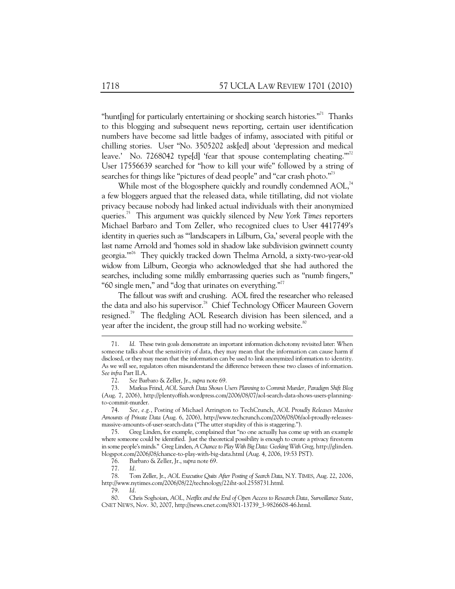"hunt [ing] for particularly entertaining or shocking search histories."<sup>71</sup> Thanks to this blogging and subsequent news reporting, certain user identification numbers have become sad little badges of infamy, associated with pitiful or chilling stories. User "No. 3505202 ask[ed] about 'depression and medical leave.' No. 7268042 type[d] 'fear that spouse contemplating cheating."<sup>72</sup> User 17556639 searched for "how to kill your wife" followed by a string of searches for things like "pictures of dead people" and "car crash photo."<sup>73</sup>

While most of the blogosphere quickly and roundly condemned AOL,<sup>74</sup> a few bloggers argued that the released data, while titillating, did not violate privacy because nobody had linked actual individuals with their anonymized queries.75 This argument was quickly silenced by *New York Times* reporters Michael Barbaro and Tom Zeller, who recognized clues to User 4417749's identity in queries such as "'landscapers in Lilburn, Ga,' several people with the last name Arnold and 'homes sold in shadow lake subdivision gwinnett county georgia.'"76 They quickly tracked down Thelma Arnold, a sixty-two-year-old widow from Lilburn, Georgia who acknowledged that she had authored the searches, including some mildly embarrassing queries such as "numb fingers," "60 single men," and "dog that urinates on everything."<sup>77</sup>

The fallout was swift and crushing. AOL fired the researcher who released the data and also his supervisor.<sup>78</sup> Chief Technology Officer Maureen Govern resigned.<sup>79</sup> The fledgling AOL Research division has been silenced, and a year after the incident, the group still had no working website.<sup>80</sup>

-

 78. Tom Zeller, Jr., *AOL Executive Quits After Posting of Search Data*, N.Y. TIMES, Aug. 22, 2006, http://www.nytimes.com/2006/08/22/technology/22iht-aol.2558731.html.

79. *Id.* 

 <sup>71.</sup> *Id.* These twin goals demonstrate an important information dichotomy revisited later: When someone talks about the sensitivity of data, they may mean that the information can cause harm if disclosed, or they may mean that the information can be used to link anonymized information to identity. As we will see, regulators often misunderstand the difference between these two classes of information. *See infra* Part II.A.

 <sup>72.</sup> *See* Barbaro & Zeller, Jr., *supra* note 69.

 <sup>73.</sup> Markus Frind, *AOL Search Data Shows Users Planning to Commit Murder, Paradigm Shift Blog* (Aug. 7, 2006), http://plentyoffish.wordpress.com/2006/08/07/aol-search-data-shows-users-planningto-commit-murder.

 <sup>74.</sup> *See, e.g.*, Posting of Michael Arrington to TechCrunch, *AOL Proudly Releases Massive Amounts of Private Data* (Aug. 6, 2006), http://www.techcrunch.com/2006/08/06/aol-proudly-releasesmassive-amounts-of-user-search-data ("The utter stupidity of this is staggering.").

 <sup>75.</sup> Greg Linden, for example, complained that "no one actually has come up with an example where someone could be identified. Just the theoretical possibility is enough to create a privacy firestorm in some people's minds." Greg Linden, *A Chance to Play With Big Data: Geeking With Greg*, http://glinden. blogspot.com/2006/08/chance-to-play-with-big-data.html (Aug. 4, 2006, 19:53 PST).

 <sup>76.</sup> Barbaro & Zeller, Jr., *supra* note 69.

 <sup>77.</sup> *Id.* 

 <sup>80.</sup> Chris Soghoian, *AOL, Netflix and the End of Open Access to Research Data, Surveillance State*, CNET NEWS, Nov. 30, 2007, http://news.cnet.com/8301-13739\_3-9826608-46.html.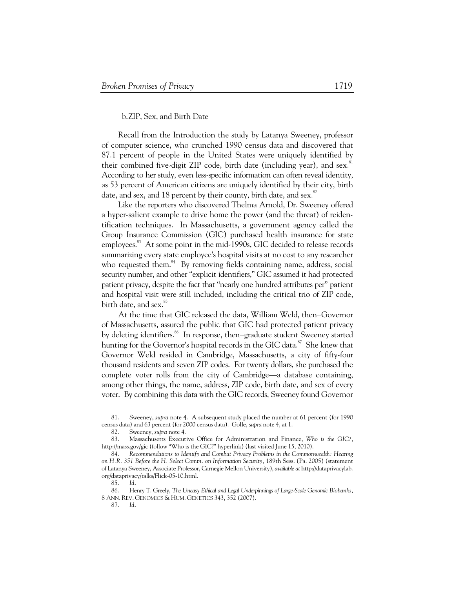# b.ZIP, Sex, and Birth Date

Recall from the Introduction the study by Latanya Sweeney, professor of computer science, who crunched 1990 census data and discovered that 87.1 percent of people in the United States were uniquely identified by their combined five-digit ZIP code, birth date (including year), and sex.<sup>8</sup> According to her study, even less-specific information can often reveal identity, as 53 percent of American citizens are uniquely identified by their city, birth date, and sex, and 18 percent by their county, birth date, and sex.<sup>82</sup>

Like the reporters who discovered Thelma Arnold, Dr. Sweeney offered a hyper-salient example to drive home the power (and the threat) of reidentification techniques. In Massachusetts, a government agency called the Group Insurance Commission (GIC) purchased health insurance for state employees.<sup>83</sup> At some point in the mid-1990s, GIC decided to release records summarizing every state employee's hospital visits at no cost to any researcher who requested them.<sup>84</sup> By removing fields containing name, address, social security number, and other "explicit identifiers," GIC assumed it had protected patient privacy, despite the fact that "nearly one hundred attributes per" patient and hospital visit were still included, including the critical trio of ZIP code, birth date, and sex.<sup>85</sup>

At the time that GIC released the data, William Weld, then−Governor of Massachusetts, assured the public that GIC had protected patient privacy by deleting identifiers.<sup>86</sup> In response, then–graduate student Sweeney started hunting for the Governor's hospital records in the GIC data.<sup>87</sup> She knew that Governor Weld resided in Cambridge, Massachusetts, a city of fifty-four thousand residents and seven ZIP codes. For twenty dollars, she purchased the complete voter rolls from the city of Cambridge—a database containing, among other things, the name, address, ZIP code, birth date, and sex of every voter. By combining this data with the GIC records, Sweeney found Governor

 <sup>81.</sup> Sweeney, *supra* note 4. A subsequent study placed the number at 61 percent (for 1990 census data) and 63 percent (for 2000 census data). Golle, *supra* note 4, at 1.

 <sup>82.</sup> Sweeney, *supra* note 4.

 <sup>83.</sup> Massachusetts Executive Office for Administration and Finance, *Who is the GIC?*, http://mass.gov/gic (follow "Who is the GIC?" hyperlink) (last visited June 15, 2010).

 <sup>84.</sup> *Recommendations to Identify and Combat Privacy Problems in the Commonwealth: Hearing on H.R. 351 Before the H. Select Comm. on Information Security,* 189th Sess. (Pa. 2005) (statement of Latanya Sweeney, Associate Professor, Carnegie Mellon University), *available at* http://dataprivacylab. org/dataprivacy/talks/Flick-05-10.html.

 <sup>85.</sup> *Id.* 

 <sup>86.</sup> Henry T. Greely, *The Uneasy Ethical and Legal Underpinnings of Large-Scale Genomic Biobanks*, 8 ANN. REV. GENOMICS & HUM. GENETICS 343, 352 (2007).

 <sup>87.</sup> *Id.*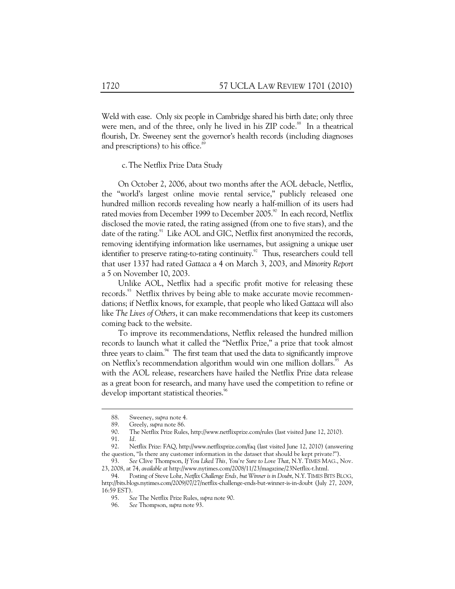Weld with ease. Only six people in Cambridge shared his birth date; only three were men, and of the three, only he lived in his  $ZIP$  code.<sup>88</sup> In a theatrical flourish, Dr. Sweeney sent the governor's health records (including diagnoses and prescriptions) to his office.<sup>8</sup>

c.The Netflix Prize Data Study

On October 2, 2006, about two months after the AOL debacle, Netflix, the "world's largest online movie rental service," publicly released one hundred million records revealing how nearly a half-million of its users had rated movies from December 1999 to December 2005.<sup>90</sup> In each record, Netflix disclosed the movie rated, the rating assigned (from one to five stars), and the date of the rating.<sup>91</sup> Like AOL and GIC, Netflix first anonymized the records, removing identifying information like usernames, but assigning a unique user identifier to preserve rating-to-rating continuity.<sup>92</sup> Thus, researchers could tell that user 1337 had rated *Gattaca* a 4 on March 3, 2003, and *Minority Report* a 5 on November 10, 2003.

Unlike AOL, Netflix had a specific profit motive for releasing these records.<sup>93</sup> Netflix thrives by being able to make accurate movie recommendations; if Netflix knows, for example, that people who liked *Gattaca* will also like *The Lives of Others*, it can make recommendations that keep its customers coming back to the website.

To improve its recommendations, Netflix released the hundred million records to launch what it called the "Netflix Prize," a prize that took almost three years to claim. $94$  The first team that used the data to significantly improve on Netflix's recommendation algorithm would win one million dollars.<sup>95</sup> As with the AOL release, researchers have hailed the Netflix Prize data release as a great boon for research, and many have used the competition to refine or develop important statistical theories.<sup>96</sup>

 <sup>88.</sup> Sweeney, *supra* note 4.

Greely, *supra* note 86.

 <sup>90.</sup> The Netflix Prize Rules, http://www.netflixprize.com/rules (last visited June 12, 2010).

 <sup>91.</sup> *Id.* 

 <sup>92.</sup> Netflix Prize: FAQ, http://www.netflixprize.com/faq (last visited June 12, 2010) (answering the question, "Is there any customer information in the dataset that should be kept private?").

 <sup>93.</sup> *See* Clive Thompson, *If You Liked This, You're Sure to Love That*, N.Y. TIMES MAG., Nov. 23, 2008, at 74, *available at* http://www.nytimes.com/2008/11/23/magazine/23Netflix-t.html.

 <sup>94.</sup> Posting of Steve Lohr, *Netflix Challenge Ends, but Winner is in Doubt*, N.Y.TIMES BITS BLOG, http://bits.blogs.nytimes.com/2009/07/27/netflix-challenge-ends-but-winner-is-in-doubt (July 27, 2009, 16:59 EST).

 <sup>95.</sup> *See* The Netflix Prize Rules, *supra* note 90.

 <sup>96.</sup> *See* Thompson, *supra* note 93.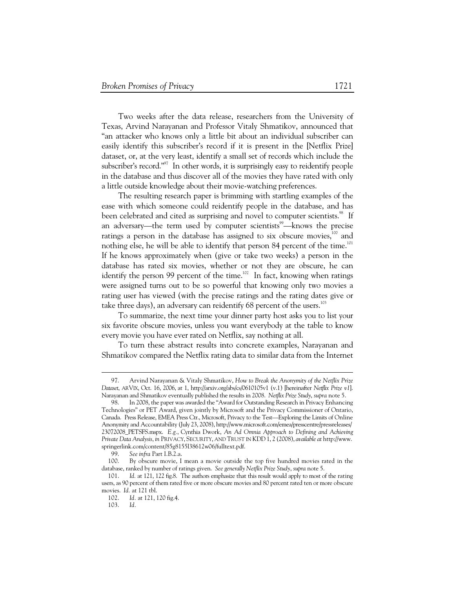Two weeks after the data release, researchers from the University of Texas, Arvind Narayanan and Professor Vitaly Shmatikov, announced that "an attacker who knows only a little bit about an individual subscriber can easily identify this subscriber's record if it is present in the [Netflix Prize] dataset, or, at the very least, identify a small set of records which include the subscriber's record."<sup>97</sup> In other words, it is surprisingly easy to reidentify people in the database and thus discover all of the movies they have rated with only a little outside knowledge about their movie-watching preferences.

The resulting research paper is brimming with startling examples of the ease with which someone could reidentify people in the database, and has been celebrated and cited as surprising and novel to computer scientists.<sup>98</sup> If an adversary—the term used by computer scientists<sup>99</sup>—knows the precise ratings a person in the database has assigned to six obscure movies, $100$  and nothing else, he will be able to identify that person 84 percent of the time.<sup>101</sup> If he knows approximately when (give or take two weeks) a person in the database has rated six movies, whether or not they are obscure, he can identify the person 99 percent of the time.<sup>102</sup> In fact, knowing when ratings were assigned turns out to be so powerful that knowing only two movies a rating user has viewed (with the precise ratings and the rating dates give or take three days), an adversary can reidentify  $68$  percent of the users.<sup>103</sup>

To summarize, the next time your dinner party host asks you to list your six favorite obscure movies, unless you want everybody at the table to know every movie you have ever rated on Netflix, say nothing at all.

To turn these abstract results into concrete examples, Narayanan and Shmatikov compared the Netflix rating data to similar data from the Internet

 <sup>97.</sup> Arvind Narayanan & Vitaly Shmatikov, *How to Break the Anonymity of the Netflix Prize Dataset*, ARVIX, Oct. 16, 2006, at 1, http://arxiv.org/abs/cs/0610105v1 (v.1) [hereinafter *Netflix Prize v1*]. Narayanan and Shmatikov eventually published the results in 2008. *Netflix Prize Study*, *supra* note 5.

 <sup>98.</sup> In 2008, the paper was awarded the "Award for Outstanding Research in Privacy Enhancing Technologies" or PET Award, given jointly by Microsoft and the Privacy Commissioner of Ontario, Canada. Press Release, EMEA Press Ctr., Microsoft, Privacy to the Test—Exploring the Limits of Online Anonymity and Accountability (July 23, 2008), http://www.microsoft.com/emea/presscentre/pressreleases/ 23072008\_PETSFS.mspx. *E.g.*, Cynthia Dwork, *An Ad Omnia Approach to Defining and Achieving Private Data Analysis*, *in* PRIVACY, SECURITY, AND TRUST IN KDD 1, 2 (2008), *available at* http://www. springerlink.com/content/85g8155l38612w06/fulltext.pdf.

 <sup>99.</sup> *See infra* Part I.B.2.a.

 <sup>100.</sup> By obscure movie, I mean a movie outside the top five hundred movies rated in the database, ranked by number of ratings given. *See generally Netflix Prize Study*, *supra* note 5.

 <sup>101.</sup> *Id.* at 121, 122 fig.8. The authors emphasize that this result would apply to most of the rating users, as 90 percent of them rated five or more obscure movies and 80 percent rated ten or more obscure movies. *Id.* at 121 tbl.

 <sup>102.</sup> *Id.* at 121, 120 fig.4.

 <sup>103.</sup> *Id.*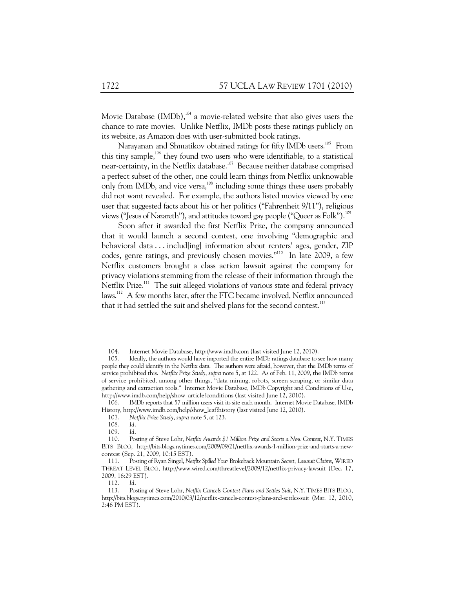Movie Database (IMDb),<sup>104</sup> a movie-related website that also gives users the chance to rate movies. Unlike Netflix, IMDb posts these ratings publicly on its website, as Amazon does with user-submitted book ratings.

Narayanan and Shmatikov obtained ratings for fifty IMDb users.<sup>105</sup> From this tiny sample,<sup>106</sup> they found two users who were identifiable, to a statistical near-certainty, in the Netflix database.<sup>107</sup> Because neither database comprised a perfect subset of the other, one could learn things from Netflix unknowable only from IMDb, and vice versa, <sup>108</sup> including some things these users probably did not want revealed. For example, the authors listed movies viewed by one user that suggested facts about his or her politics ("Fahrenheit 9/11"), religious views ("Jesus of Nazareth"), and attitudes toward gay people ("Queer as Folk").<sup>109</sup>

Soon after it awarded the first Netflix Prize, the company announced that it would launch a second contest, one involving "demographic and behavioral data . . . includ[ing] information about renters' ages, gender, ZIP codes, genre ratings, and previously chosen movies."<sup>110</sup> In late 2009, a few Netflix customers brought a class action lawsuit against the company for privacy violations stemming from the release of their information through the Netflix Prize.<sup>111</sup> The suit alleged violations of various state and federal privacy laws.<sup>112</sup> A few months later, after the FTC became involved, Netflix announced that it had settled the suit and shelved plans for the second contest.<sup>113</sup>

 <sup>104.</sup> Internet Movie Database, http://www.imdb.com (last visited June 12, 2010).

 <sup>105.</sup> Ideally, the authors would have imported the entire IMDb ratings database to see how many people they could identify in the Netflix data. The authors were afraid, however, that the IMDb terms of service prohibited this. *Netflix Prize Study*, *supra* note 5, at 122. As of Feb. 11, 2009, the IMDb terms of service prohibited, among other things, "data mining, robots, screen scraping, or similar data gathering and extraction tools." Internet Movie Database, IMDb Copyright and Conditions of Use, http://www.imdb.com/help/show\_article?conditions (last visited June 12, 2010).

 <sup>106.</sup> IMDb reports that 57 million users visit its site each month. Internet Movie Database, IMDb History, http://www.imdb.com/help/show\_leaf?history (last visited June 12, 2010).

 <sup>107.</sup> *Netflix Prize Study*, *supra* note 5, at 123.

 <sup>108.</sup> *Id.* 

 <sup>109.</sup> *Id.* 

 <sup>110.</sup> Posting of Steve Lohr, *Netflix Awards \$1 Million Prize and Starts a New Contest*, N.Y. TIMES BITS BLOG, http://bits.blogs.nytimes.com/2009/09/21/netflix-awards-1-million-prize-and-starts-a-newcontest (Sep. 21, 2009, 10:15 EST).

 <sup>111.</sup> Posting of Ryan Singel, *Netflix Spilled Your* Brokeback Mountain *Secret, Lawsuit Claims*, WIRED THREAT LEVEL BLOG, http://www.wired.com/threatlevel/2009/12/netflix-privacy-lawsuit (Dec. 17, 2009, 16:29 EST).

 <sup>112.</sup> *Id.* 

 <sup>113.</sup> Posting of Steve Lohr, *Netflix Cancels Contest Plans and Settles Suit*, N.Y. TIMES BITS BLOG, http://bits.blogs.nytimes.com/2010/03/12/netflix-cancels-contest-plans-and-settles-suit (Mar. 12, 2010, 2:46 PM EST).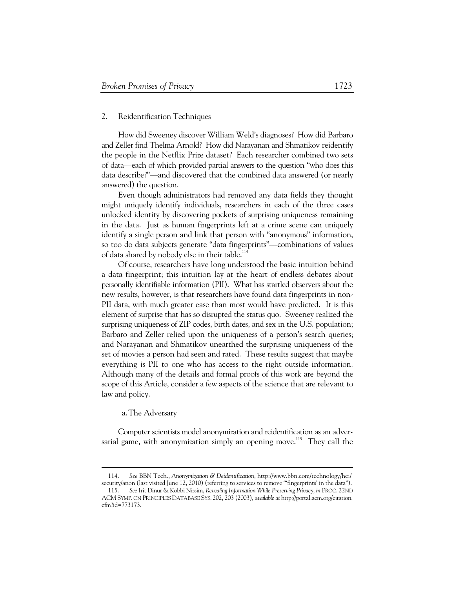# 2. Reidentification Techniques

How did Sweeney discover William Weld's diagnoses? How did Barbaro and Zeller find Thelma Arnold? How did Narayanan and Shmatikov reidentify the people in the Netflix Prize dataset? Each researcher combined two sets of data—each of which provided partial answers to the question "who does this data describe?"—and discovered that the combined data answered (or nearly answered) the question.

Even though administrators had removed any data fields they thought might uniquely identify individuals, researchers in each of the three cases unlocked identity by discovering pockets of surprising uniqueness remaining in the data. Just as human fingerprints left at a crime scene can uniquely identify a single person and link that person with "anonymous" information, so too do data subjects generate "data fingerprints"—combinations of values of data shared by nobody else in their table.<sup>114</sup>

Of course, researchers have long understood the basic intuition behind a data fingerprint; this intuition lay at the heart of endless debates about personally identifiable information (PII). What has startled observers about the new results, however, is that researchers have found data fingerprints in non-PII data, with much greater ease than most would have predicted. It is this element of surprise that has so disrupted the status quo. Sweeney realized the surprising uniqueness of ZIP codes, birth dates, and sex in the U.S. population; Barbaro and Zeller relied upon the uniqueness of a person's search queries; and Narayanan and Shmatikov unearthed the surprising uniqueness of the set of movies a person had seen and rated. These results suggest that maybe everything is PII to one who has access to the right outside information. Although many of the details and formal proofs of this work are beyond the scope of this Article, consider a few aspects of the science that are relevant to law and policy.

## a.The Adversary

-

Computer scientists model anonymization and reidentification as an adversarial game, with anonymization simply an opening move.<sup>115</sup> They call the

 <sup>114.</sup> *See* BBN Tech., *Anonymization & Deidentification*, http://www.bbn.com/technology/hci/ security/anon (last visited June 12, 2010) (referring to services to remove '"fingerprints' in the data").

 <sup>115.</sup> *See* Irit Dinur & Kobbi Nissim, *Revealing Information While Preserving Privacy*, *in* PROC. 22ND ACM SYMP. ON PRINCIPLES DATABASE SYS. 202, 203 (2003), *available at* http://portal.acm.org/citation. cfm?id=773173.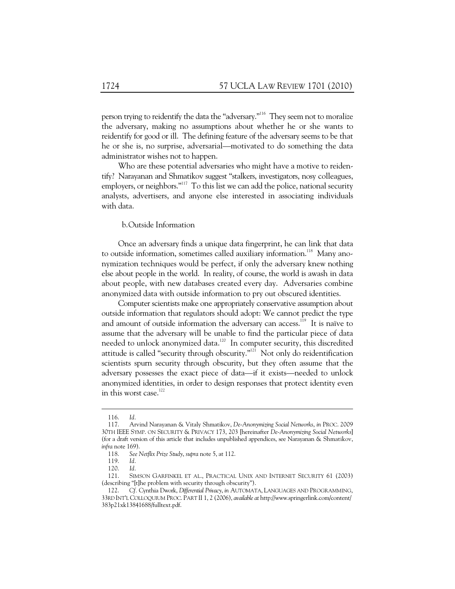person trying to reidentify the data the "adversary."116 They seem not to moralize the adversary, making no assumptions about whether he or she wants to reidentify for good or ill. The defining feature of the adversary seems to be that he or she is, no surprise, adversarial—motivated to do something the data administrator wishes not to happen.

Who are these potential adversaries who might have a motive to reidentify? Narayanan and Shmatikov suggest "stalkers, investigators, nosy colleagues, employers, or neighbors."<sup>117</sup> To this list we can add the police, national security analysts, advertisers, and anyone else interested in associating individuals with data.

# b.Outside Information

Once an adversary finds a unique data fingerprint, he can link that data to outside information, sometimes called auxiliary information.<sup>118</sup> Many anonymization techniques would be perfect, if only the adversary knew nothing else about people in the world. In reality, of course, the world is awash in data about people, with new databases created every day. Adversaries combine anonymized data with outside information to pry out obscured identities.

Computer scientists make one appropriately conservative assumption about outside information that regulators should adopt: We cannot predict the type and amount of outside information the adversary can access.<sup>119</sup> It is naïve to assume that the adversary will be unable to find the particular piece of data needed to unlock anonymized data.<sup>120</sup> In computer security, this discredited attitude is called "security through obscurity."<sup>121</sup> Not only do reidentification scientists spurn security through obscurity, but they often assume that the adversary possesses the exact piece of data—if it exists—needed to unlock anonymized identities, in order to design responses that protect identity even in this worst case.<sup>122</sup>

 <sup>116.</sup> *Id.* 

 <sup>117.</sup> Arvind Narayanan & Vitaly Shmatikov, *De-Anonymizing Social Networks*, *in* PROC. 2009 30TH IEEE SYMP. ON SECURITY & PRIVACY 173, 203 [hereinafter *De-Anonymizing Social Networks*] (for a draft version of this article that includes unpublished appendices, see Narayanan & Shmatikov, *infra* note 169).

 <sup>118.</sup> *See Netflix Prize Study*, *supra* note 5, at 112.

 <sup>119.</sup> *Id.*

 <sup>120.</sup> *Id.* 

 <sup>121.</sup> SIMSON GARFINKEL ET AL., PRACTICAL UNIX AND INTERNET SECURITY 61 (2003) (describing "[t]he problem with security through obscurity").

 <sup>122.</sup> *Cf.* Cynthia Dwork, *Differential Privacy*, *in* AUTOMATA, LANGUAGES AND PROGRAMMING, 33RD INT'L COLLOQUIUM PROC. PART II 1, 2 (2006), *available at* http://www.springerlink.com/content/ 383p21xk13841688/fulltext.pdf.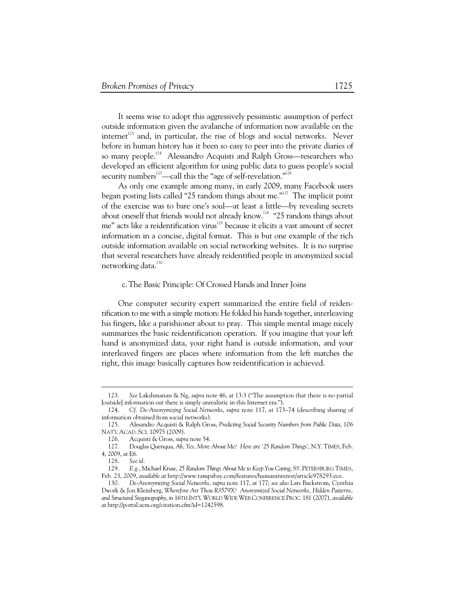It seems wise to adopt this aggressively pessimistic assumption of perfect outside information given the avalanche of information now available on the internet<sup>123</sup> and, in particular, the rise of blogs and social networks. Never before in human history has it been so easy to peer into the private diaries of so many people.<sup>124</sup> Alessandro Acquisti and Ralph Gross—researchers who developed an efficient algorithm for using public data to guess people's social security numbers<sup>125</sup>—call this the "age of self-revelation."<sup>126</sup>

As only one example among many, in early 2009, many Facebook users began posting lists called "25 random things about me."<sup>127</sup> The implicit point of the exercise was to bare one's soul—at least a little—by revealing secrets about oneself that friends would not already know.<sup>128</sup> "25 random things about me" acts like a reidentification virus<sup>129</sup> because it elicits a vast amount of secret information in a concise, digital format. This is but one example of the rich outside information available on social networking websites. It is no surprise that several researchers have already reidentified people in anonymized social networking data.<sup>130</sup>

#### c.The Basic Principle: Of Crossed Hands and Inner Joins

One computer security expert summarized the entire field of reidentification to me with a simple motion: He folded his hands together, interleaving his fingers, like a parishioner about to pray. This simple mental image nicely summarizes the basic reidentification operation. If you imagine that your left hand is anonymized data, your right hand is outside information, and your interleaved fingers are places where information from the left matches the right, this image basically captures how reidentification is achieved.

 <sup>123.</sup> *See* Lakshmanan & Ng, *supra* note 46, at 13:3 ("The assumption that there is no partial [outside] information out there is simply unrealistic in this Internet era.").

 <sup>124.</sup> *Cf. De-Anonymizing Social Networks*, *supra* note 117, at 173–74 (describing sharing of information obtained from social networks).

 <sup>125.</sup> Alesandro Acquisti & Ralph Gross, *Predicting Social Security Numbers from Public Data*, 106 NAT'L ACAD. SCI. 10975 (2009).

 <sup>126.</sup> Acquisti & Gross, *supra* note 54.

 <sup>127.</sup> Douglas Quenqua, *Ah, Yes, More About Me? Here are '25 Random Things'*, N.Y. TIMES, Feb. 4, 2009, at E6.

 <sup>128.</sup> *See id.* 

 <sup>129.</sup> *E.g.*, Michael Kruse, *25 Random Things About Me to Keep You Caring*, ST. PETERSBURG TIMES, Feb. 23, 2009, *available at* http://www.tampabay.com/features/humaninterest/article978293.ece.

<sup>130</sup>*. De-Anonymizing Social Networks*, *supra* note 117, at 177; *see also* Lars Backstrom, Cynthia Dwork & Jon Kleinberg, *Wherefore Art Thou R3579X? Anonymized Social Networks, Hidden Patterns, and Structural Steganography*, *in* 16TH INT'L WORLD WIDE WEB CONFERENCE PROC. 181 (2007), *available at* http://portal.acm.org/citation.cfm?id=1242598.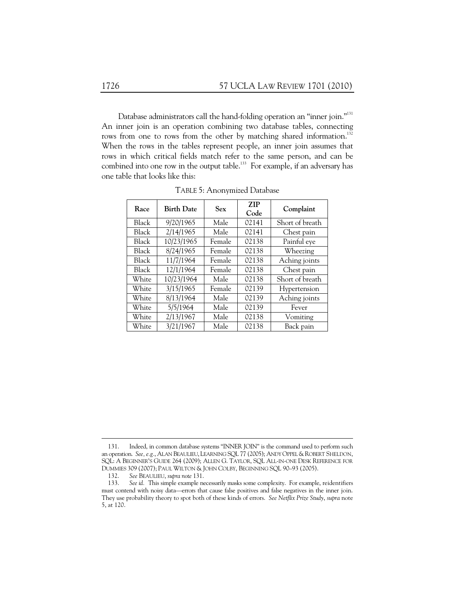Database administrators call the hand-folding operation an "inner join."<sup>131</sup> An inner join is an operation combining two database tables, connecting rows from one to rows from the other by matching shared information.<sup>132</sup> When the rows in the tables represent people, an inner join assumes that rows in which critical fields match refer to the same person, and can be combined into one row in the output table.<sup>133</sup> For example, if an adversary has one table that looks like this:

| Race  | <b>Birth Date</b> | <b>Sex</b> | <b>ZIP</b><br>Code | Complaint       |
|-------|-------------------|------------|--------------------|-----------------|
| Black | 9/20/1965         | Male       | 02141              | Short of breath |
| Black | 2/14/1965         | Male       | 02141              | Chest pain      |
| Black | 10/23/1965        | Female     | 02138              | Painful eye     |
| Black | 8/24/1965         | Female     | 02138              | Wheezing        |
| Black | 11/7/1964         | Female     | 02138              | Aching joints   |
| Black | 12/1/1964         | Female     | 02138              | Chest pain      |
| White | 10/23/1964        | Male       | 02138              | Short of breath |
| White | 3/15/1965         | Female     | 02139              | Hypertension    |
| White | 8/13/1964         | Male       | 02139              | Aching joints   |
| White | 5/5/1964          | Male       | 02139              | Fever           |
| White | 2/13/1967         | Male       | 02138              | Vomiting        |
| White | 3/21/1967         | Male       | 02138              | Back pain       |

TABLE 5: Anonymized Database

 <sup>131.</sup> Indeed, in common database systems "INNER JOIN" is the command used to perform such an operation. *See, e.g.*, ALAN BEAULIEU, LEARNING SQL 77 (2005); ANDY OPPEL & ROBERT SHELDON, SQL: A BEGINNER'S GUIDE 264 (2009); ALLEN G. TAYLOR, SQL ALL-IN-ONE DESK REFERENCE FOR DUMMIES 309 (2007); PAUL WILTON & JOHN COLBY, BEGINNING SQL 90–93 (2005).<br>132. See BEAULIEU, supra note 131.

 <sup>132.</sup> *See* BEAULIEU, *supra note* 131.

 <sup>133.</sup> *See id.* This simple example necessarily masks some complexity. For example, reidentifiers must contend with noisy data—errors that cause false positives and false negatives in the inner join. They use probability theory to spot both of these kinds of errors. *See Netflix Prize Study*, *supra* note 5, at 120.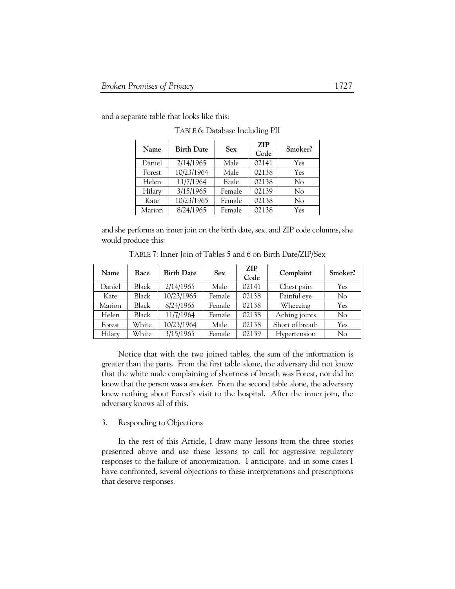and a separate table that looks like this:

| Name   | <b>Birth Date</b> | <b>Sex</b> | <b>ZIP</b><br>Code | Smoker?  |
|--------|-------------------|------------|--------------------|----------|
| Daniel | 2/14/1965         | Male       | 02141              | Yes      |
| Forest | 10/23/1964        | Male       | 02138              | Yes      |
| Helen  | 11/7/1964         | Feale      | 02138              | $\rm No$ |
| Hilary | 3/15/1965         | Female     | 02139              | No       |
| Kate   | 10/23/1965        | Female     | 02138              | No       |
| Marion | 8/24/1965         | Female     | 02138              | Yes      |

TABLE 6: Database Including PII

and she performs an inner join on the birth date, sex, and ZIP code columns, she would produce this:

| Name   | Race  | <b>Birth Date</b> | <b>Sex</b> | <b>ZIP</b><br>Code | Complaint       | Smoker? |
|--------|-------|-------------------|------------|--------------------|-----------------|---------|
| Daniel | Black | 2/14/1965         | Male       | 02141              | Chest pain      | Yes     |
| Kate   | Black | 10/23/1965        | Female     | 02138              | Painful eye     | No      |
| Marion | Black | 8/24/1965         | Female     | 02138              | Wheezing        | Yes     |
| Helen  | Black | 11/7/1964         | Female     | 02138              | Aching joints   | No      |
| Forest | White | 10/23/1964        | Male       | 02138              | Short of breath | Yes     |
| Hilary | White | 3/15/1965         | Female     | 02139              | Hypertension    | No      |

TABLE 7: Inner Join of Tables 5 and 6 on Birth Date/ZIP/Sex

Notice that with the two joined tables, the sum of the information is greater than the parts. From the first table alone, the adversary did not know that the white male complaining of shortness of breath was Forest, nor did he know that the person was a smoker. From the second table alone, the adversary knew nothing about Forest's visit to the hospital. After the inner join, the adversary knows all of this.

### 3. Responding to Objections

In the rest of this Article, I draw many lessons from the three stories presented above and use these lessons to call for aggressive regulatory responses to the failure of anonymization. I anticipate, and in some cases I have confronted, several objections to these interpretations and prescriptions that deserve responses.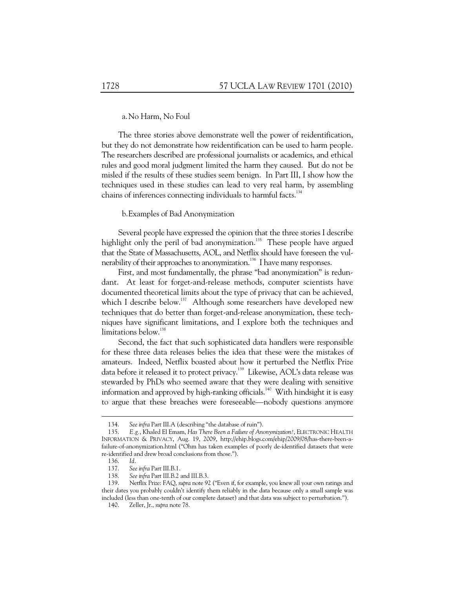### a.No Harm, No Foul

The three stories above demonstrate well the power of reidentification, but they do not demonstrate how reidentification can be used to harm people. The researchers described are professional journalists or academics, and ethical rules and good moral judgment limited the harm they caused. But do not be misled if the results of these studies seem benign. In Part III, I show how the techniques used in these studies can lead to very real harm, by assembling chains of inferences connecting individuals to harmful facts.<sup>134</sup>

#### b.Examples of Bad Anonymization

Several people have expressed the opinion that the three stories I describe highlight only the peril of bad anonymization.<sup>135</sup> These people have argued that the State of Massachusetts, AOL, and Netflix should have foreseen the vulnerability of their approaches to anonymization.<sup>136</sup> I have many responses.

First, and most fundamentally, the phrase "bad anonymization" is redundant. At least for forget-and-release methods, computer scientists have documented theoretical limits about the type of privacy that can be achieved, which I describe below.<sup>137</sup> Although some researchers have developed new techniques that do better than forget-and-release anonymization, these techniques have significant limitations, and I explore both the techniques and limitations below.<sup>138</sup>

Second, the fact that such sophisticated data handlers were responsible for these three data releases belies the idea that these were the mistakes of amateurs. Indeed, Netflix boasted about how it perturbed the Netflix Prize data before it released it to protect privacy.<sup>139</sup> Likewise, AOL's data release was stewarded by PhDs who seemed aware that they were dealing with sensitive information and approved by high-ranking officials.<sup>140</sup> With hindsight it is easy to argue that these breaches were foreseeable—nobody questions anymore

 <sup>134.</sup> *See infra* Part III.A (describing "the database of ruin").

 <sup>135.</sup> *E.g.*, Khaled El Emam, *Has There Been a Failure of Anonymization?*, ELECTRONIC HEALTH INFORMATION & PRIVACY, Aug. 19, 2009, http://ehip.blogs.com/ehip/2009/08/has-there-been-afailure-of-anonymization.html ("Ohm has taken examples of poorly de-identified datasets that were re-identified and drew broad conclusions from those.").

 <sup>136.</sup> *Id.*

 <sup>137.</sup> *See infra* Part III.B.1.

 <sup>138.</sup> *See infra* Part III.B.2 and III.B.3.

 <sup>139.</sup> Netflix Prize: FAQ, *supra* note 92 ("Even if, for example, you knew all your own ratings and their dates you probably couldn't identify them reliably in the data because only a small sample was included (less than one-tenth of our complete dataset) and that data was subject to perturbation.").

 <sup>140.</sup> Zeller, Jr., *supra* note 78.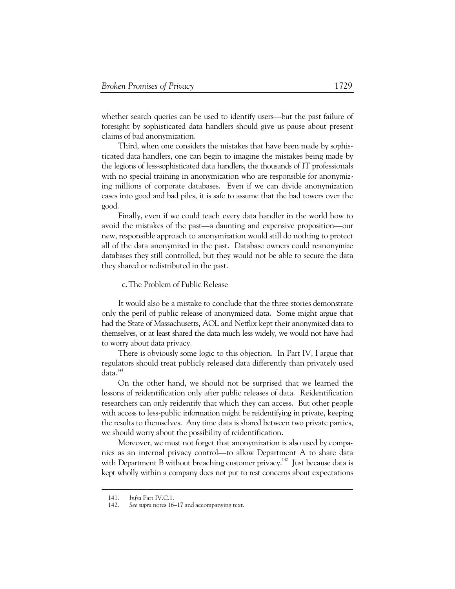whether search queries can be used to identify users—but the past failure of foresight by sophisticated data handlers should give us pause about present claims of bad anonymization.

Third, when one considers the mistakes that have been made by sophisticated data handlers, one can begin to imagine the mistakes being made by the legions of less-sophisticated data handlers, the thousands of IT professionals with no special training in anonymization who are responsible for anonymizing millions of corporate databases. Even if we can divide anonymization cases into good and bad piles, it is safe to assume that the bad towers over the good.

Finally, even if we could teach every data handler in the world how to avoid the mistakes of the past—a daunting and expensive proposition—our new, responsible approach to anonymization would still do nothing to protect all of the data anonymized in the past. Database owners could reanonymize databases they still controlled, but they would not be able to secure the data they shared or redistributed in the past.

## c.The Problem of Public Release

It would also be a mistake to conclude that the three stories demonstrate only the peril of public release of anonymized data. Some might argue that had the State of Massachusetts, AOL and Netflix kept their anonymized data to themselves, or at least shared the data much less widely, we would not have had to worry about data privacy.

There is obviously some logic to this objection. In Part IV, I argue that regulators should treat publicly released data differently than privately used data.<sup>141</sup>

On the other hand, we should not be surprised that we learned the lessons of reidentification only after public releases of data. Reidentification researchers can only reidentify that which they can access. But other people with access to less-public information might be reidentifying in private, keeping the results to themselves. Any time data is shared between two private parties, we should worry about the possibility of reidentification.

Moreover, we must not forget that anonymization is also used by companies as an internal privacy control—to allow Department A to share data with Department B without breaching customer privacy.<sup>142</sup> Just because data is kept wholly within a company does not put to rest concerns about expectations

 <sup>141.</sup> *Infra* Part IV.C.1.

 <sup>142.</sup> *See supra* notes 16–17 and accompanying text.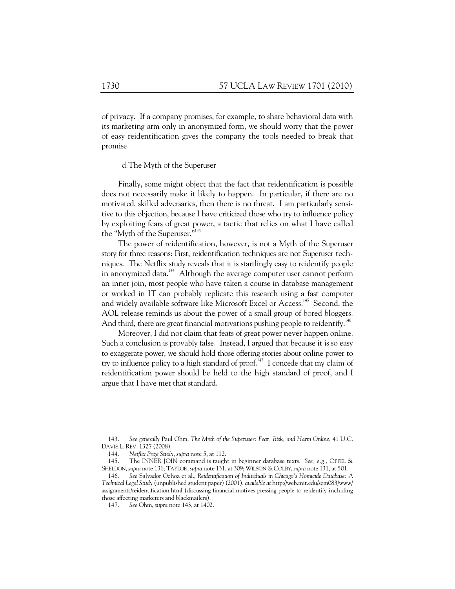of privacy. If a company promises, for example, to share behavioral data with its marketing arm only in anonymized form, we should worry that the power of easy reidentification gives the company the tools needed to break that promise.

d.The Myth of the Superuser

Finally, some might object that the fact that reidentification is possible does not necessarily make it likely to happen. In particular, if there are no motivated, skilled adversaries, then there is no threat. I am particularly sensitive to this objection, because I have criticized those who try to influence policy by exploiting fears of great power, a tactic that relies on what I have called the "Myth of the Superuser."<sup>143</sup>

The power of reidentification, however, is not a Myth of the Superuser story for three reasons: First, reidentification techniques are not Superuser techniques. The Netflix study reveals that it is startlingly easy to reidentify people in anonymized data.<sup>144</sup> Although the average computer user cannot perform an inner join, most people who have taken a course in database management or worked in IT can probably replicate this research using a fast computer and widely available software like Microsoft Excel or Access.<sup>145</sup> Second, the AOL release reminds us about the power of a small group of bored bloggers. And third, there are great financial motivations pushing people to reidentify.<sup>146</sup>

Moreover, I did not claim that feats of great power never happen online. Such a conclusion is provably false. Instead, I argued that because it is so easy to exaggerate power, we should hold those offering stories about online power to try to influence policy to a high standard of proof.<sup>147</sup> I concede that my claim of reidentification power should be held to the high standard of proof, and I argue that I have met that standard.

 <sup>143.</sup> *See generally* Paul Ohm, *The Myth of the Superuser: Fear, Risk, and Harm Online*, 41 U.C. DAVIS L. REV. 1327 (2008).

 <sup>144.</sup> *Netflix Prize Study*, *supra* note 5, at 112.

 <sup>145.</sup> The INNER JOIN command is taught in beginner database texts. *See, e.g.*, OPPEL & SHELDON,*supra* note 131; TAYLOR,*supra* note 131, at 309;WILSON & COLBY,*supra* note 131, at 501.

 <sup>146.</sup> *See* Salvador Ochoa et al., *Reidentification of Individuals in Chicago's Homicide Database: A Technical Legal Study* (unpublished student paper) (2001), *available at* http://web.mit.edu/sem083/www/ assignments/reidentification.html (discussing financial motives pressing people to reidentify including those affecting marketers and blackmailers).

 <sup>147.</sup> *See* Ohm, *supra* note 143, at 1402.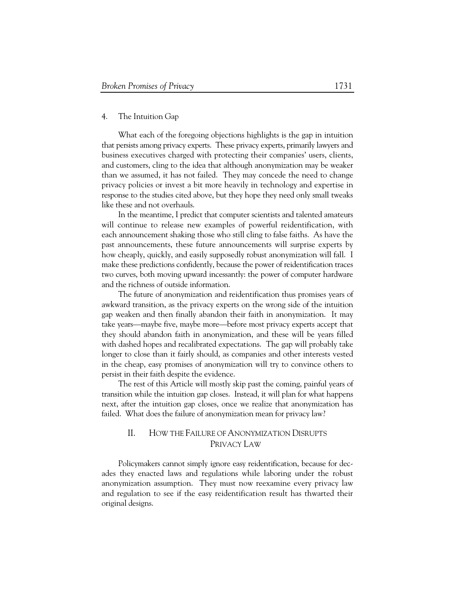### 4. The Intuition Gap

What each of the foregoing objections highlights is the gap in intuition that persists among privacy experts. These privacy experts, primarily lawyers and business executives charged with protecting their companies' users, clients, and customers, cling to the idea that although anonymization may be weaker than we assumed, it has not failed. They may concede the need to change privacy policies or invest a bit more heavily in technology and expertise in response to the studies cited above, but they hope they need only small tweaks like these and not overhauls.

In the meantime, I predict that computer scientists and talented amateurs will continue to release new examples of powerful reidentification, with each announcement shaking those who still cling to false faiths. As have the past announcements, these future announcements will surprise experts by how cheaply, quickly, and easily supposedly robust anonymization will fall. I make these predictions confidently, because the power of reidentification traces two curves, both moving upward incessantly: the power of computer hardware and the richness of outside information.

The future of anonymization and reidentification thus promises years of awkward transition, as the privacy experts on the wrong side of the intuition gap weaken and then finally abandon their faith in anonymization. It may take years—maybe five, maybe more—before most privacy experts accept that they should abandon faith in anonymization, and these will be years filled with dashed hopes and recalibrated expectations. The gap will probably take longer to close than it fairly should, as companies and other interests vested in the cheap, easy promises of anonymization will try to convince others to persist in their faith despite the evidence.

The rest of this Article will mostly skip past the coming, painful years of transition while the intuition gap closes. Instead, it will plan for what happens next, after the intuition gap closes, once we realize that anonymization has failed. What does the failure of anonymization mean for privacy law?

# II. HOW THE FAILURE OF ANONYMIZATION DISRUPTS PRIVACY LAW

Policymakers cannot simply ignore easy reidentification, because for decades they enacted laws and regulations while laboring under the robust anonymization assumption. They must now reexamine every privacy law and regulation to see if the easy reidentification result has thwarted their original designs.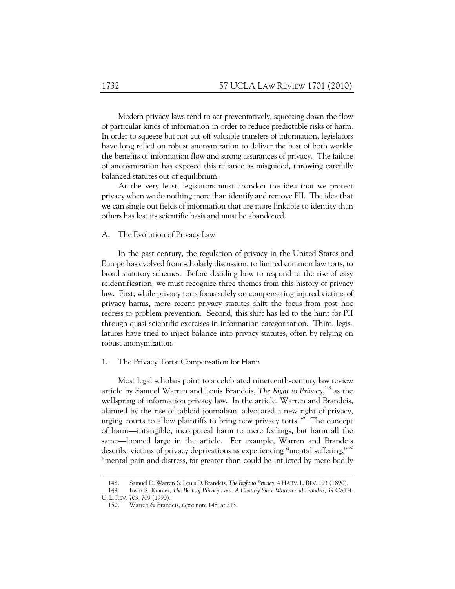Modern privacy laws tend to act preventatively, squeezing down the flow of particular kinds of information in order to reduce predictable risks of harm. In order to squeeze but not cut off valuable transfers of information, legislators have long relied on robust anonymization to deliver the best of both worlds: the benefits of information flow and strong assurances of privacy. The failure of anonymization has exposed this reliance as misguided, throwing carefully balanced statutes out of equilibrium.

At the very least, legislators must abandon the idea that we protect privacy when we do nothing more than identify and remove PII. The idea that we can single out fields of information that are more linkable to identity than others has lost its scientific basis and must be abandoned.

## A. The Evolution of Privacy Law

In the past century, the regulation of privacy in the United States and Europe has evolved from scholarly discussion, to limited common law torts, to broad statutory schemes. Before deciding how to respond to the rise of easy reidentification, we must recognize three themes from this history of privacy law. First, while privacy torts focus solely on compensating injured victims of privacy harms, more recent privacy statutes shift the focus from post hoc redress to problem prevention. Second, this shift has led to the hunt for PII through quasi-scientific exercises in information categorization. Third, legislatures have tried to inject balance into privacy statutes, often by relying on robust anonymization.

### 1. The Privacy Torts: Compensation for Harm

Most legal scholars point to a celebrated nineteenth-century law review article by Samuel Warren and Louis Brandeis, *The Right to Privacy*, 148 as the wellspring of information privacy law. In the article, Warren and Brandeis, alarmed by the rise of tabloid journalism, advocated a new right of privacy, urging courts to allow plaintiffs to bring new privacy torts.<sup>149</sup> The concept of harm—intangible, incorporeal harm to mere feelings, but harm all the same—loomed large in the article. For example, Warren and Brandeis describe victims of privacy deprivations as experiencing "mental suffering,"<sup>150</sup> "mental pain and distress, far greater than could be inflicted by mere bodily

 <sup>148.</sup> Samuel D. Warren & Louis D. Brandeis, *The Right to Privacy*, 4 HARV. L.REV. 193 (1890).

 <sup>149.</sup> Irwin R. Kramer, *The Birth of Privacy Law: A Century Since Warren and Brandeis*, 39 CATH. U. L. REV. 703, 709 (1990).

 <sup>150.</sup> Warren & Brandeis, *supra* note 148, at 213.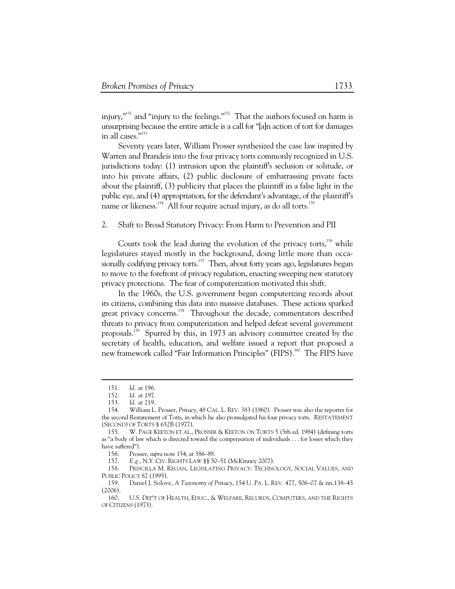injury,"151 and "injury to the feelings."152 That the authors focused on harm is unsurprising because the entire article is a call for "[a]n action of tort for damages in all cases."153

Seventy years later, William Prosser synthesized the case law inspired by Warren and Brandeis into the four privacy torts commonly recognized in U.S. jurisdictions today: (1) intrusion upon the plaintiff's seclusion or solitude, or into his private affairs, (2) public disclosure of embarrassing private facts about the plaintiff, (3) publicity that places the plaintiff in a false light in the public eye, and (4) appropriation, for the defendant's advantage, of the plaintiff's name or likeness.<sup>154</sup> All four require actual injury, as do all torts.<sup>155</sup>

### 2. Shift to Broad Statutory Privacy: From Harm to Prevention and PII

Courts took the lead during the evolution of the privacy torts, $156$  while legislatures stayed mostly in the background, doing little more than occasionally codifying privacy torts.<sup>157</sup> Then, about forty years ago, legislatures began to move to the forefront of privacy regulation, enacting sweeping new statutory privacy protections. The fear of computerization motivated this shift.

In the 1960s, the U.S. government began computerizing records about its citizens, combining this data into massive databases. These actions sparked great privacy concerns.<sup>158</sup> Throughout the decade, commentators described threats to privacy from computerization and helped defeat several government proposals.159 Spurred by this, in 1973 an advisory committee created by the secretary of health, education, and welfare issued a report that proposed a new framework called "Fair Information Principles" (FIPS).<sup>160</sup> The FIPS have

 $\ddot{\phantom{a}}$ 

156. Prosser, *supra* note 154, at 386–89.

157. *E.g.*, N.Y. CIV. RIGHTS LAW §§ 50–51 (McKinney 2007).

 158. PRISCILLA M. REGAN, LEGISLATING PRIVACY: TECHNOLOGY, SOCIAL VALUES, AND PUBLIC POLICY 82 (1995).

 159. Daniel J. Solove, *A Taxonomy of Privacy*, 154 U. PA. L. REV. 477, 506–07 & nn.138–45 (2006).

 <sup>151.</sup> *Id.* at 196.

 <sup>152.</sup> *Id.* at 197.

 <sup>153.</sup> *Id.* at 219.

 <sup>154.</sup> William L. Prosser, *Privacy*, 48 CAL. L. REV. 383 (1960). Prosser was also the reporter for the second Restatement of Torts, in which he also promulgated his four privacy torts. RESTATEMENT (SECOND) OF TORTS § 652B (1977).

 <sup>155.</sup> W. PAGE KEETON ET AL., PROSSER & KEETON ON TORTS 5 (5th ed. 1984) (defining torts as "a body of law which is directed toward the compensation of individuals . . . for losses which they have suffered").

 <sup>160.</sup> U.S. DEP'T OF HEALTH, EDUC., & WELFARE, RECORDS, COMPUTERS, AND THE RIGHTS OF CITIZENS (1973).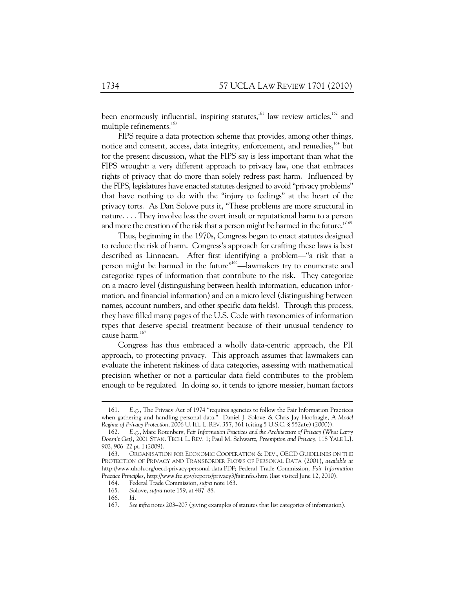been enormously influential, inspiring statutes,<sup>161</sup> law review articles,<sup>162</sup> and multiple refinements.<sup>163</sup>

FIPS require a data protection scheme that provides, among other things, notice and consent, access, data integrity, enforcement, and remedies,<sup>164</sup> but for the present discussion, what the FIPS say is less important than what the FIPS wrought: a very different approach to privacy law, one that embraces rights of privacy that do more than solely redress past harm. Influenced by the FIPS, legislatures have enacted statutes designed to avoid "privacy problems" that have nothing to do with the "injury to feelings" at the heart of the privacy torts. As Dan Solove puts it, "These problems are more structural in nature. . . . They involve less the overt insult or reputational harm to a person and more the creation of the risk that a person might be harmed in the future."<sup>165</sup>

Thus, beginning in the 1970s, Congress began to enact statutes designed to reduce the risk of harm. Congress's approach for crafting these laws is best described as Linnaean. After first identifying a problem—"a risk that a person might be harmed in the future"<sup>166</sup>—lawmakers try to enumerate and categorize types of information that contribute to the risk. They categorize on a macro level (distinguishing between health information, education information, and financial information) and on a micro level (distinguishing between names, account numbers, and other specific data fields). Through this process, they have filled many pages of the U.S. Code with taxonomies of information types that deserve special treatment because of their unusual tendency to cause harm.<sup>167</sup>

Congress has thus embraced a wholly data-centric approach, the PII approach, to protecting privacy. This approach assumes that lawmakers can evaluate the inherent riskiness of data categories, assessing with mathematical precision whether or not a particular data field contributes to the problem enough to be regulated. In doing so, it tends to ignore messier, human factors

 <sup>161.</sup> *E.g.*, The Privacy Act of 1974 "requires agencies to follow the Fair Information Practices when gathering and handling personal data." Daniel J. Solove & Chris Jay Hoofnagle, *A Model Regime of Privacy Protection*, 2006 U. ILL. L. REV. 357, 361 (citing 5 U.S.C. § 552a(e) (2000)).

 <sup>162.</sup> *E.g.*, Marc Rotenberg, *Fair Information Practices and the Architecture of Privacy (What Larry Doesn't Get)*, 2001 STAN. TECH. L. REV. 1; Paul M. Schwartz, *Preemption and Privacy*, 118 YALE L.J. 902, 906–22 pt. I (2009).

 <sup>163.</sup> ORGANISATION FOR ECONOMIC COOPERATION & DEV., OECD GUIDELINES ON THE PROTECTION OF PRIVACY AND TRANSBORDER FLOWS OF PERSONAL DATA (2001), *available at* http://www.uhoh.org/oecd-privacy-personal-data.PDF; Federal Trade Commission, *Fair Information Practice Principles*, http://www.ftc.gov/reports/privacy3/fairinfo.shtm (last visited June 12, 2010).

 <sup>164.</sup> Federal Trade Commission, *supra* note 163.

 <sup>165.</sup> Solove, *supra* note 159, at 487–88.

 <sup>166.</sup> *Id.*

 <sup>167.</sup> *See infra* notes 203–207 (giving examples of statutes that list categories of information).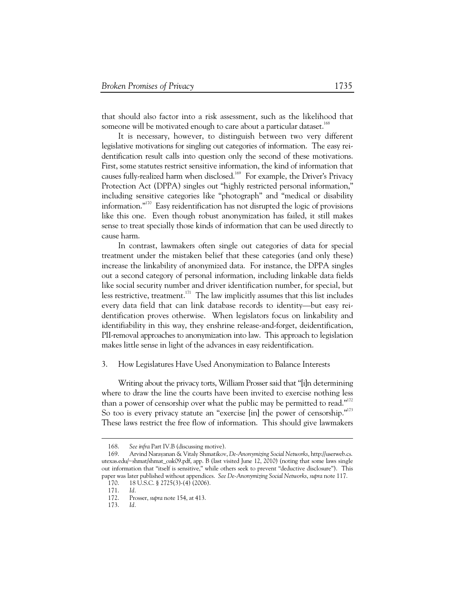that should also factor into a risk assessment, such as the likelihood that someone will be motivated enough to care about a particular dataset.<sup>168</sup>

It is necessary, however, to distinguish between two very different legislative motivations for singling out categories of information. The easy reidentification result calls into question only the second of these motivations. First, some statutes restrict sensitive information, the kind of information that causes fully-realized harm when disclosed.<sup>169</sup> For example, the Driver's Privacy Protection Act (DPPA) singles out "highly restricted personal information," including sensitive categories like "photograph" and "medical or disability information." $170$  Easy reidentification has not disrupted the logic of provisions like this one. Even though robust anonymization has failed, it still makes sense to treat specially those kinds of information that can be used directly to cause harm.

In contrast, lawmakers often single out categories of data for special treatment under the mistaken belief that these categories (and only these) increase the linkability of anonymized data. For instance, the DPPA singles out a second category of personal information, including linkable data fields like social security number and driver identification number, for special, but less restrictive, treatment.171 The law implicitly assumes that this list includes every data field that can link database records to identity—but easy reidentification proves otherwise. When legislators focus on linkability and identifiability in this way, they enshrine release-and-forget, deidentification, PII-removal approaches to anonymization into law. This approach to legislation makes little sense in light of the advances in easy reidentification.

### 3. How Legislatures Have Used Anonymization to Balance Interests

Writing about the privacy torts, William Prosser said that "[i]n determining where to draw the line the courts have been invited to exercise nothing less than a power of censorship over what the public may be permitted to read."<sup>172</sup> So too is every privacy statute an "exercise [in] the power of censorship."<sup>173</sup> These laws restrict the free flow of information. This should give lawmakers

 <sup>168.</sup> *See infra* Part IV.B (discussing motive).

 <sup>169.</sup> Arvind Narayanan & Vitaly Shmatikov, *De-Anonymizing Social Networks*, http://userweb.cs. utexas.edu/~shmat/shmat\_oak09.pdf, app. B (last visited June 12, 2010) (noting that some laws single out information that "itself is sensitive," while others seek to prevent "deductive disclosure"). This paper was later published without appendices. *See De-Anonymizing Social Networks*, *supra* note 117.

 <sup>170. 18</sup> U.S.C. § 2725(3)-(4) (2006).

 <sup>171.</sup> *Id.* 

 <sup>172.</sup> Prosser, *supra* note 154, at 413.

 <sup>173.</sup> *Id.*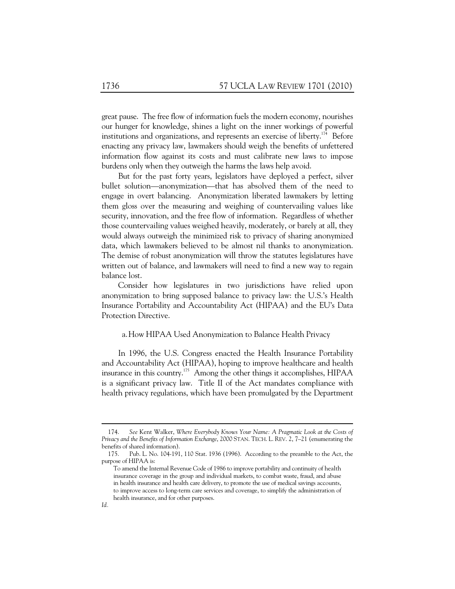great pause. The free flow of information fuels the modern economy, nourishes our hunger for knowledge, shines a light on the inner workings of powerful institutions and organizations, and represents an exercise of liberty.<sup>174</sup> Before enacting any privacy law, lawmakers should weigh the benefits of unfettered information flow against its costs and must calibrate new laws to impose burdens only when they outweigh the harms the laws help avoid.

But for the past forty years, legislators have deployed a perfect, silver bullet solution—anonymization—that has absolved them of the need to engage in overt balancing. Anonymization liberated lawmakers by letting them gloss over the measuring and weighing of countervailing values like security, innovation, and the free flow of information. Regardless of whether those countervailing values weighed heavily, moderately, or barely at all, they would always outweigh the minimized risk to privacy of sharing anonymized data, which lawmakers believed to be almost nil thanks to anonymization. The demise of robust anonymization will throw the statutes legislatures have written out of balance, and lawmakers will need to find a new way to regain balance lost.

Consider how legislatures in two jurisdictions have relied upon anonymization to bring supposed balance to privacy law: the U.S.'s Health Insurance Portability and Accountability Act (HIPAA) and the EU's Data Protection Directive.

#### a.How HIPAA Used Anonymization to Balance Health Privacy

In 1996, the U.S. Congress enacted the Health Insurance Portability and Accountability Act (HIPAA), hoping to improve healthcare and health insurance in this country.175 Among the other things it accomplishes, HIPAA is a significant privacy law. Title II of the Act mandates compliance with health privacy regulations, which have been promulgated by the Department

 <sup>174.</sup> *See* Kent Walker, *Where Everybody Knows Your Name: A Pragmatic Look at the Costs of Privacy and the Benefits of Information Exchange*, 2000 STAN. TECH. L. REV. 2, 7–21 (enumerating the benefits of shared information).

 <sup>175.</sup> Pub. L. No. 104-191, 110 Stat. 1936 (1996). According to the preamble to the Act, the purpose of HIPAA is:

To amend the Internal Revenue Code of 1986 to improve portability and continuity of health insurance coverage in the group and individual markets, to combat waste, fraud, and abuse in health insurance and health care delivery, to promote the use of medical savings accounts, to improve access to long-term care services and coverage, to simplify the administration of health insurance, and for other purposes.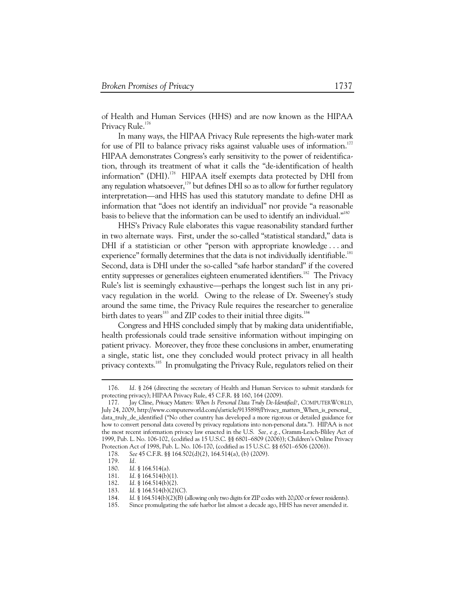of Health and Human Services (HHS) and are now known as the HIPAA Privacy Rule.<sup>176</sup>

In many ways, the HIPAA Privacy Rule represents the high-water mark for use of PII to balance privacy risks against valuable uses of information.<sup>177</sup> HIPAA demonstrates Congress's early sensitivity to the power of reidentification, through its treatment of what it calls the "de-identification of health information" (DHI).<sup>178</sup> HIPAA itself exempts data protected by DHI from any regulation whatsoever, $179$  but defines DHI so as to allow for further regulatory interpretation—and HHS has used this statutory mandate to define DHI as information that "does not identify an individual" nor provide "a reasonable basis to believe that the information can be used to identify an individual."180

HHS's Privacy Rule elaborates this vague reasonability standard further in two alternate ways. First, under the so-called "statistical standard," data is DHI if a statistician or other "person with appropriate knowledge...and experience" formally determines that the data is not individually identifiable.<sup>181</sup> Second, data is DHI under the so-called "safe harbor standard" if the covered entity suppresses or generalizes eighteen enumerated identifiers.<sup>182</sup> The Privacy Rule's list is seemingly exhaustive—perhaps the longest such list in any privacy regulation in the world. Owing to the release of Dr. Sweeney's study around the same time, the Privacy Rule requires the researcher to generalize birth dates to years<sup>183</sup> and ZIP codes to their initial three digits.<sup>184</sup>

Congress and HHS concluded simply that by making data unidentifiable, health professionals could trade sensitive information without impinging on patient privacy. Moreover, they froze these conclusions in amber, enumerating a single, static list, one they concluded would protect privacy in all health privacy contexts.<sup>185</sup> In promulgating the Privacy Rule, regulators relied on their

 <sup>176.</sup> *Id.* § 264 (directing the secretary of Health and Human Services to submit standards for protecting privacy); HIPAA Privacy Rule, 45 C.F.R. §§ 160, 164 (2009).

 <sup>177.</sup> Jay Cline, *Privacy Matters: When Is Personal Data Truly De-Identified?*, COMPUTERWORLD, July 24, 2009, http://www.computerworld.com/s/article/9135898/Privacy\_matters\_When\_is\_personal\_ data\_truly\_de\_identified ("No other country has developed a more rigorous or detailed guidance for how to convert personal data covered by privacy regulations into non-personal data."). HIPAA is not the most recent information privacy law enacted in the U.S. *See, e.g.*, Gramm-Leach-Bliley Act of 1999, Pub. L. No. 106-102, (codified as 15 U.S.C. §§ 6801–6809 (2006)); Children's Online Privacy Protection Act of 1998, Pub. L. No. 106-170, (codified as 15 U.S.C. §§ 6501–6506 (2006)).

 <sup>178.</sup> *See* 45 C.F.R. §§ 164.502(d)(2), 164.514(a), (b) (2009).

 <sup>179.</sup> *Id.* 

 <sup>180.</sup> *Id.* § 164.514(a).

 <sup>181.</sup> *Id.* § 164.514(b)(1).

 <sup>182.</sup> *Id.* § 164.514(b)(2).

 <sup>183.</sup> *Id.* § 164.514(b)(2)(C).

 <sup>184.</sup> *Id.* § 164.514(b)(2)(B) (allowing only two digits for ZIP codes with 20,000 or fewer residents).

 <sup>185.</sup> Since promulgating the safe harbor list almost a decade ago, HHS has never amended it.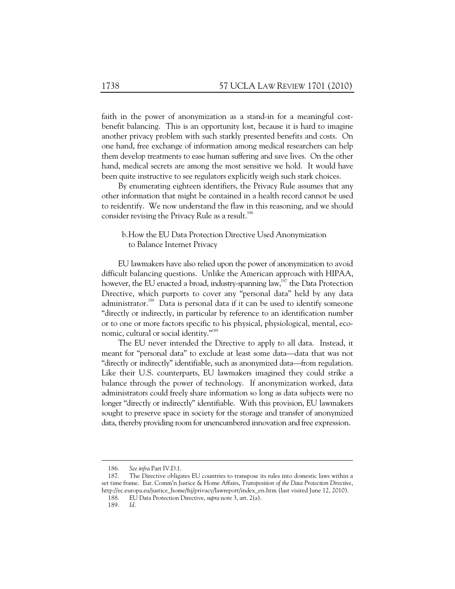faith in the power of anonymization as a stand-in for a meaningful costbenefit balancing. This is an opportunity lost, because it is hard to imagine another privacy problem with such starkly presented benefits and costs. On one hand, free exchange of information among medical researchers can help them develop treatments to ease human suffering and save lives. On the other hand, medical secrets are among the most sensitive we hold. It would have been quite instructive to see regulators explicitly weigh such stark choices.

By enumerating eighteen identifiers, the Privacy Rule assumes that any other information that might be contained in a health record cannot be used to reidentify. We now understand the flaw in this reasoning, and we should consider revising the Privacy Rule as a result.<sup>186</sup>

# b.How the EU Data Protection Directive Used Anonymization to Balance Internet Privacy

EU lawmakers have also relied upon the power of anonymization to avoid difficult balancing questions. Unlike the American approach with HIPAA, however, the EU enacted a broad, industry-spanning law,<sup>187</sup> the Data Protection Directive, which purports to cover any "personal data" held by any data administrator.<sup>188</sup> Data is personal data if it can be used to identify someone "directly or indirectly, in particular by reference to an identification number or to one or more factors specific to his physical, physiological, mental, economic, cultural or social identity."<sup>189</sup>

The EU never intended the Directive to apply to all data. Instead, it meant for "personal data" to exclude at least some data—data that was not "directly or indirectly" identifiable, such as anonymized data—from regulation. Like their U.S. counterparts, EU lawmakers imagined they could strike a balance through the power of technology. If anonymization worked, data administrators could freely share information so long as data subjects were no longer "directly or indirectly" identifiable. With this provision, EU lawmakers sought to preserve space in society for the storage and transfer of anonymized data, thereby providing room for unencumbered innovation and free expression.

 <sup>186.</sup> *See infra* Part IV.D.1.

 <sup>187.</sup> The Directive obligates EU countries to transpose its rules into domestic laws within a set time frame. Eur. Comm'n Justice & Home Affairs, *Transposition of the Data Protection Directive*, http://ec.europa.eu/justice\_home/fsj/privacy/lawreport/index\_en.htm (last visited June 12, 2010).

 <sup>188.</sup> EU Data Protection Directive, *supra* note 3, art. 2(a).

 <sup>189.</sup> *Id.*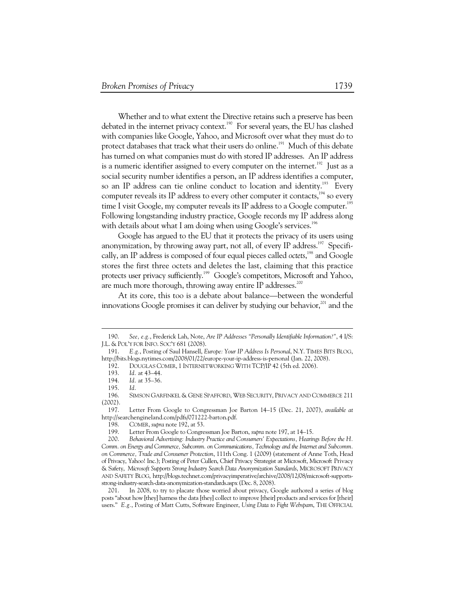Whether and to what extent the Directive retains such a preserve has been debated in the internet privacy context.<sup>190</sup> For several years, the EU has clashed with companies like Google, Yahoo, and Microsoft over what they must do to protect databases that track what their users do online.<sup>191</sup> Much of this debate has turned on what companies must do with stored IP addresses. An IP address is a numeric identifier assigned to every computer on the internet.<sup>192</sup> Just as a social security number identifies a person, an IP address identifies a computer, so an IP address can tie online conduct to location and identity.<sup>193</sup> Every computer reveals its IP address to every other computer it contacts,  $194$  so every time I visit Google, my computer reveals its IP address to a Google computer.<sup>195</sup> Following longstanding industry practice, Google records my IP address along with details about what I am doing when using Google's services.<sup>196</sup>

Google has argued to the EU that it protects the privacy of its users using anonymization, by throwing away part, not all, of every IP address.<sup>197</sup> Specifically, an IP address is composed of four equal pieces called *octets*, 198 and Google stores the first three octets and deletes the last, claiming that this practice protects user privacy sufficiently.<sup>199</sup> Google's competitors, Microsoft and Yahoo, are much more thorough, throwing away entire IP addresses.<sup>200</sup>

At its core, this too is a debate about balance—between the wonderful innovations Google promises it can deliver by studying our behavior, $^{201}$  and the

 <sup>190.</sup> *See, e.g.*, Frederick Lah, Note, *Are IP Addresses "Personally Identifiable Information?"*, 4 I/S: J.L. & POL'Y FOR INFO. SOC'Y 681 (2008).

 <sup>191.</sup> *E.g.*, Posting of Saul Hansell, *Europe: Your IP Address Is Personal*, N.Y. TIMES BITS BLOG, http://bits.blogs.nytimes.com/2008/01/22/europe-your-ip-address-is-personal (Jan. 22, 2008).

 <sup>192.</sup> DOUGLAS COMER, 1 INTERNETWORKING WITH TCP/IP 42 (5th ed. 2006).

 <sup>193.</sup> *Id.* at 43–44.

 <sup>194.</sup> *Id.* at 35–36.

 <sup>195.</sup> *Id.* 

 <sup>196.</sup> SIMSON GARFINKEL & GENE SPAFFORD, WEB SECURITY, PRIVACY AND COMMERCE 211 (2002).

 <sup>197.</sup> Letter From Google to Congressman Joe Barton 14–15 (Dec. 21, 2007), *available at*  http://searchengineland.com/pdfs/071222-barton.pdf.

 <sup>198.</sup> COMER, *supra* note 192, at 53.

 <sup>199.</sup> Letter From Google to Congressman Joe Barton, *supra* note 197, at 14–15.

 <sup>200.</sup> *Behavioral Advertising: Industry Practice and Consumers' Expectations, Hearings Before the H. Comm. on Energy and Commerce, Subcomm. on Communications, Technology and the Internet and Subcomm. on Commerce, Trade and Consumer Protection*, 111th Cong. 1 (2009) (statement of Anne Toth, Head of Privacy, Yahoo! Inc.); Posting of Peter Cullen, Chief Privacy Strategist at Microsoft, Microsoft Privacy & Safety, *Microsoft Supports Strong Industry Search Data Anonymization Standards*, MICROSOFT PRIVACY AND SAFETY BLOG, http://blogs.technet.com/privacyimperative/archive/2008/12/08/microsoft-supportsstrong-industry-search-data-anonymization-standards.aspx (Dec. 8, 2008).

 <sup>201.</sup> In 2008, to try to placate those worried about privacy, Google authored a series of blog posts "about how [they] harness the data [they] collect to improve [their] products and services for [their] users." *E.g.*, Posting of Matt Cutts, Software Engineer, *Using Data to Fight Webspam*, THE OFFICIAL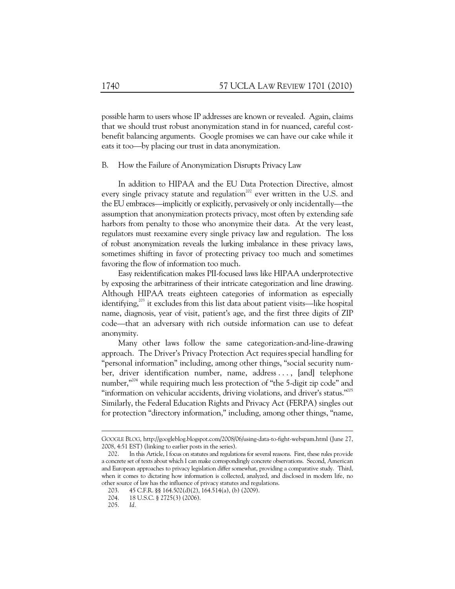possible harm to users whose IP addresses are known or revealed. Again, claims that we should trust robust anonymization stand in for nuanced, careful costbenefit balancing arguments. Google promises we can have our cake while it eats it too—by placing our trust in data anonymization.

B. How the Failure of Anonymization Disrupts Privacy Law

In addition to HIPAA and the EU Data Protection Directive, almost every single privacy statute and regulation<sup>202</sup> ever written in the U.S. and the EU embraces—implicitly or explicitly, pervasively or only incidentally—the assumption that anonymization protects privacy, most often by extending safe harbors from penalty to those who anonymize their data. At the very least, regulators must reexamine every single privacy law and regulation. The loss of robust anonymization reveals the lurking imbalance in these privacy laws, sometimes shifting in favor of protecting privacy too much and sometimes favoring the flow of information too much.

Easy reidentification makes PII-focused laws like HIPAA underprotective by exposing the arbitrariness of their intricate categorization and line drawing. Although HIPAA treats eighteen categories of information as especially identifying, $^{203}$  it excludes from this list data about patient visits—like hospital name, diagnosis, year of visit, patient's age, and the first three digits of ZIP code—that an adversary with rich outside information can use to defeat anonymity.

Many other laws follow the same categorization-and-line-drawing approach. The Driver's Privacy Protection Act requiresspecial handling for "personal information" including, among other things, "social security number, driver identification number, name, address . . . , [and] telephone number,"204 while requiring much less protection of "the 5-digit zip code" and "information on vehicular accidents, driving violations, and driver's status."<sup>205</sup> Similarly, the Federal Education Rights and Privacy Act (FERPA) singles out for protection "directory information," including, among other things, "name,

GOOGLE BLOG, http://googleblog.blogspot.com/2008/06/using-data-to-fight-webspam.html (June 27, 2008, 4:51 EST) (linking to earlier posts in the series).

 <sup>202.</sup> In this Article, I focus on statutes and regulations for several reasons. First, these rules provide a concrete set of texts about which I can make correspondingly concrete observations. Second, American and European approaches to privacy legislation differ somewhat, providing a comparative study. Third, when it comes to dictating how information is collected, analyzed, and disclosed in modern life, no other source of law has the influence of privacy statutes and regulations.

<sup>203. 45</sup> C.F.R. §§ 164.502(d)(2), 164.514(a), (b) (2009). 204. 18 U.S.C. § 2725(3) (2006).

<sup>18</sup> U.S.C. § 2725(3) (2006).

 <sup>205.</sup> *Id.*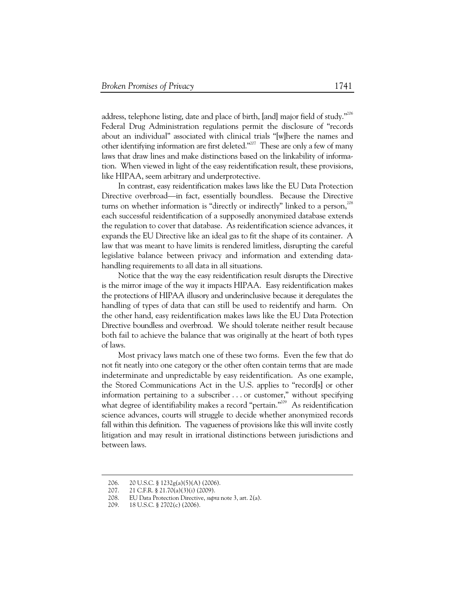address, telephone listing, date and place of birth, [and] major field of study."<sup>206</sup> Federal Drug Administration regulations permit the disclosure of "records about an individual" associated with clinical trials "[w]here the names and other identifying information are first deleted."<sup>207</sup> These are only a few of many laws that draw lines and make distinctions based on the linkability of information. When viewed in light of the easy reidentification result, these provisions, like HIPAA, seem arbitrary and underprotective.

In contrast, easy reidentification makes laws like the EU Data Protection Directive overbroad—in fact, essentially boundless. Because the Directive turns on whether information is "directly or indirectly" linked to a person, $^{208}$ each successful reidentification of a supposedly anonymized database extends the regulation to cover that database. As reidentification science advances, it expands the EU Directive like an ideal gas to fit the shape of its container. A law that was meant to have limits is rendered limitless, disrupting the careful legislative balance between privacy and information and extending datahandling requirements to all data in all situations.

Notice that the way the easy reidentification result disrupts the Directive is the mirror image of the way it impacts HIPAA. Easy reidentification makes the protections of HIPAA illusory and underinclusive because it deregulates the handling of types of data that can still be used to reidentify and harm. On the other hand, easy reidentification makes laws like the EU Data Protection Directive boundless and overbroad. We should tolerate neither result because both fail to achieve the balance that was originally at the heart of both types of laws.

Most privacy laws match one of these two forms. Even the few that do not fit neatly into one category or the other often contain terms that are made indeterminate and unpredictable by easy reidentification. As one example, the Stored Communications Act in the U.S. applies to "record[s] or other information pertaining to a subscriber . . . or customer," without specifying what degree of identifiability makes a record "pertain."<sup>209</sup> As reidentification science advances, courts will struggle to decide whether anonymized records fall within this definition. The vagueness of provisions like this will invite costly litigation and may result in irrational distinctions between jurisdictions and between laws.

 <sup>206. 20</sup> U.S.C. § 1232g(a)(5)(A) (2006).

 <sup>207. 21</sup> C.F.R. § 21.70(a)(3)(i) (2009).

 <sup>208.</sup> EU Data Protection Directive, *supra* note 3, art. 2(a).

 <sup>209. 18</sup> U.S.C. § 2702(c) (2006).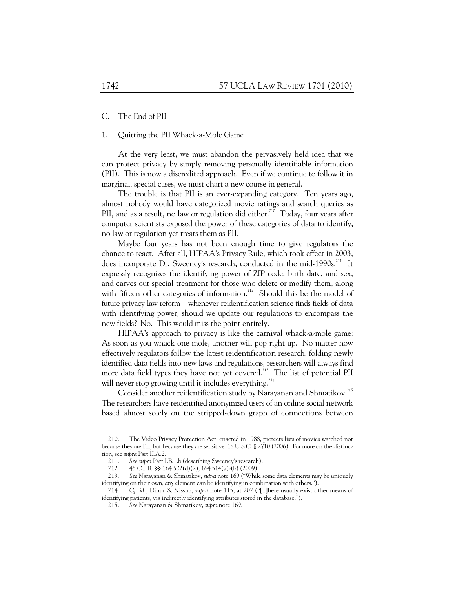# C. The End of PII

# 1. Quitting the PII Whack-a-Mole Game

At the very least, we must abandon the pervasively held idea that we can protect privacy by simply removing personally identifiable information (PII). This is now a discredited approach. Even if we continue to follow it in marginal, special cases, we must chart a new course in general.

The trouble is that PII is an ever-expanding category. Ten years ago, almost nobody would have categorized movie ratings and search queries as PII, and as a result, no law or regulation did either.<sup>210</sup> Today, four years after computer scientists exposed the power of these categories of data to identify, no law or regulation yet treats them as PII.

Maybe four years has not been enough time to give regulators the chance to react. After all, HIPAA's Privacy Rule, which took effect in 2003, does incorporate Dr. Sweeney's research, conducted in the mid-1990s.<sup>211</sup> It expressly recognizes the identifying power of ZIP code, birth date, and sex, and carves out special treatment for those who delete or modify them, along with fifteen other categories of information.<sup>212</sup> Should this be the model of future privacy law reform—whenever reidentification science finds fields of data with identifying power, should we update our regulations to encompass the new fields? No. This would miss the point entirely.

HIPAA's approach to privacy is like the carnival whack-a-mole game: As soon as you whack one mole, another will pop right up. No matter how effectively regulators follow the latest reidentification research, folding newly identified data fields into new laws and regulations, researchers will always find more data field types they have not yet covered.<sup>213</sup> The list of potential PII will never stop growing until it includes everything.<sup>214</sup>

Consider another reidentification study by Narayanan and Shmatikov.<sup>215</sup> The researchers have reidentified anonymized users of an online social network based almost solely on the stripped-down graph of connections between

 <sup>210.</sup> The Video Privacy Protection Act, enacted in 1988, protects lists of movies watched not because they are PII, but because they are sensitive. 18 U.S.C. § 2710 (2006). For more on the distinction, see *supra* Part II.A.2.

 <sup>211.</sup> *See supra* Part I.B.1.b (describing Sweeney's research).

 <sup>212. 45</sup> C.F.R. §§ 164.502(d)(2), 164.514(a)-(b) (2009).

 <sup>213.</sup> *See* Narayanan & Shmatikov, *supra* note 169 ("While some data elements may be uniquely identifying on their own, *any* element can be identifying in combination with others.").

 <sup>214.</sup> *Cf. id.*; Dinur & Nissim, *supra* note 115, at 202 ("[T]here usually exist other means of identifying patients, via indirectly identifying attributes stored in the database.").

 <sup>215.</sup> *See* Narayanan & Shmatikov, *supra* note 169.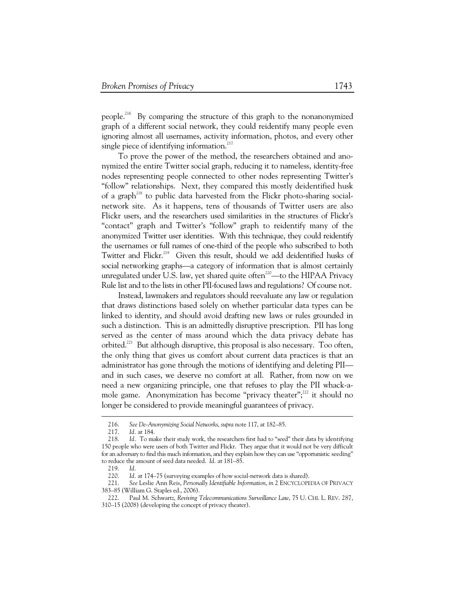people.216 By comparing the structure of this graph to the nonanonymized graph of a different social network, they could reidentify many people even ignoring almost all usernames, activity information, photos, and every other single piece of identifying information.<sup>217</sup>

To prove the power of the method, the researchers obtained and anonymized the entire Twitter social graph, reducing it to nameless, identity-free nodes representing people connected to other nodes representing Twitter's "follow" relationships. Next, they compared this mostly deidentified husk of a graph<sup>218</sup> to public data harvested from the Flickr photo-sharing socialnetwork site. As it happens, tens of thousands of Twitter users are also Flickr users, and the researchers used similarities in the structures of Flickr's "contact" graph and Twitter's "follow" graph to reidentify many of the anonymized Twitter user identities. With this technique, they could reidentify the usernames or full names of one-third of the people who subscribed to both Twitter and Flickr.<sup>219</sup> Given this result, should we add deidentified husks of social networking graphs—a category of information that is almost certainly unregulated under U.S. law, yet shared quite often<sup>220</sup>—to the HIPAA Privacy Rule list and to the lists in other PII-focused laws and regulations? Of course not.

Instead, lawmakers and regulators should reevaluate any law or regulation that draws distinctions based solely on whether particular data types can be linked to identity, and should avoid drafting new laws or rules grounded in such a distinction. This is an admittedly disruptive prescription. PII has long served as the center of mass around which the data privacy debate has orbited.<sup>221</sup> But although disruptive, this proposal is also necessary. Too often, the only thing that gives us comfort about current data practices is that an administrator has gone through the motions of identifying and deleting PII and in such cases, we deserve no comfort at all. Rather, from now on we need a new organizing principle, one that refuses to play the PII whack-amole game. Anonymization has become "privacy theater";<sup>222</sup> it should no longer be considered to provide meaningful guarantees of privacy.

 <sup>216.</sup> *See De-Anonymizing Social Networks*, *supra* note 117, at 182–85.

 <sup>217.</sup> *Id.* at 184.

 <sup>218.</sup> *Id.* To make their study work, the researchers first had to "seed" their data by identifying 150 people who were users of both Twitter and Flickr. They argue that it would not be very difficult for an adversary to find this much information, and they explain how they can use "opportunistic seeding" to reduce the amount of seed data needed. *Id.* at 181–85.

 <sup>219.</sup> *Id.*

Id. at 174–75 (surveying examples of how social-network data is shared).

 <sup>221.</sup> *See* Leslie Ann Reis, *Personally Identifiable Information*, *in* 2 ENCYCLOPEDIA OF PRIVACY 383–85 (William G. Staples ed., 2006).

 <sup>222.</sup> Paul M. Schwartz, *Reviving Telecommunications Surveillance Law*, 75 U. CHI. L. REV. 287, 310–15 (2008) (developing the concept of privacy theater).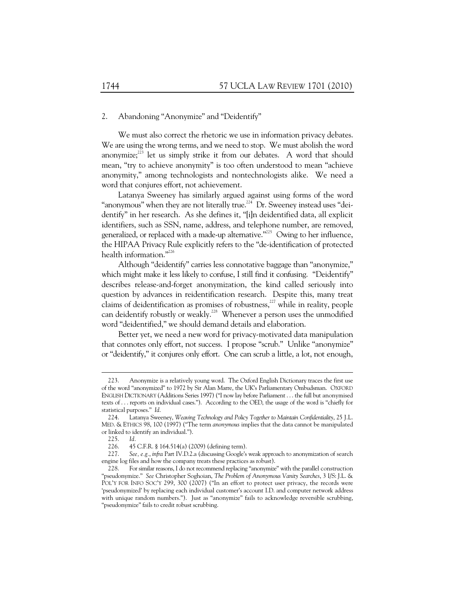#### 2. Abandoning "Anonymize" and "Deidentify"

We must also correct the rhetoric we use in information privacy debates. We are using the wrong terms, and we need to stop. We must abolish the word anonymize; $^{223}$  let us simply strike it from our debates. A word that should mean, "try to achieve anonymity" is too often understood to mean "achieve anonymity," among technologists and nontechnologists alike. We need a word that conjures effort, not achievement.

Latanya Sweeney has similarly argued against using forms of the word "anonymous" when they are not literally true.<sup>224</sup> Dr. Sweeney instead uses "deidentify" in her research. As she defines it, "[i]n deidentified data, all explicit identifiers, such as SSN, name, address, and telephone number, are removed, generalized, or replaced with a made-up alternative."<sup>225</sup> Owing to her influence, the HIPAA Privacy Rule explicitly refers to the "de-identification of protected health information."<sup>226</sup>

Although "deidentify" carries less connotative baggage than "anonymize," which might make it less likely to confuse, I still find it confusing. "Deidentify" describes release-and-forget anonymization, the kind called seriously into question by advances in reidentification research. Despite this, many treat claims of deidentification as promises of robustness, $^{227}$  while in reality, people can deidentify robustly or weakly.<sup>228</sup> Whenever a person uses the unmodified word "deidentified," we should demand details and elaboration.

Better yet, we need a new word for privacy-motivated data manipulation that connotes only effort, not success. I propose "scrub." Unlike "anonymize" or "deidentify," it conjures only effort. One can scrub a little, a lot, not enough,

 <sup>223.</sup> Anonymize is a relatively young word. The Oxford English Dictionary traces the first use of the word "anonymized" to 1972 by Sir Alan Marre, the UK's Parliamentary Ombudsman. OXFORD ENGLISH DICTIONARY (Additions Series 1997) ("I now lay before Parliament . . . the full but anonymised texts of . . . reports on individual cases."). According to the OED, the usage of the word is "chiefly for statistical purposes." *Id.* 

 <sup>224.</sup> Latanya Sweeney, *Weaving Technology and Policy Together to Maintain Confidentiality*, 25 J.L. MED. & ETHICS 98, 100 (1997) ("The term *anonymous* implies that the data cannot be manipulated or linked to identify an individual.").

 <sup>225.</sup> *Id.* 

 <sup>226. 45</sup> C.F.R. § 164.514(a) (2009) (defining term).

 <sup>227.</sup> *See, e.g.*, *infra* Part IV.D.2.a (discussing Google's weak approach to anonymization of search engine log files and how the company treats these practices as robust).

 <sup>228.</sup> For similar reasons, I do not recommend replacing "anonymize" with the parallel construction "pseudonymize." *See* Christopher Soghoian, *The Problem of Anonymous Vanity Searches*, 3 I/S: J.L. & POL'Y FOR INFO SOC'Y 299, 300 (2007) ("In an effort to protect user privacy, the records were 'pseudonymized' by replacing each individual customer's account I.D. and computer network address with unique random numbers."). Just as "anonymize" fails to acknowledge reversible scrubbing, "pseudonymize" fails to credit robust scrubbing.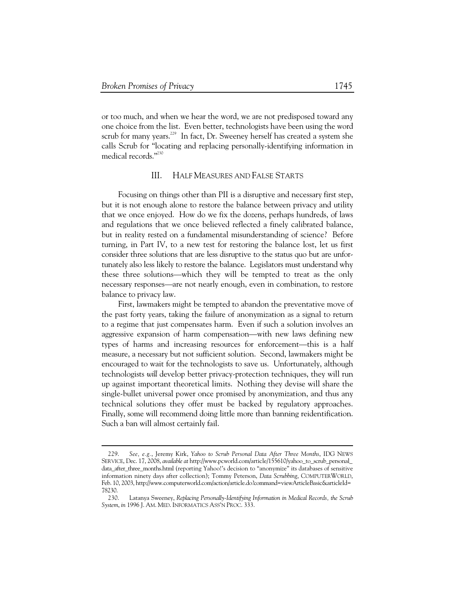-

or too much, and when we hear the word, we are not predisposed toward any one choice from the list. Even better, technologists have been using the word scrub for many years.<sup>229</sup> In fact, Dr. Sweeney herself has created a system she calls Scrub for "locating and replacing personally-identifying information in medical records."230

# III. HALF MEASURES AND FALSE STARTS

Focusing on things other than PII is a disruptive and necessary first step, but it is not enough alone to restore the balance between privacy and utility that we once enjoyed. How do we fix the dozens, perhaps hundreds, of laws and regulations that we once believed reflected a finely calibrated balance, but in reality rested on a fundamental misunderstanding of science? Before turning, in Part IV, to a new test for restoring the balance lost, let us first consider three solutions that are less disruptive to the status quo but are unfortunately also less likely to restore the balance. Legislators must understand why these three solutions—which they will be tempted to treat as the only necessary responses—are not nearly enough, even in combination, to restore balance to privacy law.

First, lawmakers might be tempted to abandon the preventative move of the past forty years, taking the failure of anonymization as a signal to return to a regime that just compensates harm. Even if such a solution involves an aggressive expansion of harm compensation—with new laws defining new types of harms and increasing resources for enforcement—this is a half measure, a necessary but not sufficient solution. Second, lawmakers might be encouraged to wait for the technologists to save us. Unfortunately, although technologists *will* develop better privacy-protection techniques, they will run up against important theoretical limits. Nothing they devise will share the single-bullet universal power once promised by anonymization, and thus any technical solutions they offer must be backed by regulatory approaches. Finally, some will recommend doing little more than banning reidentification. Such a ban will almost certainly fail.

 <sup>229.</sup> *See, e.g.*, Jeremy Kirk, *Yahoo to Scrub Personal Data After Three Months*, IDG NEWS SERVICE, Dec. 17, 2008, *available at* http://www.pcworld.com/article/155610/yahoo\_to\_scrub\_personal\_ data\_after\_three\_months.html (reporting Yahoo!'s decision to "anonymize" its databases of sensitive information ninety days after collection); Tommy Peterson, *Data Scrubbing*, COMPUTERWORLD, Feb. 10, 2003, http://www.computerworld.com/action/article.do?command=viewArticleBasic&articleId= 78230.

 <sup>230.</sup> Latanya Sweeney, *Replacing Personally-Identifying Information in Medical Records, the Scrub System*, *in* 1996 J. AM. MED. INFORMATICS ASS'N PROC. 333.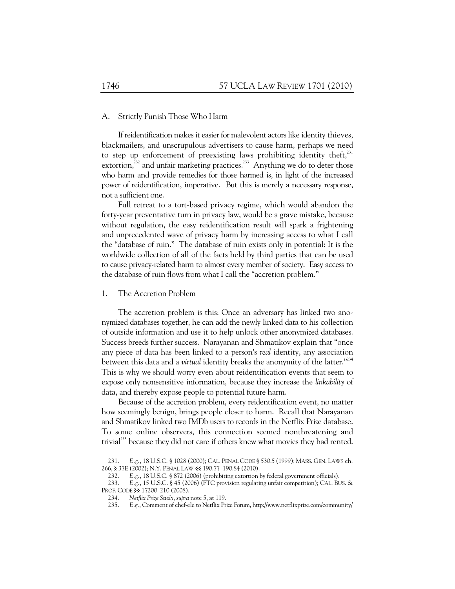# A. Strictly Punish Those Who Harm

If reidentification makes it easier for malevolent actors like identity thieves, blackmailers, and unscrupulous advertisers to cause harm, perhaps we need to step up enforcement of preexisting laws prohibiting identity theft, $^{231}$ extortion,<sup>232</sup> and unfair marketing practices.<sup>233</sup> Anything we do to deter those who harm and provide remedies for those harmed is, in light of the increased power of reidentification, imperative. But this is merely a necessary response, not a sufficient one.

Full retreat to a tort-based privacy regime, which would abandon the forty-year preventative turn in privacy law, would be a grave mistake, because without regulation, the easy reidentification result will spark a frightening and unprecedented wave of privacy harm by increasing access to what I call the "database of ruin." The database of ruin exists only in potential: It is the worldwide collection of all of the facts held by third parties that can be used to cause privacy-related harm to almost every member of society. Easy access to the database of ruin flows from what I call the "accretion problem."

#### 1. The Accretion Problem

The accretion problem is this: Once an adversary has linked two anonymized databases together, he can add the newly linked data to his collection of outside information and use it to help unlock other anonymized databases. Success breeds further success. Narayanan and Shmatikov explain that "once any piece of data has been linked to a person's *real* identity, any association between this data and a *virtual* identity breaks the anonymity of the latter."<sup>234</sup> This is why we should worry even about reidentification events that seem to expose only nonsensitive information, because they increase the *linkability* of data, and thereby expose people to potential future harm.

Because of the accretion problem, every reidentification event, no matter how seemingly benign, brings people closer to harm. Recall that Narayanan and Shmatikov linked two IMDb users to records in the Netflix Prize database. To some online observers, this connection seemed nonthreatening and trivial<sup>235</sup> because they did not care if others knew what movies they had rented.

 <sup>231.</sup> *E.g.*, 18 U.S.C. § 1028 (2000); CAL. PENAL CODE § 530.5 (1999); MASS. GEN. LAWS ch. 266, § 37E (2002); N.Y. PENAL LAW §§ 190.77–190.84 (2010).

 <sup>232.</sup> *E.g.*, 18 U.S.C. § 872 (2006) (prohibiting extortion by federal government officials).

 <sup>233.</sup> *E.g.*, 15 U.S.C. § 45 (2006) (FTC provision regulating unfair competition); CAL. BUS. & PROF. CODE §§ 17200–210 (2008).

 <sup>234.</sup> *Netflix Prize Study*, *supra* note 5, at 119.

 <sup>235.</sup> *E.g.*, Comment of chef-ele to Netflix Prize Forum, http://www.netflixprize.com/community/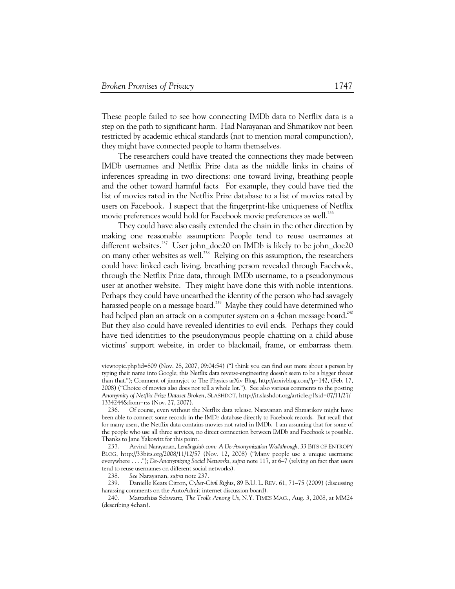These people failed to see how connecting IMDb data to Netflix data is a step on the path to significant harm. Had Narayanan and Shmatikov not been restricted by academic ethical standards (not to mention moral compunction), they might have connected people to harm themselves.

The researchers could have treated the connections they made between IMDb usernames and Netflix Prize data as the middle links in chains of inferences spreading in two directions: one toward living, breathing people and the other toward harmful facts. For example, they could have tied the list of movies rated in the Netflix Prize database to a list of movies rated by users on Facebook. I suspect that the fingerprint-like uniqueness of Netflix movie preferences would hold for Facebook movie preferences as well.<sup>236</sup>

They could have also easily extended the chain in the other direction by making one reasonable assumption: People tend to reuse usernames at different websites.<sup>237</sup> User john\_doe20 on IMDb is likely to be john\_doe20 on many other websites as well.<sup>238</sup> Relying on this assumption, the researchers could have linked each living, breathing person revealed through Facebook, through the Netflix Prize data, through IMDb username, to a pseudonymous user at another website. They might have done this with noble intentions. Perhaps they could have unearthed the identity of the person who had savagely harassed people on a message board.<sup>239</sup> Maybe they could have determined who had helped plan an attack on a computer system on a 4chan message board.<sup>240</sup> But they also could have revealed identities to evil ends. Perhaps they could have tied identities to the pseudonymous people chatting on a child abuse victims' support website, in order to blackmail, frame, or embarrass them.

viewtopic.php?id=809 (Nov. 28, 2007, 09:04:54) ("I think you can find out more about a person by typing their name into Google; this Netflix data reverse-engineering doesn't seem to be a bigger threat than that."); Comment of jimmyjot to The Physics arXiv Blog, http://arxivblog.com/?p=142, (Feb. 17, 2008) ("Choice of movies also does not tell a whole lot."). See also various comments to the posting *Anonymity of Netflix Prize Dataset Broken*, SLASHDOT, http://it.slashdot.org/article.pl?sid=07/11/27/ 1334244&from=rss (Nov. 27, 2007).

 <sup>236.</sup> Of course, even without the Netflix data release, Narayanan and Shmatikov might have been able to connect some records in the IMDb database directly to Facebook records. But recall that for many users, the Netflix data contains movies not rated in IMDb. I am assuming that for some of the people who use all three services, no direct connection between IMDb and Facebook is possible. Thanks to Jane Yakowitz for this point.

 <sup>237.</sup> Arvind Narayanan, *Lendingclub.com: A De-Anonymization Walkthrough*, 33 BITS OF ENTROPY BLOG, http://33bits.org/2008/11/12/57 (Nov. 12, 2008) ("Many people use a unique username everywhere . . . ."); *De-Anonymizing Social Networks*, *supra* note 117, at 6–7 (relying on fact that users tend to reuse usernames on different social networks).

 <sup>238.</sup> *See* Narayanan, *supra* note 237.

 <sup>239.</sup> Danielle Keats Citron, *Cyber-Civil Rights*, 89 B.U. L. REV. 61, 71–75 (2009) (discussing harassing comments on the AutoAdmit internet discussion board).

 <sup>240.</sup> Mattathias Schwartz, *The Trolls Among Us*, N.Y. TIMES MAG., Aug. 3, 2008, at MM24 (describing 4chan).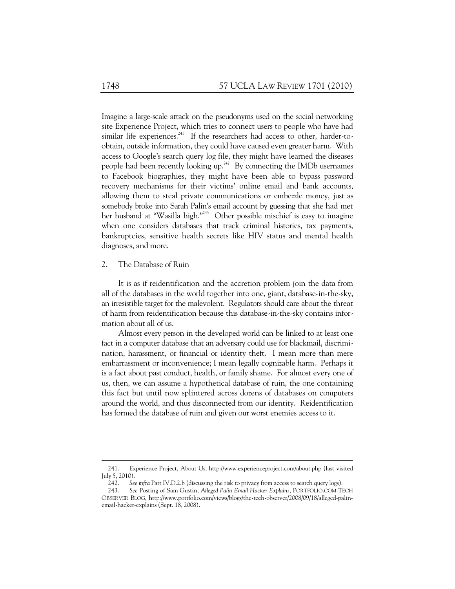Imagine a large-scale attack on the pseudonyms used on the social networking site Experience Project, which tries to connect users to people who have had similar life experiences. $241$  If the researchers had access to other, harder-toobtain, outside information, they could have caused even greater harm. With access to Google's search query log file, they might have learned the diseases people had been recently looking up.<sup>242</sup> By connecting the IMDb usernames to Facebook biographies, they might have been able to bypass password recovery mechanisms for their victims' online email and bank accounts, allowing them to steal private communications or embezzle money, just as somebody broke into Sarah Palin's email account by guessing that she had met her husband at "Wasilla high."<sup>243</sup> Other possible mischief is easy to imagine when one considers databases that track criminal histories, tax payments, bankruptcies, sensitive health secrets like HIV status and mental health diagnoses, and more.

#### 2. The Database of Ruin

 $\ddot{\phantom{a}}$ 

It is as if reidentification and the accretion problem join the data from all of the databases in the world together into one, giant, database-in-the-sky, an irresistible target for the malevolent. Regulators should care about the threat of harm from reidentification because this database-in-the-sky contains information about all of us.

Almost every person in the developed world can be linked to at least one fact in a computer database that an adversary could use for blackmail, discrimination, harassment, or financial or identity theft. I mean more than mere embarrassment or inconvenience; I mean legally cognizable harm. Perhaps it is a fact about past conduct, health, or family shame. For almost every one of us, then, we can assume a hypothetical database of ruin, the one containing this fact but until now splintered across dozens of databases on computers around the world, and thus disconnected from our identity. Reidentification has formed the database of ruin and given our worst enemies access to it.

 <sup>241.</sup> Experience Project, About Us, http://www.experienceproject.com/about.php (last visited July 5, 2010).

 <sup>242.</sup> *See infra* Part IV.D.2.b (discussing the risk to privacy from access to search query logs).

 <sup>243.</sup> *See* Posting of Sam Gustin, *Alleged Palin Email Hacker Explains*, PORTFOLIO.COM TECH OBSERVER BLOG, http://www.portfolio.com/views/blogs/the-tech-observer/2008/09/18/alleged-palinemail-hacker-explains (Sept. 18, 2008).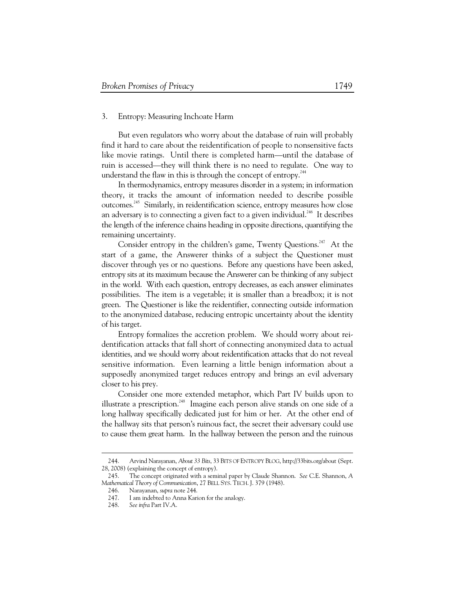# 3. Entropy: Measuring Inchoate Harm

But even regulators who worry about the database of ruin will probably find it hard to care about the reidentification of people to nonsensitive facts like movie ratings. Until there is completed harm—until the database of ruin is accessed—they will think there is no need to regulate. One way to understand the flaw in this is through the concept of entropy. $^{244}$ 

In thermodynamics, entropy measures disorder in a system; in information theory, it tracks the amount of information needed to describe possible outcomes.<sup>245</sup> Similarly, in reidentification science, entropy measures how close an adversary is to connecting a given fact to a given individual.<sup>246</sup> It describes the length of the inference chains heading in opposite directions, quantifying the remaining uncertainty.

Consider entropy in the children's game, Twenty Questions.<sup>247</sup> At the start of a game, the Answerer thinks of a subject the Questioner must discover through yes or no questions. Before any questions have been asked, entropy sits at its maximum because the Answerer can be thinking of any subject in the world. With each question, entropy decreases, as each answer eliminates possibilities. The item is a vegetable; it is smaller than a breadbox; it is not green. The Questioner is like the reidentifier, connecting outside information to the anonymized database, reducing entropic uncertainty about the identity of his target.

Entropy formalizes the accretion problem. We should worry about reidentification attacks that fall short of connecting anonymized data to actual identities, and we should worry about reidentification attacks that do not reveal sensitive information. Even learning a little benign information about a supposedly anonymized target reduces entropy and brings an evil adversary closer to his prey.

Consider one more extended metaphor, which Part IV builds upon to illustrate a prescription.<sup>248</sup> Imagine each person alive stands on one side of a long hallway specifically dedicated just for him or her. At the other end of the hallway sits that person's ruinous fact, the secret their adversary could use to cause them great harm. In the hallway between the person and the ruinous

 <sup>244.</sup> Arvind Narayanan, *About 33 Bits*, 33 BITS OF ENTROPY BLOG, http://33bits.org/about (Sept. 28, 2008) (explaining the concept of entropy).

 <sup>245.</sup> The concept originated with a seminal paper by Claude Shannon. *See* C.E. Shannon, *A Mathematical Theory of Communication*, 27 BELL SYS. TECH. J. 379 (1948).

 <sup>246.</sup> Narayanan, *supra* note 244.

I am indebted to Anna Karion for the analogy.

 <sup>248.</sup> *See infra* Part IV.A.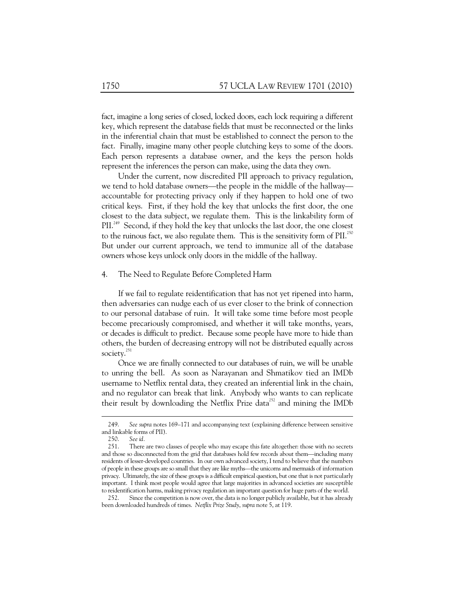fact, imagine a long series of closed, locked doors, each lock requiring a different key, which represent the database fields that must be reconnected or the links in the inferential chain that must be established to connect the person to the fact. Finally, imagine many other people clutching keys to some of the doors. Each person represents a database owner, and the keys the person holds represent the inferences the person can make, using the data they own.

Under the current, now discredited PII approach to privacy regulation, we tend to hold database owners—the people in the middle of the hallway accountable for protecting privacy only if they happen to hold one of two critical keys. First, if they hold the key that unlocks the first door, the one closest to the data subject, we regulate them. This is the linkability form of PIL<sup>249</sup> Second, if they hold the key that unlocks the last door, the one closest to the ruinous fact, we also regulate them. This is the sensitivity form of  $PII^{250}$ But under our current approach, we tend to immunize all of the database owners whose keys unlock only doors in the middle of the hallway.

#### 4. The Need to Regulate Before Completed Harm

If we fail to regulate reidentification that has not yet ripened into harm, then adversaries can nudge each of us ever closer to the brink of connection to our personal database of ruin. It will take some time before most people become precariously compromised, and whether it will take months, years, or decades is difficult to predict. Because some people have more to hide than others, the burden of decreasing entropy will not be distributed equally across society.<sup>251</sup>

Once we are finally connected to our databases of ruin, we will be unable to unring the bell. As soon as Narayanan and Shmatikov tied an IMDb username to Netflix rental data, they created an inferential link in the chain, and no regulator can break that link. Anybody who wants to can replicate their result by downloading the Netflix Prize data<sup>252</sup> and mining the IMDb

 <sup>249.</sup> *See supra* notes 169–171 and accompanying text (explaining difference between sensitive and linkable forms of PII).

 <sup>250.</sup> *See id.*

There are two classes of people who may escape this fate altogether: those with no secrets and those so disconnected from the grid that databases hold few records about them—including many residents of lesser-developed countries. In our own advanced society, I tend to believe that the numbers of people in these groups are so small that they are like myths—the unicorns and mermaids of information privacy. Ultimately, the size of these groups is a difficult empirical question, but one that is not particularly important. I think most people would agree that large majorities in advanced societies are susceptible to reidentification harms, making privacy regulation an important question for huge parts of the world.

 <sup>252.</sup> Since the competition is now over, the data is no longer publicly available, but it has already been downloaded hundreds of times. *Netflix Prize Study*, *supra* note 5, at 119.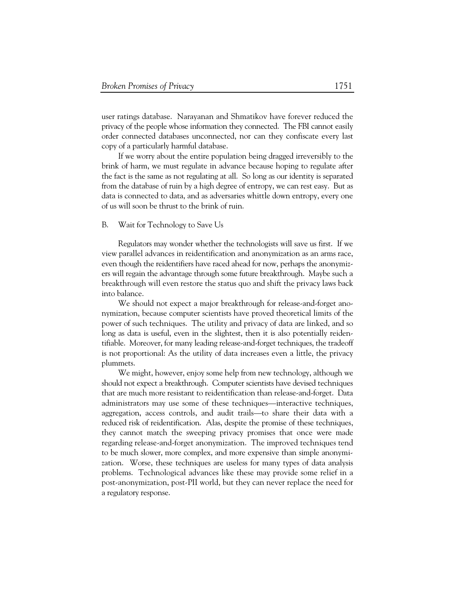user ratings database. Narayanan and Shmatikov have forever reduced the privacy of the people whose information they connected. The FBI cannot easily order connected databases unconnected, nor can they confiscate every last copy of a particularly harmful database.

If we worry about the entire population being dragged irreversibly to the brink of harm, we must regulate in advance because hoping to regulate after the fact is the same as not regulating at all. So long as our identity is separated from the database of ruin by a high degree of entropy, we can rest easy. But as data is connected to data, and as adversaries whittle down entropy, every one of us will soon be thrust to the brink of ruin.

# B. Wait for Technology to Save Us

Regulators may wonder whether the technologists will save us first. If we view parallel advances in reidentification and anonymization as an arms race, even though the reidentifiers have raced ahead for now, perhaps the anonymizers will regain the advantage through some future breakthrough. Maybe such a breakthrough will even restore the status quo and shift the privacy laws back into balance.

We should not expect a major breakthrough for release-and-forget anonymization, because computer scientists have proved theoretical limits of the power of such techniques. The utility and privacy of data are linked, and so long as data is useful, even in the slightest, then it is also potentially reidentifiable. Moreover, for many leading release-and-forget techniques, the tradeoff is not proportional: As the utility of data increases even a little, the privacy plummets.

We might, however, enjoy some help from new technology, although we should not expect a breakthrough. Computer scientists have devised techniques that are much more resistant to reidentification than release-and-forget. Data administrators may use some of these techniques—interactive techniques, aggregation, access controls, and audit trails—to share their data with a reduced risk of reidentification. Alas, despite the promise of these techniques, they cannot match the sweeping privacy promises that once were made regarding release-and-forget anonymization. The improved techniques tend to be much slower, more complex, and more expensive than simple anonymization. Worse, these techniques are useless for many types of data analysis problems. Technological advances like these may provide some relief in a post-anonymization, post-PII world, but they can never replace the need for a regulatory response.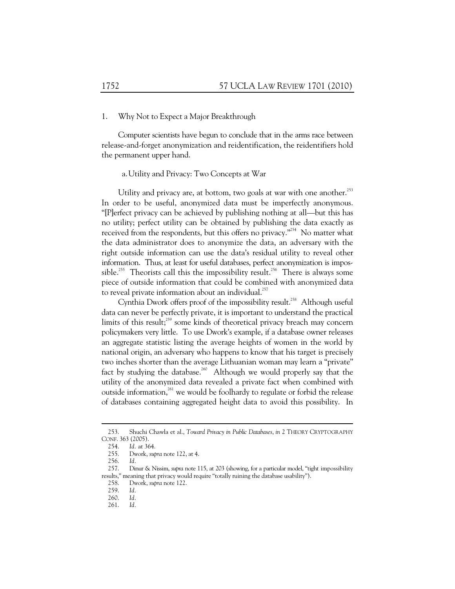#### 1. Why Not to Expect a Major Breakthrough

Computer scientists have begun to conclude that in the arms race between release-and-forget anonymization and reidentification, the reidentifiers hold the permanent upper hand.

#### a.Utility and Privacy: Two Concepts at War

Utility and privacy are, at bottom, two goals at war with one another.<sup>253</sup> In order to be useful, anonymized data must be imperfectly anonymous. "[P]erfect privacy can be achieved by publishing nothing at all—but this has no utility; perfect utility can be obtained by publishing the data exactly as received from the respondents, but this offers no privacy.<sup> $3254$ </sup> No matter what the data administrator does to anonymize the data, an adversary with the right outside information can use the data's residual utility to reveal other information. Thus, at least for useful databases, perfect anonymization is impossible.<sup>255</sup> Theorists call this the impossibility result.<sup>256</sup> There is always some piece of outside information that could be combined with anonymized data to reveal private information about an individual.<sup>257</sup>

Cynthia Dwork offers proof of the impossibility result.<sup>258</sup> Although useful data can never be perfectly private, it is important to understand the practical limits of this result;<sup>259</sup> some kinds of theoretical privacy breach may concern policymakers very little. To use Dwork's example, if a database owner releases an aggregate statistic listing the average heights of women in the world by national origin, an adversary who happens to know that his target is precisely two inches shorter than the average Lithuanian woman may learn a "private" fact by studying the database.<sup>260</sup> Although we would properly say that the utility of the anonymized data revealed a private fact when combined with outside information,<sup>261</sup> we would be foolhardy to regulate or forbid the release of databases containing aggregated height data to avoid this possibility. In

 <sup>253.</sup> Shuchi Chawla et al., *Toward Privacy in Public Databases*, *in* 2 THEORY CRYPTOGRAPHY CONF. 363 (2005).

 <sup>254.</sup> *Id.* at 364.

 <sup>255.</sup> Dwork, *supra* note 122, at 4.

 <sup>256.</sup> *Id.* 

 <sup>257.</sup> Dinur & Nissim, *supra* note 115, at 203 (showing, for a particular model, "tight impossibility results," meaning that privacy would require "totally ruining the database usability").

 <sup>258.</sup> Dwork, *supra* note 122.

 <sup>259.</sup> *Id.* 

 <sup>260.</sup> *Id.*

 <sup>261.</sup> *Id.*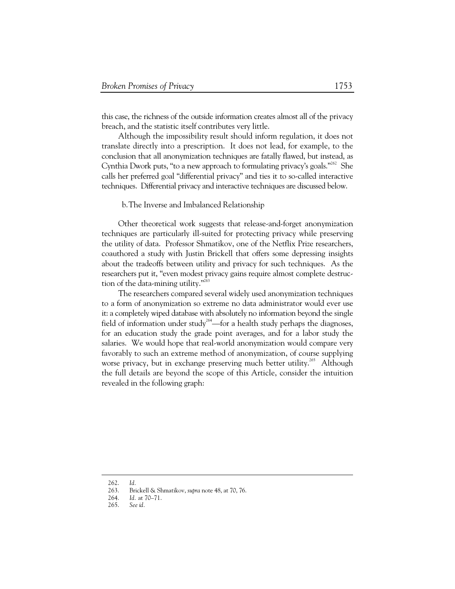this case, the richness of the outside information creates almost all of the privacy breach, and the statistic itself contributes very little.

Although the impossibility result should inform regulation, it does not translate directly into a prescription. It does not lead, for example, to the conclusion that all anonymization techniques are fatally flawed, but instead, as Cynthia Dwork puts, "to a new approach to formulating privacy's goals."<sup>262</sup> She calls her preferred goal "differential privacy" and ties it to so-called interactive techniques. Differential privacy and interactive techniques are discussed below.

# b.The Inverse and Imbalanced Relationship

Other theoretical work suggests that release-and-forget anonymization techniques are particularly ill-suited for protecting privacy while preserving the utility of data. Professor Shmatikov, one of the Netflix Prize researchers, coauthored a study with Justin Brickell that offers some depressing insights about the tradeoffs between utility and privacy for such techniques. As the researchers put it, "even modest privacy gains require almost complete destruction of the data-mining utility."<sup>263</sup>

The researchers compared several widely used anonymization techniques to a form of anonymization so extreme no data administrator would ever use it: a completely wiped database with absolutely no information beyond the single field of information under study<sup>264</sup>—for a health study perhaps the diagnoses, for an education study the grade point averages, and for a labor study the salaries. We would hope that real-world anonymization would compare very favorably to such an extreme method of anonymization, of course supplying worse privacy, but in exchange preserving much better utility.<sup>265</sup> Although the full details are beyond the scope of this Article, consider the intuition revealed in the following graph:

 <sup>262.</sup> *Id.*

 <sup>263.</sup> Brickell & Shmatikov, *supra* note 48, at 70, 76.

 <sup>264.</sup> *Id.* at 70–71.

 <sup>265.</sup> *See id.*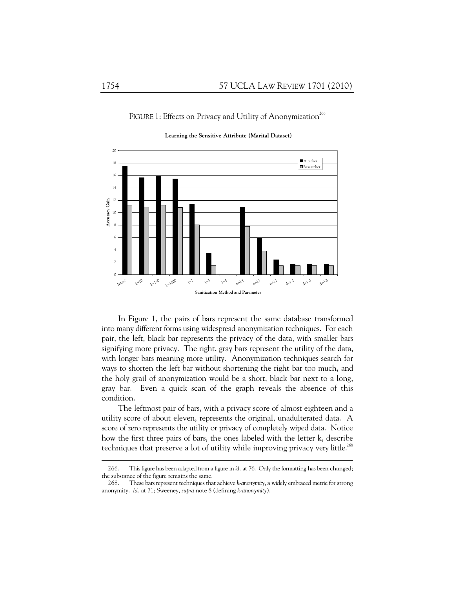FIGURE 1: Effects on Privacy and Utility of Anonymization<sup>266</sup>

 $20$ ■ Attacker 18  $\blacksquare$ Researcher 16 14 **Accuracy Gain** 12 **Accuracy Gain** <sub>10</sub> 8 6 4 2  $\circ$ **k**=1000 **k**=100 t=0.4  $k^{p/0}$  $\lambda$  $\rightarrow$  $\mathbf{V}^{\mathbf{A}}$  $\epsilon_{\varphi}$ t=0.2  $d^{\geqslant k}$ d=0.8  $d_{\geq 1,0}$ Intact **Sanitization Method and Parameter**

**Learning the Sensitive Attribute (Marital Dataset)**

In Figure 1, the pairs of bars represent the same database transformed into many different forms using widespread anonymization techniques. For each pair, the left, black bar represents the privacy of the data, with smaller bars signifying more privacy. The right, gray bars represent the utility of the data, with longer bars meaning more utility. Anonymization techniques search for ways to shorten the left bar without shortening the right bar too much, and the holy grail of anonymization would be a short, black bar next to a long, gray bar. Even a quick scan of the graph reveals the absence of this condition.

The leftmost pair of bars, with a privacy score of almost eighteen and a utility score of about eleven, represents the original, unadulterated data. A score of zero represents the utility or privacy of completely wiped data. Notice how the first three pairs of bars, the ones labeled with the letter k, describe techniques that preserve a lot of utility while improving privacy very little.<sup>268</sup>

 <sup>266.</sup> This figure has been adapted from a figure in *id.* at 76. Only the formatting has been changed; the substance of the figure remains the same.

 <sup>268.</sup> These bars represent techniques that achieve *k-anonymity*, a widely embraced metric for strong anonymity. *Id.* at 71; Sweeney, *supra* note 8 (defining *k-anonymity*).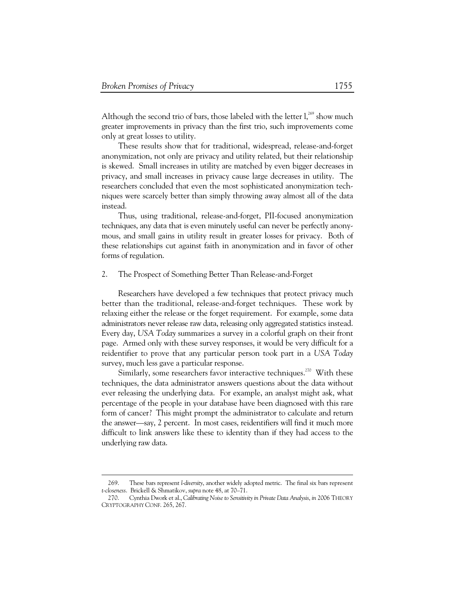-

Although the second trio of bars, those labeled with the letter  $l<sub>1</sub><sup>269</sup>$  show much greater improvements in privacy than the first trio, such improvements come only at great losses to utility.

These results show that for traditional, widespread, release-and-forget anonymization, not only are privacy and utility related, but their relationship is skewed. Small increases in utility are matched by even bigger decreases in privacy, and small increases in privacy cause large decreases in utility. The researchers concluded that even the most sophisticated anonymization techniques were scarcely better than simply throwing away almost all of the data instead.

Thus, using traditional, release-and-forget, PII-focused anonymization techniques, any data that is even minutely useful can never be perfectly anonymous, and small gains in utility result in greater losses for privacy. Both of these relationships cut against faith in anonymization and in favor of other forms of regulation.

# 2. The Prospect of Something Better Than Release-and-Forget

Researchers have developed a few techniques that protect privacy much better than the traditional, release-and-forget techniques. These work by relaxing either the release or the forget requirement. For example, some data administrators never release raw data, releasing only aggregated statistics instead. Every day, *USA Today* summarizes a survey in a colorful graph on their front page. Armed only with these survey responses, it would be very difficult for a reidentifier to prove that any particular person took part in a *USA Today* survey, much less gave a particular response.

Similarly, some researchers favor interactive techniques.<sup>270</sup> With these techniques, the data administrator answers questions about the data without ever releasing the underlying data. For example, an analyst might ask, what percentage of the people in your database have been diagnosed with this rare form of cancer? This might prompt the administrator to calculate and return the answer—say, 2 percent. In most cases, reidentifiers will find it much more difficult to link answers like these to identity than if they had access to the underlying raw data.

 <sup>269.</sup> These bars represent *l-diversity*, another widely adopted metric. The final six bars represent *t-closeness*. Brickell & Shmatikov, *supra* note 48, at 70–71.

 <sup>270.</sup> Cynthia Dwork et al., *Calibrating Noise to Sensitivity in Private Data Analysis*, *in* 2006 THEORY CRYPTOGRAPHY CONF. 265, 267.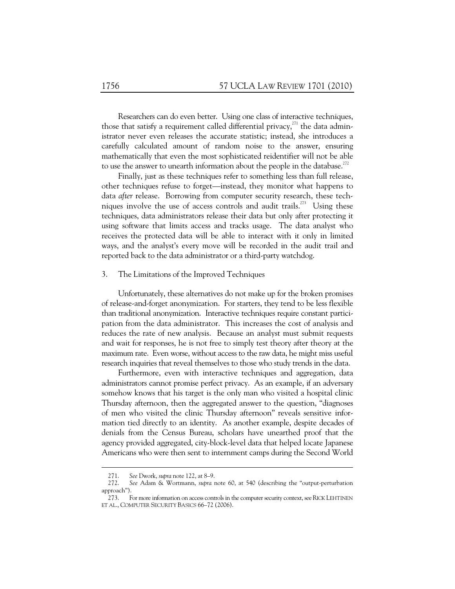Researchers can do even better. Using one class of interactive techniques, those that satisfy a requirement called differential privacy, $^{271}$  the data administrator never even releases the accurate statistic; instead, she introduces a carefully calculated amount of random noise to the answer, ensuring mathematically that even the most sophisticated reidentifier will not be able to use the answer to unearth information about the people in the database.<sup>272</sup>

Finally, just as these techniques refer to something less than full release, other techniques refuse to forget—instead, they monitor what happens to data *after* release. Borrowing from computer security research, these techniques involve the use of access controls and audit trails.<sup>273</sup> Using these techniques, data administrators release their data but only after protecting it using software that limits access and tracks usage. The data analyst who receives the protected data will be able to interact with it only in limited ways, and the analyst's every move will be recorded in the audit trail and reported back to the data administrator or a third-party watchdog.

## 3. The Limitations of the Improved Techniques

Unfortunately, these alternatives do not make up for the broken promises of release-and-forget anonymization. For starters, they tend to be less flexible than traditional anonymization. Interactive techniques require constant participation from the data administrator. This increases the cost of analysis and reduces the rate of new analysis. Because an analyst must submit requests and wait for responses, he is not free to simply test theory after theory at the maximum rate. Even worse, without access to the raw data, he might miss useful research inquiries that reveal themselves to those who study trends in the data.

Furthermore, even with interactive techniques and aggregation, data administrators cannot promise perfect privacy. As an example, if an adversary somehow knows that his target is the only man who visited a hospital clinic Thursday afternoon, then the aggregated answer to the question, "diagnoses of men who visited the clinic Thursday afternoon" reveals sensitive information tied directly to an identity. As another example, despite decades of denials from the Census Bureau, scholars have unearthed proof that the agency provided aggregated, city-block-level data that helped locate Japanese Americans who were then sent to internment camps during the Second World

 <sup>271.</sup> *See* Dwork, *supra* note 122, at 8–9.

 <sup>272.</sup> *See* Adam & Wortmann, *supra* note 60, at 540 (describing the "output-perturbation approach").

 <sup>273.</sup> For more information on access controls in the computer security context, seeRICK LEHTINEN ET AL., COMPUTER SECURITY BASICS 66–72 (2006).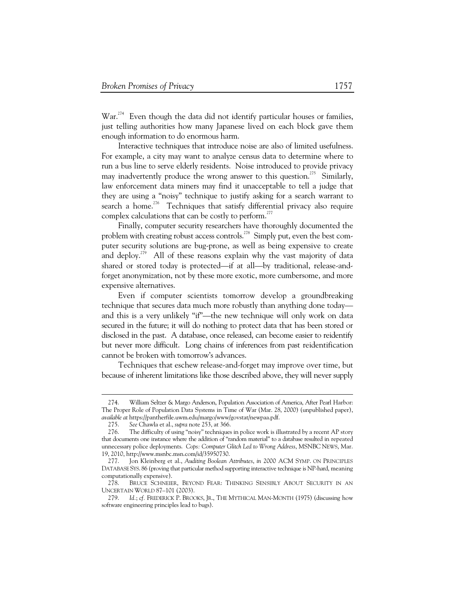War.<sup>274</sup> Even though the data did not identify particular houses or families, just telling authorities how many Japanese lived on each block gave them enough information to do enormous harm.

Interactive techniques that introduce noise are also of limited usefulness. For example, a city may want to analyze census data to determine where to run a bus line to serve elderly residents. Noise introduced to provide privacy may inadvertently produce the wrong answer to this question.<sup>275</sup> Similarly, law enforcement data miners may find it unacceptable to tell a judge that they are using a "noisy" technique to justify asking for a search warrant to search a home.<sup>276</sup> Techniques that satisfy differential privacy also require complex calculations that can be costly to perform.<sup>277</sup>

Finally, computer security researchers have thoroughly documented the problem with creating robust access controls.<sup>278</sup> Simply put, even the best computer security solutions are bug-prone, as well as being expensive to create and deploy.<sup>279</sup> All of these reasons explain why the vast majority of data shared or stored today is protected—if at all—by traditional, release-andforget anonymization, not by these more exotic, more cumbersome, and more expensive alternatives.

Even if computer scientists tomorrow develop a groundbreaking technique that secures data much more robustly than anything done today and this is a very unlikely "if"—the new technique will only work on data secured in the future; it will do nothing to protect data that has been stored or disclosed in the past. A database, once released, can become easier to reidentify but never more difficult. Long chains of inferences from past reidentification cannot be broken with tomorrow's advances.

Techniques that eschew release-and-forget may improve over time, but because of inherent limitations like those described above, they will never supply

 <sup>274.</sup> William Seltzer & Margo Anderson, Population Association of America, After Pearl Harbor: The Proper Role of Population Data Systems in Time of War (Mar. 28, 2000) (unpublished paper), *available at* https://pantherfile.uwm.edu/margo/www/govstat/newpaa.pdf.

 <sup>275.</sup> *See* Chawla et al., *supra* note 253, at 366.

 <sup>276.</sup> The difficulty of using "noisy" techniques in police work is illustrated by a recent AP story that documents one instance where the addition of "random material" to a database resulted in repeated unnecessary police deployments. *Cops: Computer Glitch Led to Wrong Address*, MSNBC NEWS, Mar. 19, 2010, http://www.msnbc.msn.com/id/35950730.

 <sup>277.</sup> Jon Kleinberg et al., *Auditing Boolean Attributes*, *in* 2000 ACM SYMP. ON PRINCIPLES DATABASE SYS. 86 (proving that particular method supporting interactive technique is NP-hard, meaning computationally expensive).

 <sup>278.</sup> BRUCE SCHNEIER, BEYOND FEAR: THINKING SENSIBLY ABOUT SECURITY IN AN UNCERTAIN WORLD 87–101 (2003).

 <sup>279.</sup> *Id.*; *cf.* FREDERICK P. BROOKS, JR., THE MYTHICAL MAN-MONTH (1975) (discussing how software engineering principles lead to bugs).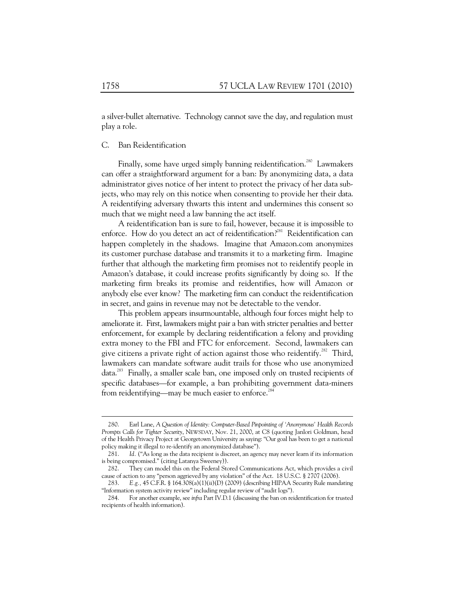a silver-bullet alternative. Technology cannot save the day, and regulation must play a role.

# C. Ban Reidentification

Finally, some have urged simply banning reidentification.<sup>280</sup> Lawmakers can offer a straightforward argument for a ban: By anonymizing data, a data administrator gives notice of her intent to protect the privacy of her data subjects, who may rely on this notice when consenting to provide her their data. A reidentifying adversary thwarts this intent and undermines this consent so much that we might need a law banning the act itself.

A reidentification ban is sure to fail, however, because it is impossible to enforce. How do you detect an act of reidentification?<sup>281</sup> Reidentification can happen completely in the shadows. Imagine that Amazon.com anonymizes its customer purchase database and transmits it to a marketing firm. Imagine further that although the marketing firm promises not to reidentify people in Amazon's database, it could increase profits significantly by doing so. If the marketing firm breaks its promise and reidentifies, how will Amazon or anybody else ever know? The marketing firm can conduct the reidentification in secret, and gains in revenue may not be detectable to the vendor.

This problem appears insurmountable, although four forces might help to ameliorate it. First, lawmakers might pair a ban with stricter penalties and better enforcement, for example by declaring reidentification a felony and providing extra money to the FBI and FTC for enforcement. Second, lawmakers can give citizens a private right of action against those who reidentify.<sup>282</sup> Third, lawmakers can mandate software audit trails for those who use anonymized data.<sup>283</sup> Finally, a smaller scale ban, one imposed only on trusted recipients of specific databases—for example, a ban prohibiting government data-miners from reidentifying—may be much easier to enforce.<sup>2</sup>

 <sup>280.</sup> Earl Lane, *A Question of Identity: Computer-Based Pinpointing of 'Anonymous' Health Records Prompts Calls for Tighter Security*, NEWSDAY, Nov. 21, 2000, at C8 (quoting Janlori Goldman, head of the Health Privacy Project at Georgetown University as saying: "Our goal has been to get a national policy making it illegal to re-identify an anonymized database").

 <sup>281.</sup> *Id.* ("As long as the data recipient is discreet, an agency may never learn if its information is being compromised." (citing Latanya Sweeney)).

 <sup>282.</sup> They can model this on the Federal Stored Communications Act, which provides a civil cause of action to any "person aggrieved by any violation" of the Act. 18 U.S.C. § 2707 (2006).

 <sup>283.</sup> *E.g.,* 45 C.F.R. § 164.308(a)(1)(ii)(D) (2009) (describing HIPAA Security Rule mandating "Information system activity review" including regular review of "audit logs").

 <sup>284.</sup> For another example, see *infra* Part IV.D.1 (discussing the ban on reidentification for trusted recipients of health information).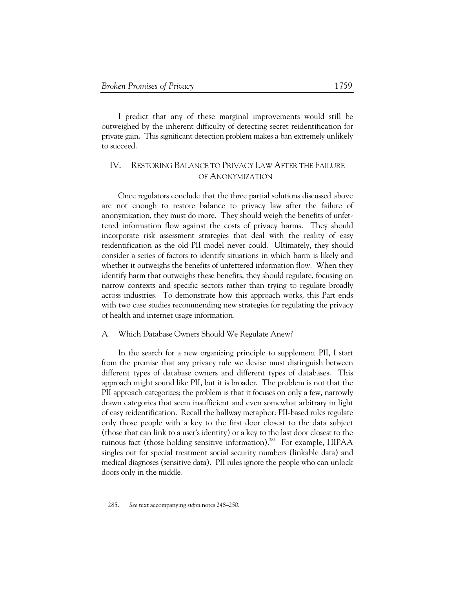I predict that any of these marginal improvements would still be outweighed by the inherent difficulty of detecting secret reidentification for private gain. This significant detection problem makes a ban extremely unlikely to succeed.

# IV. RESTORING BALANCE TO PRIVACY LAW AFTER THE FAILURE OF ANONYMIZATION

Once regulators conclude that the three partial solutions discussed above are not enough to restore balance to privacy law after the failure of anonymization, they must do more. They should weigh the benefits of unfettered information flow against the costs of privacy harms. They should incorporate risk assessment strategies that deal with the reality of easy reidentification as the old PII model never could. Ultimately, they should consider a series of factors to identify situations in which harm is likely and whether it outweighs the benefits of unfettered information flow. When they identify harm that outweighs these benefits, they should regulate, focusing on narrow contexts and specific sectors rather than trying to regulate broadly across industries. To demonstrate how this approach works, this Part ends with two case studies recommending new strategies for regulating the privacy of health and internet usage information.

## A. Which Database Owners Should We Regulate Anew?

In the search for a new organizing principle to supplement PII, I start from the premise that any privacy rule we devise must distinguish between different types of database owners and different types of databases. This approach might sound like PII, but it is broader. The problem is not that the PII approach categorizes; the problem is that it focuses on only a few, narrowly drawn categories that seem insufficient and even somewhat arbitrary in light of easy reidentification. Recall the hallway metaphor: PII-based rules regulate only those people with a key to the first door closest to the data subject (those that can link to a user's identity) or a key to the last door closest to the ruinous fact (those holding sensitive information).<sup>285</sup> For example, HIPAA singles out for special treatment social security numbers (linkable data) and medical diagnoses (sensitive data). PII rules ignore the people who can unlock doors only in the middle.

 <sup>285.</sup> *See* text accompanying *supra* notes 248–250.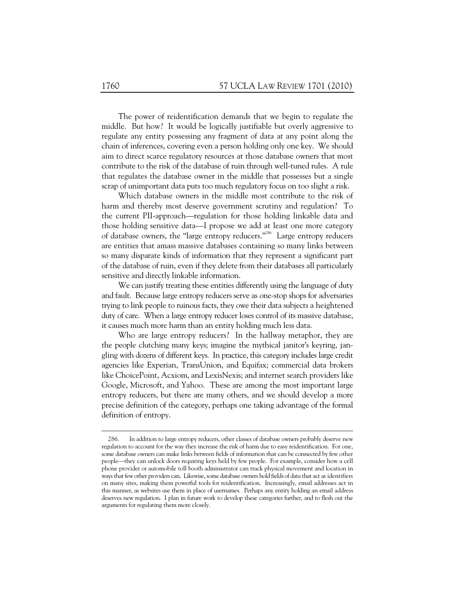The power of reidentification demands that we begin to regulate the middle. But how? It would be logically justifiable but overly aggressive to regulate any entity possessing any fragment of data at any point along the chain of inferences, covering even a person holding only one key. We should aim to direct scarce regulatory resources at those database owners that most contribute to the risk of the database of ruin through well-tuned rules. A rule that regulates the database owner in the middle that possesses but a single scrap of unimportant data puts too much regulatory focus on too slight a risk.

Which database owners in the middle most contribute to the risk of harm and thereby most deserve government scrutiny and regulation? To the current PII-approach—regulation for those holding linkable data and those holding sensitive data—I propose we add at least one more category of database owners, the "large entropy reducers."<sup>286</sup> Large entropy reducers are entities that amass massive databases containing so many links between so many disparate kinds of information that they represent a significant part of the database of ruin, even if they delete from their databases all particularly sensitive and directly linkable information.

We can justify treating these entities differently using the language of duty and fault. Because large entropy reducers serve as one-stop shops for adversaries trying to link people to ruinous facts, they owe their data subjects a heightened duty of care. When a large entropy reducer loses control of its massive database, it causes much more harm than an entity holding much less data.

Who are large entropy reducers? In the hallway metaphor, they are the people clutching many keys; imagine the mythical janitor's keyring, jangling with dozens of different keys. In practice, this category includes large credit agencies like Experian, TransUnion, and Equifax; commercial data brokers like ChoicePoint, Acxiom, and LexisNexis; and internet search providers like Google, Microsoft, and Yahoo. These are among the most important large entropy reducers, but there are many others, and we should develop a more precise definition of the category, perhaps one taking advantage of the formal definition of entropy.

 <sup>286.</sup> In addition to large entropy reducers, other classes of database owners probably deserve new regulation to account for the way they increase the risk of harm due to easy reidentification. For one, some database owners can make links between fields of information that can be connected by few other people—they can unlock doors requiring keys held by few people. For example, consider how a cell phone provider or automobile toll booth administrator can track physical movement and location in ways that few other providers can. Likewise, some database owners hold fields of data that act as identifiers on many sites, making them powerful tools for reidentification. Increasingly, email addresses act in this manner, as websites use them in place of usernames. Perhaps any entity holding an email address deserves new regulation. I plan in future work to develop these categories further, and to flesh out the arguments for regulating them more closely.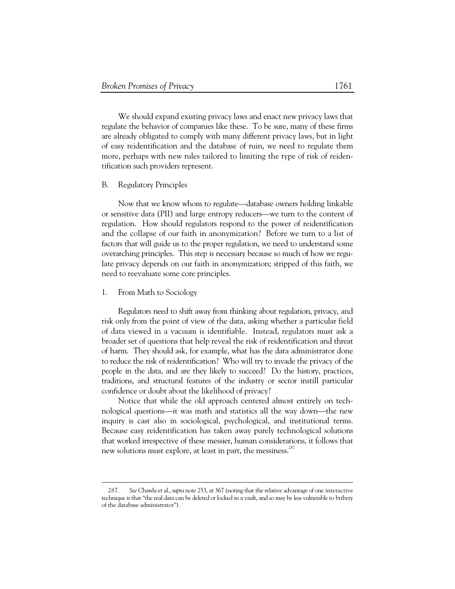We should expand existing privacy laws and enact new privacy laws that regulate the behavior of companies like these. To be sure, many of these firms are already obligated to comply with many different privacy laws, but in light of easy reidentification and the database of ruin, we need to regulate them more, perhaps with new rules tailored to limiting the type of risk of reidentification such providers represent.

# B. Regulatory Principles

Now that we know whom to regulate—database owners holding linkable or sensitive data (PII) and large entropy reducers—we turn to the content of regulation. How should regulators respond to the power of reidentification and the collapse of our faith in anonymization? Before we turn to a list of factors that will guide us to the proper regulation, we need to understand some overarching principles. This step is necessary because so much of how we regulate privacy depends on our faith in anonymization; stripped of this faith, we need to reevaluate some core principles.

#### 1. From Math to Sociology

Regulators need to shift away from thinking about regulation, privacy, and risk only from the point of view of the data, asking whether a particular field of data viewed in a vacuum is identifiable. Instead, regulators must ask a broader set of questions that help reveal the risk of reidentification and threat of harm. They should ask, for example, what has the data administrator done to reduce the risk of reidentification? Who will try to invade the privacy of the people in the data, and are they likely to succeed? Do the history, practices, traditions, and structural features of the industry or sector instill particular confidence or doubt about the likelihood of privacy?

Notice that while the old approach centered almost entirely on technological questions—it was math and statistics all the way down—the new inquiry is cast also in sociological, psychological, and institutional terms. Because easy reidentification has taken away purely technological solutions that worked irrespective of these messier, human considerations, it follows that new solutions must explore, at least in part, the messiness.<sup>287</sup>

 <sup>287.</sup> *See* Chawla et al., *supra* note 253, at 367 (noting that the relative advantage of one interactive technique is that "the real data can be deleted or locked in a vault, and so may be less vulnerable to bribery of the database administrator").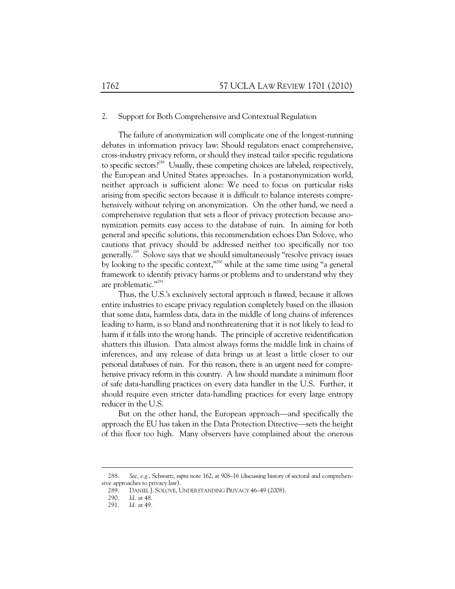## 2. Support for Both Comprehensive and Contextual Regulation

The failure of anonymization will complicate one of the longest-running debates in information privacy law: Should regulators enact comprehensive, cross-industry privacy reform, or should they instead tailor specific regulations to specific sectors?<sup>288</sup> Usually, these competing choices are labeled, respectively, the European and United States approaches. In a postanonymization world, neither approach is sufficient alone: We need to focus on particular risks arising from specific sectors because it is difficult to balance interests comprehensively without relying on anonymization. On the other hand, we need a comprehensive regulation that sets a floor of privacy protection because anonymization permits easy access to the database of ruin. In aiming for both general and specific solutions, this recommendation echoes Dan Solove, who cautions that privacy should be addressed neither too specifically nor too generally.289 Solove says that we should simultaneously "resolve privacy issues by looking to the specific context,"<sup>290</sup> while at the same time using "a general framework to identify privacy harms or problems and to understand why they are problematic."<sup>291</sup>

Thus, the U.S.'s exclusively sectoral approach is flawed, because it allows entire industries to escape privacy regulation completely based on the illusion that some data, harmless data, data in the middle of long chains of inferences leading to harm, is so bland and nonthreatening that it is not likely to lead to harm if it falls into the wrong hands. The principle of accretive reidentification shatters this illusion. Data almost always forms the middle link in chains of inferences, and any release of data brings us at least a little closer to our personal databases of ruin. For this reason, there is an urgent need for comprehensive privacy reform in this country. A law should mandate a minimum floor of safe data-handling practices on every data handler in the U.S. Further, it should require even stricter data-handling practices for every large entropy reducer in the U.S.

But on the other hand, the European approach—and specifically the approach the EU has taken in the Data Protection Directive—sets the height of this floor too high. Many observers have complained about the onerous

 <sup>288.</sup> *See, e.g.*, Schwartz, *supra* note 162, at 908–16 (discussing history of sectoral and comprehensive approaches to privacy law).

<sup>289.</sup> DANIEL J. SOLOVE, UNDERSTANDING PRIVACY 46–49 (2008).<br>290. Id. at 48.

*Id.* at 48.

 <sup>291.</sup> *Id.* at 49.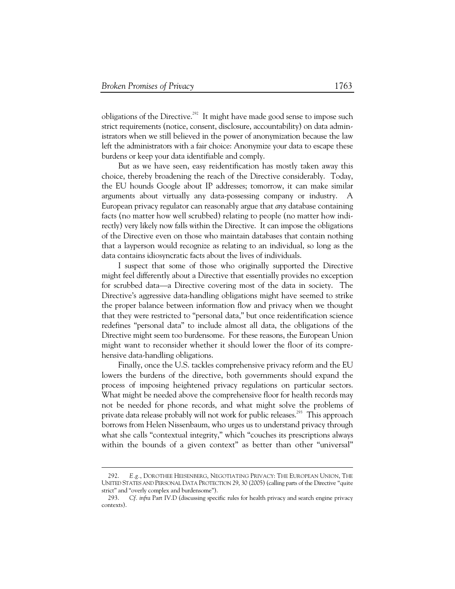-

obligations of the Directive.<sup>292</sup> It might have made good sense to impose such strict requirements (notice, consent, disclosure, accountability) on data administrators when we still believed in the power of anonymization because the law left the administrators with a fair choice: Anonymize your data to escape these burdens or keep your data identifiable and comply.

But as we have seen, easy reidentification has mostly taken away this choice, thereby broadening the reach of the Directive considerably. Today, the EU hounds Google about IP addresses; tomorrow, it can make similar arguments about virtually any data-possessing company or industry. A European privacy regulator can reasonably argue that *any* database containing facts (no matter how well scrubbed) relating to people (no matter how indirectly) very likely now falls within the Directive. It can impose the obligations of the Directive even on those who maintain databases that contain nothing that a layperson would recognize as relating to an individual, so long as the data contains idiosyncratic facts about the lives of individuals.

I suspect that some of those who originally supported the Directive might feel differently about a Directive that essentially provides no exception for scrubbed data—a Directive covering most of the data in society. The Directive's aggressive data-handling obligations might have seemed to strike the proper balance between information flow and privacy when we thought that they were restricted to "personal data," but once reidentification science redefines "personal data" to include almost all data, the obligations of the Directive might seem too burdensome. For these reasons, the European Union might want to reconsider whether it should lower the floor of its comprehensive data-handling obligations.

Finally, once the U.S. tackles comprehensive privacy reform and the EU lowers the burdens of the directive, both governments should expand the process of imposing heightened privacy regulations on particular sectors. What might be needed above the comprehensive floor for health records may not be needed for phone records, and what might solve the problems of private data release probably will not work for public releases.<sup>293</sup> This approach borrows from Helen Nissenbaum, who urges us to understand privacy through what she calls "contextual integrity," which "couches its prescriptions always within the bounds of a given context" as better than other "universal"

 <sup>292.</sup> *E.g.*, DOROTHEE HEISENBERG, NEGOTIATING PRIVACY: THE EUROPEAN UNION, THE UNITED STATES AND PERSONAL DATA PROTECTION 29, 30 (2005) (calling parts of the Directive "quite strict" and "overly complex and burdensome").

 <sup>293.</sup> *Cf. infra* Part IV.D (discussing specific rules for health privacy and search engine privacy contexts).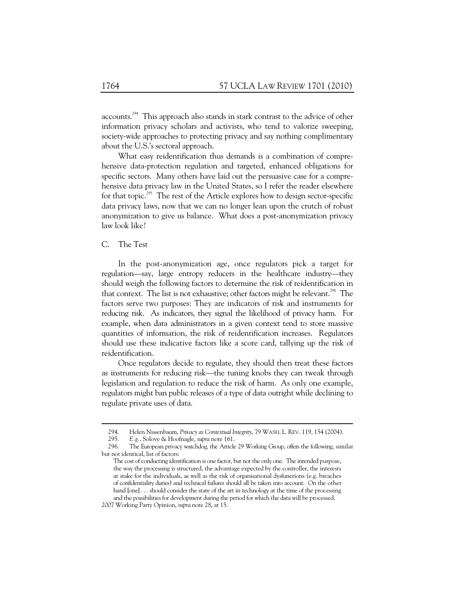accounts.<sup>294</sup> This approach also stands in stark contrast to the advice of other information privacy scholars and activists, who tend to valorize sweeping, society-wide approaches to protecting privacy and say nothing complimentary about the U.S.'s sectoral approach.

What easy reidentification thus demands is a combination of comprehensive data-protection regulation and targeted, enhanced obligations for specific sectors. Many others have laid out the persuasive case for a comprehensive data privacy law in the United States, so I refer the reader elsewhere for that topic.<sup>295</sup> The rest of the Article explores how to design sector-specific data privacy laws, now that we can no longer lean upon the crutch of robust anonymization to give us balance. What does a post-anonymization privacy law look like?

# C. The Test

In the post-anonymization age, once regulators pick a target for regulation—say, large entropy reducers in the healthcare industry—they should weigh the following factors to determine the risk of reidentification in that context. The list is not exhaustive; other factors might be relevant.<sup>296</sup> The factors serve two purposes: They are indicators of risk and instruments for reducing risk. As indicators, they signal the likelihood of privacy harm. For example, when data administrators in a given context tend to store massive quantities of information, the risk of reidentification increases. Regulators should use these indicative factors like a score card, tallying up the risk of reidentification.

Once regulators decide to regulate, they should then treat these factors as instruments for reducing risk—the tuning knobs they can tweak through legislation and regulation to reduce the risk of harm. As only one example, regulators might ban public releases of a type of data outright while declining to regulate private uses of data.

 <sup>294.</sup> Helen Nissenbaum, *Privacy as Contextual Integrity*, 79 WASH. L. REV. 119, 154 (2004).

 <sup>295.</sup> *E.g.*, Solove & Hoofnagle, *supra* note 161.

 <sup>296.</sup> The European privacy watchdog, the Article 29 Working Group, offers the following, similar but not identical, list of factors:

The cost of conducting identification is one factor, but not the only one. The intended purpose, the way the processing is structured, the advantage expected by the controller, the interests at stake for the individuals, as well as the risk of organisational dysfunctions (e.g. breaches of confidentiality duties) and technical failures should all be taken into account. On the other hand [one] ... should consider the state of the art in technology at the time of the processing and the possibilities for development during the period for which the data will be processed.

<sup>2007</sup> Working Party Opinion, *supra* note 28, at 15.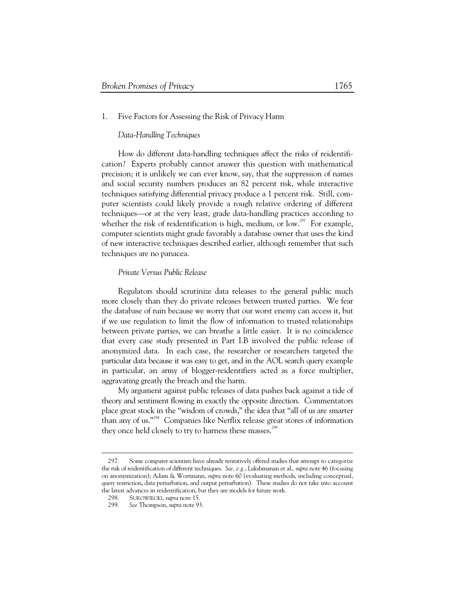## 1. Five Factors for Assessing the Risk of Privacy Harm

# *Data-Handling Techniques*

How do different data-handling techniques affect the risks of reidentification? Experts probably cannot answer this question with mathematical precision; it is unlikely we can ever know, say, that the suppression of names and social security numbers produces an 82 percent risk, while interactive techniques satisfying differential privacy produce a 1 percent risk. Still, computer scientists could likely provide a rough relative ordering of different techniques—or at the very least, grade data-handling practices according to whether the risk of reidentification is high, medium, or  $\text{low.}^{297}$  For example, computer scientists might grade favorably a database owner that uses the kind of new interactive techniques described earlier, although remember that such techniques are no panacea.

# *Private Versus Public Release*

Regulators should scrutinize data releases to the general public much more closely than they do private releases between trusted parties. We fear the database of ruin because we worry that our worst enemy can access it, but if we use regulation to limit the flow of information to trusted relationships between private parties, we can breathe a little easier. It is no coincidence that every case study presented in Part I.B involved the public release of anonymized data. In each case, the researcher or researchers targeted the particular data because it was easy to get, and in the AOL search query example in particular, an army of blogger-reidentifiers acted as a force multiplier, aggravating greatly the breach and the harm.

My argument against public releases of data pushes back against a tide of theory and sentiment flowing in exactly the opposite direction. Commentators place great stock in the "wisdom of crowds," the idea that "all of us are smarter than any of us."298 Companies like Netflix release great stores of information they once held closely to try to harness these masses.<sup>299</sup>

 <sup>297.</sup> Some computer scientists have already tentatively offered studies that attempt to categorize the risk of reidentification of different techniques. *See, e.g.*, Lakshmanan et al., *supra* note 46 (focusing on anonymization); Adam & Wortmann, *supra* note 60 (evaluating methods, including conceptual, query restriction, data perturbation, and output perturbation). These studies do not take into account the latest advances in reidentification, but they are models for future work.

 <sup>298.</sup> SUROWIECKI, *supra* note 15.

 <sup>299.</sup> *See* Thompson, *supra* note 93.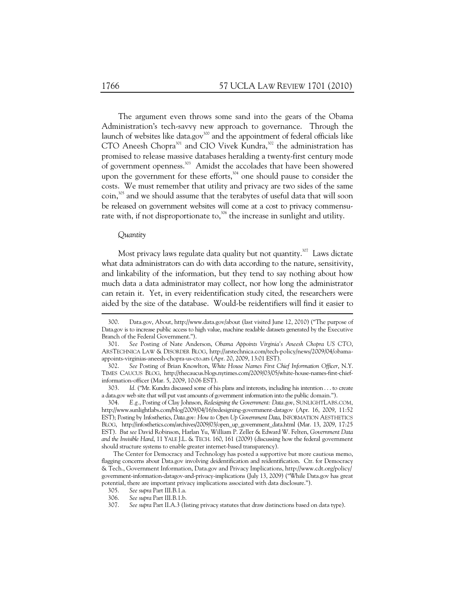The argument even throws some sand into the gears of the Obama Administration's tech-savvy new approach to governance. Through the launch of websites like data.gov<sup>300</sup> and the appointment of federal officials like CTO Aneesh Chopra<sup>301</sup> and CIO Vivek Kundra,<sup>302</sup> the administration has promised to release massive databases heralding a twenty-first century mode of government openness.<sup>303</sup> Amidst the accolades that have been showered upon the government for these efforts,<sup>304</sup> one should pause to consider the costs. We must remember that utility and privacy are two sides of the same  $\text{coin}^{305}$  and we should assume that the terabytes of useful data that will soon be released on government websites will come at a cost to privacy commensurate with, if not disproportionate to,<sup>306</sup> the increase in sunlight and utility.

# *Quantity*

-

Most privacy laws regulate data quality but not quantity.<sup>307</sup> Laws dictate what data administrators can do with data according to the nature, sensitivity, and linkability of the information, but they tend to say nothing about how much data a data administrator may collect, nor how long the administrator can retain it. Yet, in every reidentification study cited, the researchers were aided by the size of the database. Would-be reidentifiers will find it easier to

 304. *E.g.*, Posting of Clay Johnson, *Redesigning the Government: Data.gov*, SUNLIGHTLABS.COM, http://www.sunlightlabs.com/blog/2009/04/16/redesigning-government-datagov (Apr. 16, 2009, 11:52 EST); Posting by Infosthetics, *Data.gov: How to Open Up Government Data*, INFORMATION AESTHETICS BLOG, http://infosthetics.com/archives/2009/03/open\_up\_government\_data.html (Mar. 13, 2009, 17:25 EST). *But see* David Robinson, Harlan Yu, William P. Zeller & Edward W. Felten, *Government Data and the Invisible Hand*, 11 YALE J.L. & TECH. 160, 161 (2009) (discussing how the federal government should structure systems to enable greater internet-based transparency).

 <sup>300.</sup> Data.gov, About, http://www.data.gov/about (last visited June 12, 2010) ("The purpose of Data.gov is to increase public access to high value, machine readable datasets generated by the Executive Branch of the Federal Government.").

 <sup>301.</sup> *See* Posting of Nate Anderson, *Obama Appoints Virginia's Aneesh Chopra US CTO*, ARSTECHNICA LAW & DISORDER BLOG, http://arstechnica.com/tech-policy/news/2009/04/obamaappoints-virginias-aneesh-chopra-us-cto.ars (Apr. 20, 2009, 13:01 EST).

 <sup>302.</sup> *See* Posting of Brian Knowlton, *White House Names First Chief Information Officer*, N.Y. TIMES CAUCUS BLOG, http://thecaucus.blogs.nytimes.com/2009/03/05/white-house-names-first-chiefinformation-officer (Mar. 5, 2009, 10:06 EST).

 <sup>303.</sup> *Id.* ("Mr. Kundra discussed some of his plans and interests, including his intention . . . to create a data.gov web site that will put vast amounts of government information into the public domain.").

The Center for Democracy and Technology has posted a supportive but more cautious memo, flagging concerns about Data.gov involving deidentification and reidentification. Ctr. for Democracy & Tech., Government Information, Data.gov and Privacy Implications, http://www.cdt.org/policy/ government-information-datagov-and-privacy-implications (July 13, 2009) ("While Data.gov has great potential, there are important privacy implications associated with data disclosure.").

 <sup>305.</sup> *See supra* Part III.B.1.a.

 <sup>306.</sup> *See supra* Part III.B.1.b.

 <sup>307.</sup> *See supra* Part II.A.3 (listing privacy statutes that draw distinctions based on data type).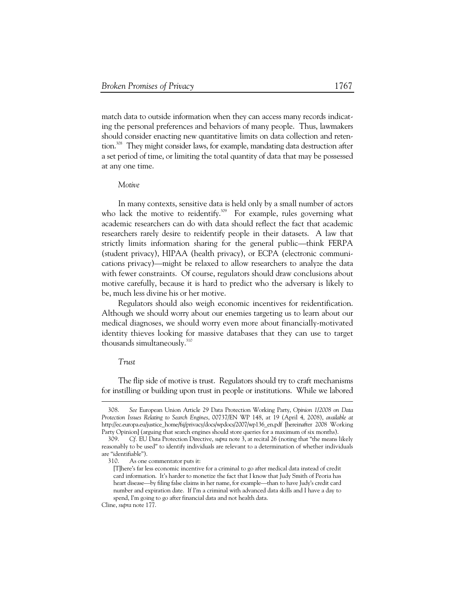match data to outside information when they can access many records indicating the personal preferences and behaviors of many people. Thus, lawmakers should consider enacting new quantitative limits on data collection and retention.<sup>308</sup> They might consider laws, for example, mandating data destruction after a set period of time, or limiting the total quantity of data that may be possessed at any one time.

#### *Motive*

In many contexts, sensitive data is held only by a small number of actors who lack the motive to reidentify.<sup>309</sup> For example, rules governing what academic researchers can do with data should reflect the fact that academic researchers rarely desire to reidentify people in their datasets. A law that strictly limits information sharing for the general public—think FERPA (student privacy), HIPAA (health privacy), or ECPA (electronic communications privacy)—might be relaxed to allow researchers to analyze the data with fewer constraints. Of course, regulators should draw conclusions about motive carefully, because it is hard to predict who the adversary is likely to be, much less divine his or her motive.

Regulators should also weigh economic incentives for reidentification. Although we should worry about our enemies targeting us to learn about our medical diagnoses, we should worry even more about financially-motivated identity thieves looking for massive databases that they can use to target thousands simultaneously.<sup>310</sup>

## *Trust*

The flip side of motive is trust. Regulators should try to craft mechanisms for instilling or building upon trust in people or institutions. While we labored

 <sup>308.</sup> *See* European Union Article 29 Data Protection Working Party, *Opinion 1/2008 on Data Protection Issues Relating to Search Engines*, 00737/EN WP 148, at 19 (April 4, 2008), *available at* http://ec.europa.eu/justice\_home/fsj/privacy/docs/wpdocs/2007/wp136\_en.pdf [hereinafter 2008 Working Party Opinion] (arguing that search engines should store queries for a maximum of six months).

 <sup>309.</sup> *Cf.* EU Data Protection Directive, *supra* note 3, at recital 26 (noting that "the means likely reasonably to be used" to identify individuals are relevant to a determination of whether individuals are "identifiable").

 <sup>310.</sup> As one commentator puts it:

<sup>[</sup>T]here's far less economic incentive for a criminal to go after medical data instead of credit card information. It's harder to monetize the fact that I know that Judy Smith of Peoria has heart disease—by filing false claims in her name, for example—than to have Judy's credit card number and expiration date. If I'm a criminal with advanced data skills and I have a day to spend, I'm going to go after financial data and not health data.

Cline, *supra* note 177.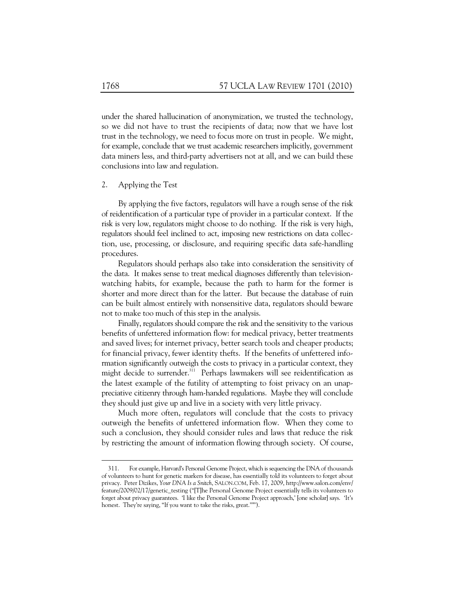under the shared hallucination of anonymization, we trusted the technology, so we did not have to trust the recipients of data; now that we have lost trust in the technology, we need to focus more on trust in people. We might, for example, conclude that we trust academic researchers implicitly, government data miners less, and third-party advertisers not at all, and we can build these conclusions into law and regulation.

# 2. Applying the Test

By applying the five factors, regulators will have a rough sense of the risk of reidentification of a particular type of provider in a particular context. If the risk is very low, regulators might choose to do nothing. If the risk is very high, regulators should feel inclined to act, imposing new restrictions on data collection, use, processing, or disclosure, and requiring specific data safe-handling procedures.

Regulators should perhaps also take into consideration the sensitivity of the data. It makes sense to treat medical diagnoses differently than televisionwatching habits, for example, because the path to harm for the former is shorter and more direct than for the latter. But because the database of ruin can be built almost entirely with nonsensitive data, regulators should beware not to make too much of this step in the analysis.

Finally, regulators should compare the risk and the sensitivity to the various benefits of unfettered information flow: for medical privacy, better treatments and saved lives; for internet privacy, better search tools and cheaper products; for financial privacy, fewer identity thefts. If the benefits of unfettered information significantly outweigh the costs to privacy in a particular context, they might decide to surrender.<sup>311</sup> Perhaps lawmakers will see reidentification as the latest example of the futility of attempting to foist privacy on an unappreciative citizenry through ham-handed regulations. Maybe they will conclude they should just give up and live in a society with very little privacy.

Much more often, regulators will conclude that the costs to privacy outweigh the benefits of unfettered information flow. When they come to such a conclusion, they should consider rules and laws that reduce the risk by restricting the amount of information flowing through society. Of course,

 <sup>311.</sup> For example, Harvard's Personal Genome Project, which is sequencing the DNA of thousands of volunteers to hunt for genetic markers for disease, has essentially told its volunteers to forget about privacy. Peter Dizikes, *Your DNA Is a Snitch*, SALON.COM, Feb. 17, 2009, http://www.salon.com/env/ feature/2009/02/17/genetic\_testing ("[T]he Personal Genome Project essentially tells its volunteers to forget about privacy guarantees. 'I like the Personal Genome Project approach,' [one scholar] says. 'It's honest. They're saying, "If you want to take the risks, great.'"").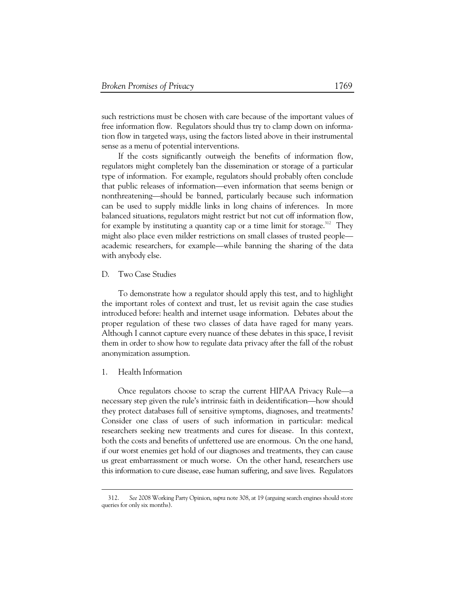such restrictions must be chosen with care because of the important values of free information flow. Regulators should thus try to clamp down on information flow in targeted ways, using the factors listed above in their instrumental sense as a menu of potential interventions.

If the costs significantly outweigh the benefits of information flow, regulators might completely ban the dissemination or storage of a particular type of information. For example, regulators should probably often conclude that public releases of information—even information that seems benign or nonthreatening—should be banned, particularly because such information can be used to supply middle links in long chains of inferences. In more balanced situations, regulators might restrict but not cut off information flow, for example by instituting a quantity cap or a time limit for storage.<sup>312</sup> They might also place even milder restrictions on small classes of trusted people academic researchers, for example—while banning the sharing of the data with anybody else.

# D. Two Case Studies

To demonstrate how a regulator should apply this test, and to highlight the important roles of context and trust, let us revisit again the case studies introduced before: health and internet usage information. Debates about the proper regulation of these two classes of data have raged for many years. Although I cannot capture every nuance of these debates in this space, I revisit them in order to show how to regulate data privacy after the fall of the robust anonymization assumption.

## 1. Health Information

Once regulators choose to scrap the current HIPAA Privacy Rule—a necessary step given the rule's intrinsic faith in deidentification—how should they protect databases full of sensitive symptoms, diagnoses, and treatments? Consider one class of users of such information in particular: medical researchers seeking new treatments and cures for disease. In this context, both the costs and benefits of unfettered use are enormous. On the one hand, if our worst enemies get hold of our diagnoses and treatments, they can cause us great embarrassment or much worse. On the other hand, researchers use this information to cure disease, ease human suffering, and save lives. Regulators

 <sup>312.</sup> *See* 2008 Working Party Opinion, *supra* note 308, at 19 (arguing search engines should store queries for only six months).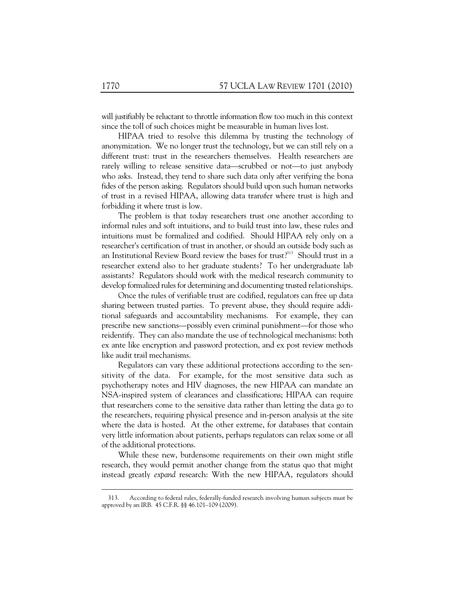will justifiably be reluctant to throttle information flow too much in this context since the toll of such choices might be measurable in human lives lost.

HIPAA tried to resolve this dilemma by trusting the technology of anonymization. We no longer trust the technology, but we can still rely on a different trust: trust in the researchers themselves. Health researchers are rarely willing to release sensitive data—scrubbed or not—to just anybody who asks. Instead, they tend to share such data only after verifying the bona fides of the person asking. Regulators should build upon such human networks of trust in a revised HIPAA, allowing data transfer where trust is high and forbidding it where trust is low.

The problem is that today researchers trust one another according to informal rules and soft intuitions, and to build trust into law, these rules and intuitions must be formalized and codified. Should HIPAA rely only on a researcher's certification of trust in another, or should an outside body such as an Institutional Review Board review the bases for trust?<sup>313</sup> Should trust in a researcher extend also to her graduate students? To her undergraduate lab assistants? Regulators should work with the medical research community to develop formalized rules for determining and documenting trusted relationships.

Once the rules of verifiable trust are codified, regulators can free up data sharing between trusted parties. To prevent abuse, they should require additional safeguards and accountability mechanisms. For example, they can prescribe new sanctions—possibly even criminal punishment—for those who reidentify. They can also mandate the use of technological mechanisms: both ex ante like encryption and password protection, and ex post review methods like audit trail mechanisms.

Regulators can vary these additional protections according to the sensitivity of the data. For example, for the most sensitive data such as psychotherapy notes and HIV diagnoses, the new HIPAA can mandate an NSA-inspired system of clearances and classifications; HIPAA can require that researchers come to the sensitive data rather than letting the data go to the researchers, requiring physical presence and in-person analysis at the site where the data is hosted. At the other extreme, for databases that contain very little information about patients, perhaps regulators can relax some or all of the additional protections.

While these new, burdensome requirements on their own might stifle research, they would permit another change from the status quo that might instead greatly *expand* research: With the new HIPAA, regulators should

 <sup>313.</sup> According to federal rules, federally-funded research involving human subjects must be approved by an IRB. 45 C.F.R. §§ 46.101–109 (2009).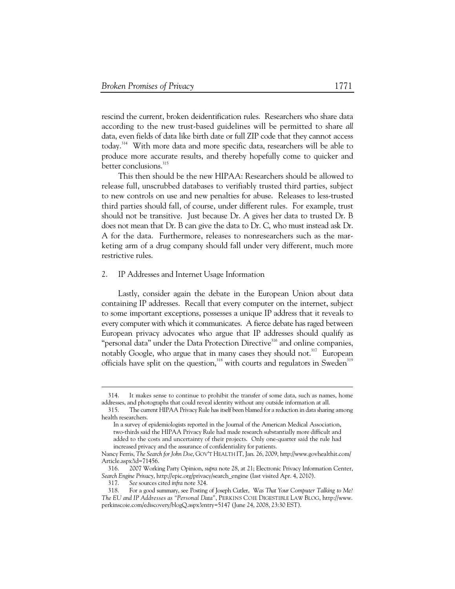rescind the current, broken deidentification rules. Researchers who share data according to the new trust-based guidelines will be permitted to share *all* data, even fields of data like birth date or full ZIP code that they cannot access today.314 With more data and more specific data, researchers will be able to produce more accurate results, and thereby hopefully come to quicker and better conclusions.<sup>315</sup>

This then should be the new HIPAA: Researchers should be allowed to release full, unscrubbed databases to verifiably trusted third parties, subject to new controls on use and new penalties for abuse. Releases to less-trusted third parties should fall, of course, under different rules. For example, trust should not be transitive. Just because Dr. A gives her data to trusted Dr. B does not mean that Dr. B can give the data to Dr. C, who must instead ask Dr. A for the data. Furthermore, releases to nonresearchers such as the marketing arm of a drug company should fall under very different, much more restrictive rules.

#### 2. IP Addresses and Internet Usage Information

Lastly, consider again the debate in the European Union about data containing IP addresses. Recall that every computer on the internet, subject to some important exceptions, possesses a unique IP address that it reveals to every computer with which it communicates. A fierce debate has raged between European privacy advocates who argue that IP addresses should qualify as "personal data" under the Data Protection Directive<sup>316</sup> and online companies, notably Google, who argue that in many cases they should not.<sup>317</sup> European officials have split on the question,<sup>318</sup> with courts and regulators in Sweden<sup>319</sup>

 <sup>314.</sup> It makes sense to continue to prohibit the transfer of some data, such as names, home addresses, and photographs that could reveal identity without any outside information at all.

 <sup>315.</sup> The current HIPAA Privacy Rule has itself been blamed for a reduction in data sharing among health researchers.

In a survey of epidemiologists reported in the Journal of the American Medical Association, two-thirds said the HIPAA Privacy Rule had made research substantially more difficult and added to the costs and uncertainty of their projects. Only one-quarter said the rule had increased privacy and the assurance of confidentiality for patients.

Nancy Ferris, *The Search for John Doe*, GOV'T HEALTH IT, Jan. 26, 2009, http://www.govhealthit.com/ Article.aspx?id=71456.

 <sup>316. 2007</sup> Working Party Opinion, *supra* note 28, at 21; Electronic Privacy Information Center, *Search Engine Privacy*, http://epic.org/privacy/search\_engine (last visited Apr. 4, 2010).

 <sup>317.</sup> *See* sources cited *infra* note 324.

 <sup>318.</sup> For a good summary, see Posting of Joseph Cutler, W*as That Your Computer Talking to Me? The EU and IP Addresses as "Personal Data"*, PERKINS COIE DIGESTIBLE LAW BLOG, http://www. perkinscoie.com/ediscovery/blogQ.aspx?entry=5147 (June 24, 2008, 23:30 EST).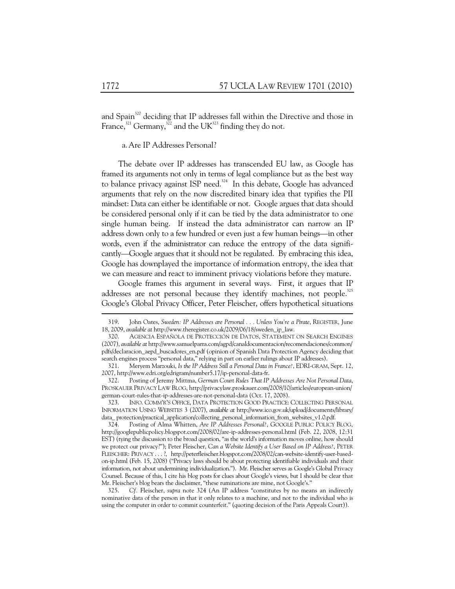and Spain<sup>320</sup> deciding that IP addresses fall within the Directive and those in France,<sup>321</sup> Germany,<sup>322</sup> and the UK<sup>323</sup> finding they do not.

a.Are IP Addresses Personal?

The debate over IP addresses has transcended EU law, as Google has framed its arguments not only in terms of legal compliance but as the best way to balance privacy against ISP need. $324$  In this debate, Google has advanced arguments that rely on the now discredited binary idea that typifies the PII mindset: Data can either be identifiable or not. Google argues that data should be considered personal only if it can be tied by the data administrator to one single human being. If instead the data administrator can narrow an IP address down only to a few hundred or even just a few human beings—in other words, even if the administrator can reduce the entropy of the data significantly—Google argues that it should not be regulated. By embracing this idea, Google has downplayed the importance of information entropy, the idea that we can measure and react to imminent privacy violations before they mature.

Google frames this argument in several ways. First, it argues that IP addresses are not personal because they identify machines, not people.<sup>325</sup> Google's Global Privacy Officer, Peter Fleischer, offers hypothetical situations

 323. INFO. COMM'R'S OFFICE, DATA PROTECTION GOOD PRACTICE: COLLECTING PERSONAL INFORMATION USING WEBSITES 3 (2007), *available at* http://www.ico.gov.uk/upload/documents/library/ data\_ protection/practical\_application/collecting\_personal\_information\_from\_websites\_v1.0.pdf.

 324. Posting of Alma Whitten, *Are IP Addresses Personal?*, GOOGLE PUBLIC POLICY BLOG, http://googlepublicpolicy.blogspot.com/2008/02/are-ip-addresses-personal.html (Feb. 22, 2008, 12:31 EST) (tying the discussion to the broad question, "as the world's information moves online, how should we protect our privacy?"); Peter Fleischer, *Can a Website Identify a User Based on IP Address?*, PETER FLEISCHER: PRIVACY . . . ?, http://peterfleischer.blogspot.com/2008/02/can-website-identify-user-basedon-ip.html (Feb. 15, 2008) ("Privacy laws should be about protecting identifiable individuals and their information, not about undermining individualization."). Mr. Fleischer serves as Google's Global Privacy Counsel. Because of this, I cite his blog posts for clues about Google's views, but I should be clear that Mr. Fleischer's blog bears the disclaimer, "these ruminations are mine, not Google's."

 325. *Cf.* Fleischer, *supra* note 324 (An IP address "constitutes by no means an indirectly nominative data of the person in that it only relates to a machine, and not to the individual who is using the computer in order to commit counterfeit." (quoting decision of the Paris Appeals Court)).

 <sup>319.</sup> John Oates, *Sweden: IP Addresses are Personal . . . Unless You're a Pirate*, REGISTER, June 18, 2009, *available at* http://www.theregister.co.uk/2009/06/18/sweden\_ip\_law.

 <sup>320.</sup> AGENCIA ESPAÑOLA DE PROTECCIÓN DE DATOS, STATEMENT ON SEARCH ENGINES (2007), *available at* http://www.samuelparra.com/agpd/canaldocumentacion/recomendaciones/common/ pdfs/declaracion\_aepd\_buscadores\_en.pdf (opinion of Spanish Data Protection Agency deciding that search engines process "personal data," relying in part on earlier rulings about IP addresses).

 <sup>321.</sup> Meryem Marzouki, *Is the IP Address Still a Personal Data in France?*, EDRI-GRAM, Sept. 12, 2007, http://www.edri.org/edrigram/number5.17/ip-personal-data-fr.

 <sup>322.</sup> Posting of Jeremy Mittma, *German Court Rules That IP Addresses Are Not Personal Data*, PROSKAUER PRIVACY LAW BLOG, http://privacylaw.proskauer.com/2008/10/articles/european-union/ german-court-rules-that-ip-addresses-are-not-personal-data (Oct. 17, 2008).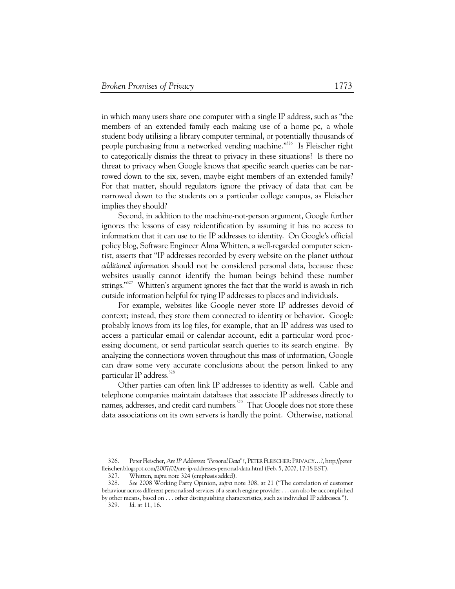in which many users share one computer with a single IP address, such as "the members of an extended family each making use of a home pc, a whole student body utilising a library computer terminal, or potentially thousands of people purchasing from a networked vending machine."<sup>326</sup> Is Fleischer right to categorically dismiss the threat to privacy in these situations? Is there no threat to privacy when Google knows that specific search queries can be narrowed down to the six, seven, maybe eight members of an extended family? For that matter, should regulators ignore the privacy of data that can be narrowed down to the students on a particular college campus, as Fleischer implies they should?

Second, in addition to the machine-not-person argument, Google further ignores the lessons of easy reidentification by assuming it has no access to information that it can use to tie IP addresses to identity. On Google's official policy blog, Software Engineer Alma Whitten, a well-regarded computer scientist, asserts that "IP addresses recorded by every website on the planet *without additional information* should not be considered personal data, because these websites usually cannot identify the human beings behind these number strings."<sup>327</sup> Whitten's argument ignores the fact that the world is awash in rich outside information helpful for tying IP addresses to places and individuals.

For example, websites like Google never store IP addresses devoid of context; instead, they store them connected to identity or behavior. Google probably knows from its log files, for example, that an IP address was used to access a particular email or calendar account, edit a particular word processing document, or send particular search queries to its search engine. By analyzing the connections woven throughout this mass of information, Google can draw some very accurate conclusions about the person linked to any particular IP address.<sup>328</sup>

Other parties can often link IP addresses to identity as well. Cable and telephone companies maintain databases that associate IP addresses directly to names, addresses, and credit card numbers.<sup>329</sup> That Google does not store these data associations on its own servers is hardly the point. Otherwise, national

 <sup>326.</sup> Peter Fleischer, *Are IP Addresses "Personal Data"?*, PETER FLEISCHER: PRIVACY…?, http://peter fleischer.blogspot.com/2007/02/are-ip-addresses-personal-data.html (Feb. 5, 2007, 17:18 EST).

 <sup>327.</sup> Whitten, *supra* note 324 (emphasis added).

 <sup>328.</sup> *See* 2008 Working Party Opinion, *supra* note 308, at 21 ("The correlation of customer behaviour across different personalised services of a search engine provider . . . can also be accomplished by other means, based on . . . other distinguishing characteristics, such as individual IP addresses."). 329*. Id*. at 11, 16.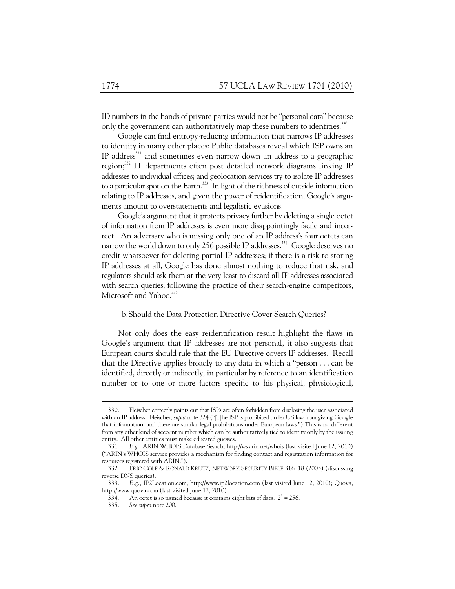ID numbers in the hands of private parties would not be "personal data" because only the government can authoritatively map these numbers to identities.<sup>330</sup>

Google can find entropy-reducing information that narrows IP addresses to identity in many other places: Public databases reveal which ISP owns an IP address<sup>331</sup> and sometimes even narrow down an address to a geographic region;<sup>332</sup> IT departments often post detailed network diagrams linking IP addresses to individual offices; and geolocation services try to isolate IP addresses to a particular spot on the Earth.<sup>333</sup> In light of the richness of outside information relating to IP addresses, and given the power of reidentification, Google's arguments amount to overstatements and legalistic evasions.

Google's argument that it protects privacy further by deleting a single octet of information from IP addresses is even more disappointingly facile and incorrect. An adversary who is missing only one of an IP address's four octets can narrow the world down to only 256 possible IP addresses.<sup>334</sup> Google deserves no credit whatsoever for deleting partial IP addresses; if there is a risk to storing IP addresses at all, Google has done almost nothing to reduce that risk, and regulators should ask them at the very least to discard all IP addresses associated with search queries, following the practice of their search-engine competitors, Microsoft and Yahoo.<sup>335</sup>

## b.Should the Data Protection Directive Cover Search Queries?

Not only does the easy reidentification result highlight the flaws in Google's argument that IP addresses are not personal, it also suggests that European courts should rule that the EU Directive covers IP addresses. Recall that the Directive applies broadly to any data in which a "person . . . can be identified, directly or indirectly, in particular by reference to an identification number or to one or more factors specific to his physical, physiological,

 <sup>330.</sup> Fleischer correctly points out that ISPs are often forbidden from disclosing the user associated with an IP address. Fleischer, *supra* note 324 ("[T]he ISP is prohibited under US law from giving Google that information, and there are similar legal prohibitions under European laws.") This is no different from any other kind of account number which can be authoritatively tied to identity only by the issuing entity. All other entities must make educated guesses.

 <sup>331.</sup> *E.g.*, ARIN WHOIS Database Search, http://ws.arin.net/whois (last visited June 12, 2010) ("ARIN's WHOIS service provides a mechanism for finding contact and registration information for resources registered with ARIN.").

 <sup>332.</sup> ERIC COLE & RONALD KRUTZ, NETWORK SECURITY BIBLE 316–18 (2005) (discussing reverse DNS queries).

 <sup>333.</sup> *E.g.,* IP2Location.com, http://www.ip2location.com (last visited June 12, 2010); Quova, http://www.quova.com (last visited June 12, 2010).

<sup>334.</sup> An octet is so named because it contains eight bits of data.  $2^8 = 256$ .

 <sup>335.</sup> *See supra* note 200.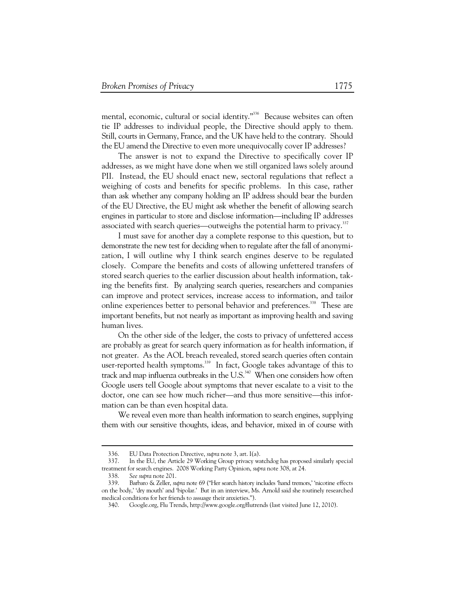mental, economic, cultural or social identity."<sup>336</sup> Because websites can often tie IP addresses to individual people, the Directive should apply to them. Still, courts in Germany, France, and the UK have held to the contrary. Should the EU amend the Directive to even more unequivocally cover IP addresses?

The answer is not to expand the Directive to specifically cover IP addresses, as we might have done when we still organized laws solely around PII. Instead, the EU should enact new, sectoral regulations that reflect a weighing of costs and benefits for specific problems. In this case, rather than ask whether any company holding an IP address should bear the burden of the EU Directive, the EU might ask whether the benefit of allowing search engines in particular to store and disclose information—including IP addresses associated with search queries—outweighs the potential harm to privacy.<sup>337</sup>

I must save for another day a complete response to this question, but to demonstrate the new test for deciding when to regulate after the fall of anonymization, I will outline why I think search engines deserve to be regulated closely. Compare the benefits and costs of allowing unfettered transfers of stored search queries to the earlier discussion about health information, taking the benefits first. By analyzing search queries, researchers and companies can improve and protect services, increase access to information, and tailor online experiences better to personal behavior and preferences.<sup>338</sup> These are important benefits, but not nearly as important as improving health and saving human lives.

On the other side of the ledger, the costs to privacy of unfettered access are probably as great for search query information as for health information, if not greater. As the AOL breach revealed, stored search queries often contain user-reported health symptoms.<sup>339</sup> In fact, Google takes advantage of this to track and map influenza outbreaks in the  $US$ <sup>340</sup> When one considers how often Google users tell Google about symptoms that never escalate to a visit to the doctor, one can see how much richer—and thus more sensitive—this information can be than even hospital data.

We reveal even more than health information to search engines, supplying them with our sensitive thoughts, ideas, and behavior, mixed in of course with

-

 <sup>336.</sup> EU Data Protection Directive, *supra* note 3, art. I(a).

 <sup>337.</sup> In the EU, the Article 29 Working Group privacy watchdog has proposed similarly special treatment for search engines. 2008 Working Party Opinion, *supra* note 308, at 24.

 <sup>338.</sup> *See supra* note 201.

 <sup>339.</sup> Barbaro & Zeller, *supra* note 69 ("Her search history includes 'hand tremors,' 'nicotine effects on the body,' 'dry mouth' and 'bipolar.' But in an interview, Ms. Arnold said she routinely researched medical conditions for her friends to assuage their anxieties.").

 <sup>340.</sup> Google.org, Flu Trends, http://www.google.org/flutrends (last visited June 12, 2010).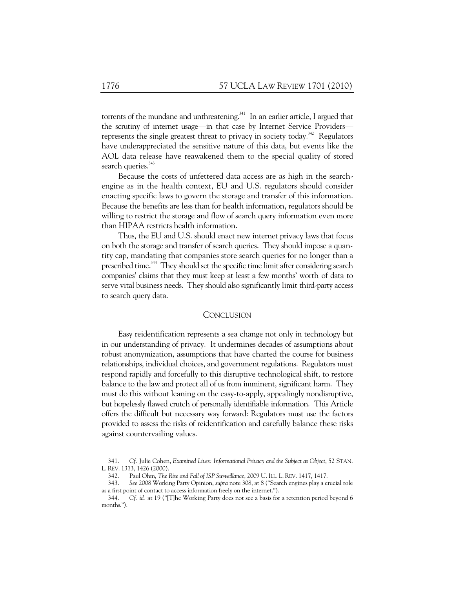torrents of the mundane and unthreatening.<sup>341</sup> In an earlier article, I argued that the scrutiny of internet usage—in that case by Internet Service Providers represents the single greatest threat to privacy in society today.<sup>342</sup> Regulators have underappreciated the sensitive nature of this data, but events like the AOL data release have reawakened them to the special quality of stored search queries.<sup>343</sup>

Because the costs of unfettered data access are as high in the searchengine as in the health context, EU and U.S. regulators should consider enacting specific laws to govern the storage and transfer of this information. Because the benefits are less than for health information, regulators should be willing to restrict the storage and flow of search query information even more than HIPAA restricts health information.

Thus, the EU and U.S. should enact new internet privacy laws that focus on both the storage and transfer of search queries. They should impose a quantity cap, mandating that companies store search queries for no longer than a prescribed time.<sup>344</sup> They should set the specific time limit after considering search companies' claims that they must keep at least a few months' worth of data to serve vital business needs. They should also significantly limit third-party access to search query data.

## **CONCLUSION**

Easy reidentification represents a sea change not only in technology but in our understanding of privacy. It undermines decades of assumptions about robust anonymization, assumptions that have charted the course for business relationships, individual choices, and government regulations. Regulators must respond rapidly and forcefully to this disruptive technological shift, to restore balance to the law and protect all of us from imminent, significant harm. They must do this without leaning on the easy-to-apply, appealingly nondisruptive, but hopelessly flawed crutch of personally identifiable information. This Article offers the difficult but necessary way forward: Regulators must use the factors provided to assess the risks of reidentification and carefully balance these risks against countervailing values.

 <sup>341.</sup> *Cf.* Julie Cohen, *Examined Lives: Informational Privacy and the Subject as Object*, 52 STAN. L. REV. 1373, 1426 (2000).

 <sup>342.</sup> Paul Ohm, *The Rise and Fall of ISP Surveillance*, 2009 U. ILL. L. REV. 1417, 1417.

 <sup>343.</sup> *See* 2008 Working Party Opinion, *supra* note 308, at 8 ("Search engines play a crucial role as a first point of contact to access information freely on the internet.").

 <sup>344.</sup> *Cf. id.* at 19 ("[T]he Working Party does not see a basis for a retention period beyond 6 months.").